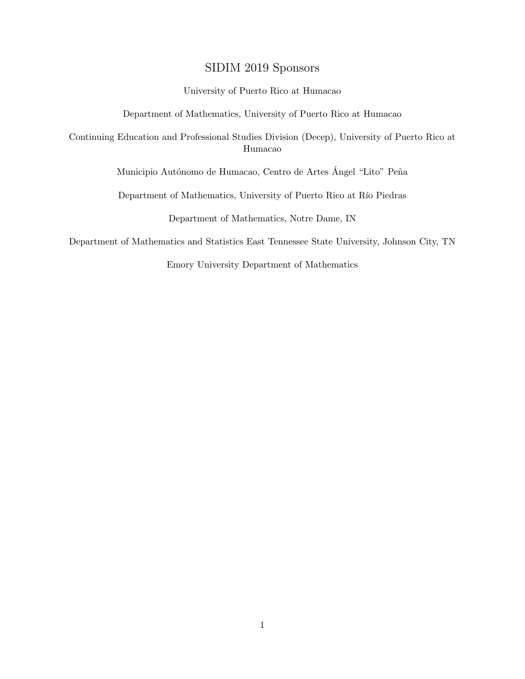## SIDIM 2019 Sponsors

#### University of Puerto Rico at Humacao

Department of Mathematics, University of Puerto Rico at Humacao

Continuing Education and Professional Studies Division (Decep), University of Puerto Rico at Humacao

Municipio Autónomo de Humacao, Centro de Artes Ángel "Lito" Peña

Department of Mathematics, University of Puerto Rico at Río Piedras

Department of Mathematics, Notre Dame, IN

Department of Mathematics and Statistics East Tennessee State University, Johnson City, TN

Emory University Department of Mathematics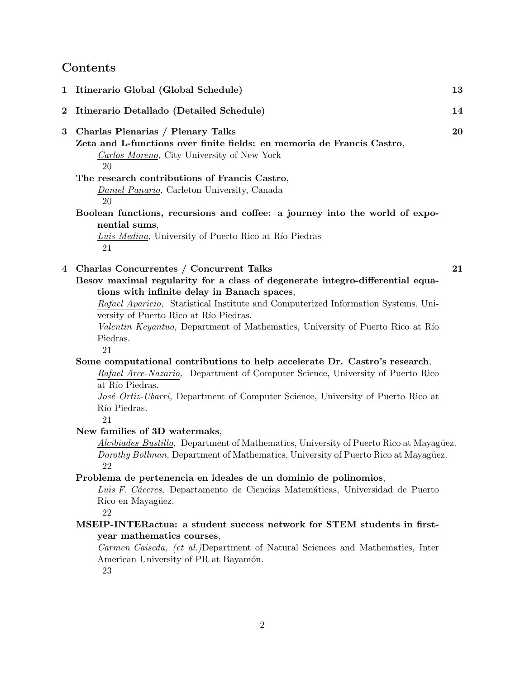## **Contents**

|          | 1 Itinerario Global (Global Schedule)                                                                                                                                                                                                                                                                                                                                                                      | 13 |
|----------|------------------------------------------------------------------------------------------------------------------------------------------------------------------------------------------------------------------------------------------------------------------------------------------------------------------------------------------------------------------------------------------------------------|----|
| $\bf{2}$ | Itinerario Detallado (Detailed Schedule)                                                                                                                                                                                                                                                                                                                                                                   | 14 |
| 3        | Charlas Plenarias / Plenary Talks<br>Zeta and L-functions over finite fields: en memoria de Francis Castro,<br>Carlos Moreno, City University of New York<br>20                                                                                                                                                                                                                                            | 20 |
|          | The research contributions of Francis Castro,<br>Daniel Panario, Carleton University, Canada<br>20                                                                                                                                                                                                                                                                                                         |    |
|          | Boolean functions, recursions and coffee: a journey into the world of expo-<br>nential sums,<br>Luis Medina, University of Puerto Rico at Río Piedras<br>21                                                                                                                                                                                                                                                |    |
| 4        | Charlas Concurrentes / Concurrent Talks<br>Besov maximal regularity for a class of degenerate integro-differential equa-<br>tions with infinite delay in Banach spaces,<br>Rafael Aparicio, Statistical Institute and Computerized Information Systems, Uni-<br>versity of Puerto Rico at Río Piedras.<br>Valentin Keyantuo, Department of Mathematics, University of Puerto Rico at Río<br>Piedras.<br>21 | 21 |
|          | Some computational contributions to help accelerate Dr. Castro's research,<br>Rafael Arce-Nazario, Department of Computer Science, University of Puerto Rico<br>at Río Piedras.<br>José Ortiz-Ubarri, Department of Computer Science, University of Puerto Rico at<br>Río Piedras.<br>21                                                                                                                   |    |
|          | New families of 3D watermaks,<br>Alcibiades Bustillo, Department of Mathematics, University of Puerto Rico at Mayagüez.<br>Dorothy Bollman, Department of Mathematics, University of Puerto Rico at Mayagüez.<br>22<br>Problema de pertenencia en ideales de un dominio de polinomios,<br>Luis F. Cáceres, Departamento de Ciencias Matemáticas, Universidad de Puerto<br>Rico en Mayagüez.<br>22          |    |
|          | MSEIP-INTERactua: a student success network for STEM students in first-<br>year mathematics courses,<br>Carmen Caiseda, (et al.)Department of Natural Sciences and Mathematics, Inter<br>American University of PR at Bayamón.<br>23                                                                                                                                                                       |    |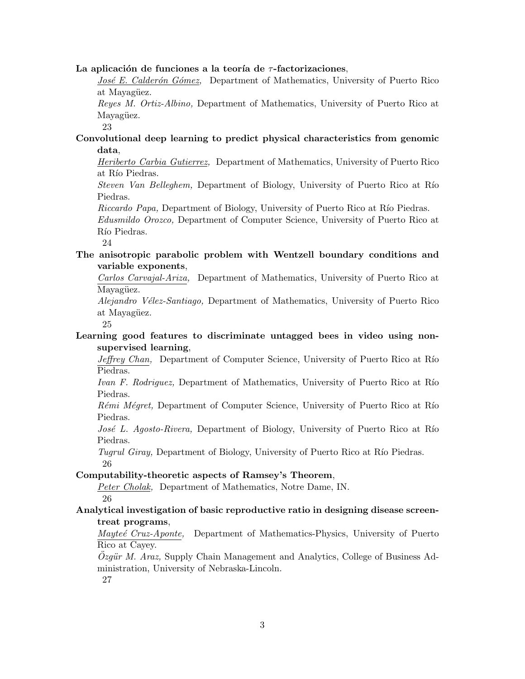#### **La aplicación de funciones a la teoría de** *τ*-factorizaciones,

*José E. Calderón Gómez*, Department of Mathematics, University of Puerto Rico at Mayagüez.

*Reyes M. Ortiz-Albino,* Department of Mathematics, University of Puerto Rico at Mayagüez.

23

## **Convolutional deep learning to predict physical characteristics from genomic data**,

*Heriberto Carbia Gutierrez,* Department of Mathematics, University of Puerto Rico at Río Piedras.

*Steven Van Belleghem,* Department of Biology, University of Puerto Rico at Río Piedras.

*Riccardo Papa,* Department of Biology, University of Puerto Rico at Río Piedras.

*Edusmildo Orozco,* Department of Computer Science, University of Puerto Rico at Río Piedras.

24

**The anisotropic parabolic problem with Wentzell boundary conditions and variable exponents**,

*Carlos Carvajal-Ariza,* Department of Mathematics, University of Puerto Rico at Mayagüez.

*Alejandro V´elez-Santiago,* Department of Mathematics, University of Puerto Rico at Mayagüez.

25

## **Learning good features to discriminate untagged bees in video using nonsupervised learning**,

*Jeffrey Chan,* Department of Computer Science, University of Puerto Rico at Río Piedras.

*Ivan F. Rodriguez*, Department of Mathematics, University of Puerto Rico at Río Piedras.

*Rémi Mégret,* Department of Computer Science, University of Puerto Rico at Río Piedras.

*José L. Agosto-Rivera,* Department of Biology, University of Puerto Rico at Río Piedras.

*Tugrul Giray,* Department of Biology, University of Puerto Rico at Río Piedras. 26

#### **Computability-theoretic aspects of Ramsey's Theorem**,

*Peter Cholak,* Department of Mathematics, Notre Dame, IN. 26

#### **Analytical investigation of basic reproductive ratio in designing disease screentreat programs**,

*Mayte´e Cruz-Aponte,* Department of Mathematics-Physics, University of Puerto Rico at Cayey.

*Ozgür M. Araz*, Supply Chain Management and Analytics, College of Business Administration, University of Nebraska-Lincoln.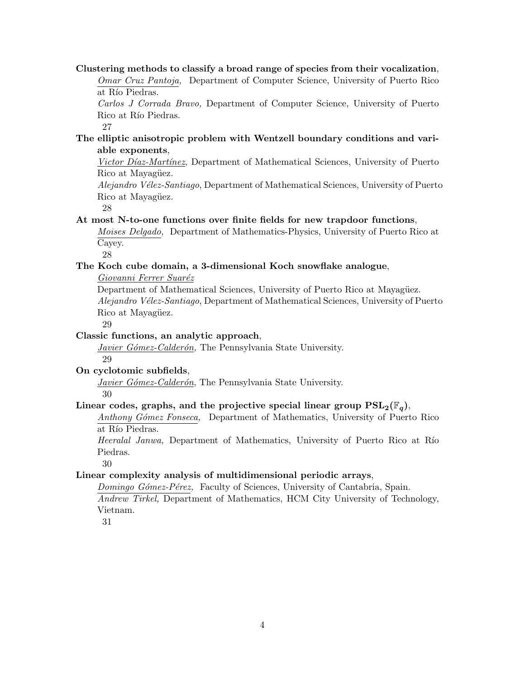#### **Clustering methods to classify a broad range of species from their vocalization**, *Omar Cruz Pantoja,* Department of Computer Science, University of Puerto Rico at Río Piedras.

*Carlos J Corrada Bravo,* Department of Computer Science, University of Puerto Rico at Río Piedras.

27

## **The elliptic anisotropic problem with Wentzell boundary conditions and variable exponents**,

*Victor Díaz-Martínez*, Department of Mathematical Sciences, University of Puerto Rico at Mayagüez.

*Alejandro V´elez-Santiago*, Department of Mathematical Sciences, University of Puerto Rico at Mayagüez.

28

### **At most N-to-one functions over finite fields for new trapdoor functions**,

*Moises Delgado,* Department of Mathematics-Physics, University of Puerto Rico at Cayey.

28

## **The Koch cube domain, a 3-dimensional Koch snowflake analogue**,

*Giovanni Ferrer Suar´ez*

Department of Mathematical Sciences, University of Puerto Rico at Mayagüez. *Alejandro V´elez-Santiago*, Department of Mathematical Sciences, University of Puerto Rico at Mayagüez.

29

## **Classic functions, an analytic approach**,

*Javier Gómez-Calderón*, The Pennsylvania State University. 29

## **On cyclotomic subfields**,

*Javier Gómez-Calderón*, The Pennsylvania State University.

30

## Linear codes, graphs, and the projective special linear group  $PSL_2(\mathbb{F}_q)$ ,

*Anthony G´omez Fonseca,* Department of Mathematics, University of Puerto Rico at Río Piedras.

*Heeralal Janwa*, Department of Mathematics, University of Puerto Rico at Río Piedras.

30

## **Linear complexity analysis of multidimensional periodic arrays**,

*Domingo Gómez-Pérez,* Faculty of Sciences, University of Cantabria, Spain. *Andrew Tirkel,* Department of Mathematics, HCM City University of Technology, Vietnam.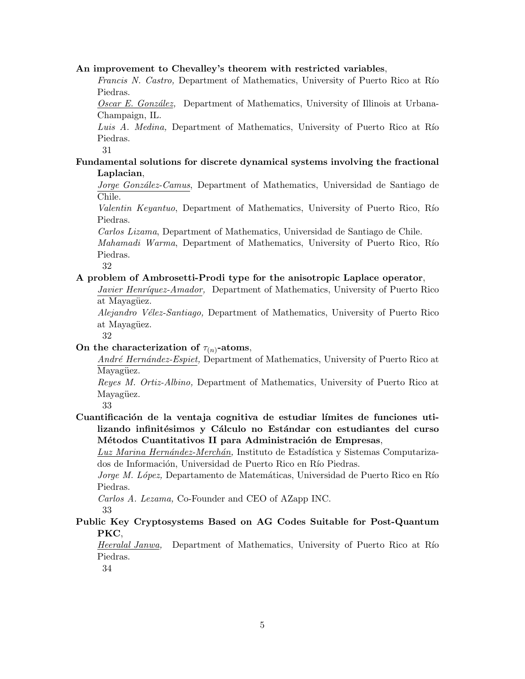#### **An improvement to Chevalley's theorem with restricted variables**,

*Francis N. Castro,* Department of Mathematics, University of Puerto Rico at Río Piedras.

*Oscar E. Gonz´alez,* Department of Mathematics, University of Illinois at Urbana-Champaign, IL.

Luis A. Medina, Department of Mathematics, University of Puerto Rico at Río Piedras.

31

#### **Fundamental solutions for discrete dynamical systems involving the fractional Laplacian**,

*Jorge Gonz´alez-Camus*, Department of Mathematics, Universidad de Santiago de Chile.

*Valentin Keyantuo*, Department of Mathematics, University of Puerto Rico, Río Piedras.

*Carlos Lizama*, Department of Mathematics, Universidad de Santiago de Chile.

*Mahamadi Warma*, Department of Mathematics, University of Puerto Rico, Río Piedras.

32

### **A problem of Ambrosetti-Prodi type for the anisotropic Laplace operator**,

*Javier Henríquez-Amador,* Department of Mathematics, University of Puerto Rico at Mayagüez.

*Alejandro V´elez-Santiago,* Department of Mathematics, University of Puerto Rico at Mayagüez.

32

## On the characterization of  $\tau_{(n)}$ -atoms,

*Andr´e Hern´andez-Espiet,* Department of Mathematics, University of Puerto Rico at Mayagüez.

*Reyes M. Ortiz-Albino,* Department of Mathematics, University of Puerto Rico at Mayagüez.

33

Cuantificación de la ventaja cognitiva de estudiar límites de funciones utilizando infinitésimos y Cálculo no Estándar con estudiantes del curso Métodos Cuantitativos II para Administración de Empresas,

Luz Marina Hernández-Merchán, Instituto de Estadística y Sistemas Computarizados de Información, Universidad de Puerto Rico en Río Piedras.

*Jorge M. López, Departamento de Matemáticas, Universidad de Puerto Rico en Río* Piedras.

*Carlos A. Lezama,* Co-Founder and CEO of AZapp INC.

33

## **Public Key Cryptosystems Based on AG Codes Suitable for Post-Quantum PKC**,

*Heeralal Janwa,* Department of Mathematics, University of Puerto Rico at Río Piedras.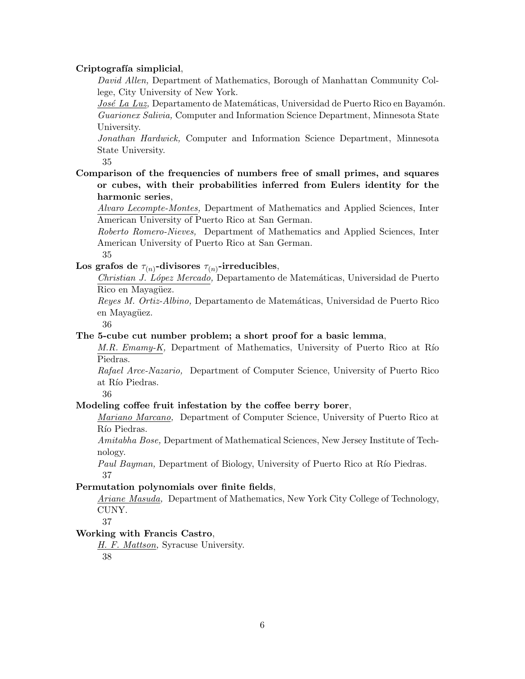#### Criptografía simplicial,

*David Allen,* Department of Mathematics, Borough of Manhattan Community College, City University of New York.

*José La Luz*, Departamento de Matemáticas, Universidad de Puerto Rico en Bayamón. *Guarionex Salivia,* Computer and Information Science Department, Minnesota State University.

*Jonathan Hardwick,* Computer and Information Science Department, Minnesota State University.

35

**Comparison of the frequencies of numbers free of small primes, and squares or cubes, with their probabilities inferred from Eulers identity for the harmonic series**,

*Alvaro Lecompte-Montes,* Department of Mathematics and Applied Sciences, Inter American University of Puerto Rico at San German.

*Roberto Romero-Nieves,* Department of Mathematics and Applied Sciences, Inter American University of Puerto Rico at San German.

35

Los grafos de  $\tau_{(n)}$ -divisores  $\tau_{(n)}$ -irreducibles,

*Christian J. L´opez Mercado,* Departamento de Matem´aticas, Universidad de Puerto Rico en Mayagüez.

*Reyes M. Ortiz-Albino,* Departamento de Matem´aticas, Universidad de Puerto Rico en Mayagüez.

36

#### **The 5-cube cut number problem; a short proof for a basic lemma**,

*M.R. Emamy-K,* Department of Mathematics, University of Puerto Rico at Río Piedras.

*Rafael Arce-Nazario,* Department of Computer Science, University of Puerto Rico at Río Piedras.

36

#### **Modeling coffee fruit infestation by the coffee berry borer**,

*Mariano Marcano,* Department of Computer Science, University of Puerto Rico at Río Piedras.

*Amitabha Bose,* Department of Mathematical Sciences, New Jersey Institute of Technology.

*Paul Bayman,* Department of Biology, University of Puerto Rico at Río Piedras. 37

#### **Permutation polynomials over finite fields**,

*Ariane Masuda,* Department of Mathematics, New York City College of Technology, CUNY.

37

### **Working with Francis Castro**,

*H. F. Mattson,* Syracuse University. 38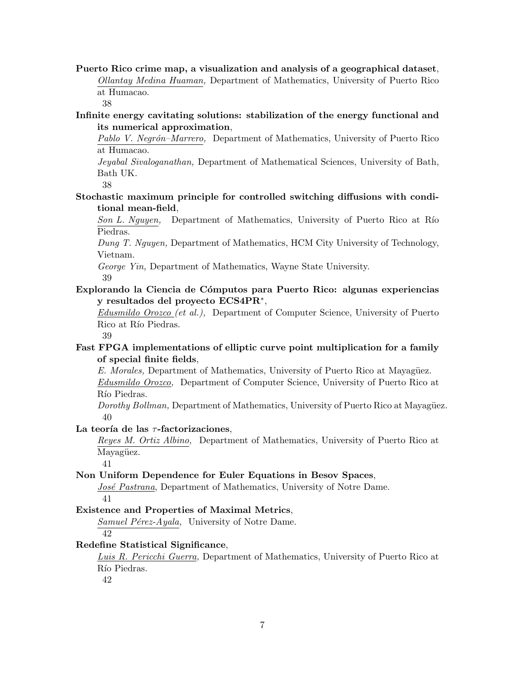**Puerto Rico crime map, a visualization and analysis of a geographical dataset**, *Ollantay Medina Huaman,* Department of Mathematics, University of Puerto Rico at Humacao.

38

#### **Infinite energy cavitating solutions: stabilization of the energy functional and its numerical approximation**,

*Pablo V. Negr´on–Marrero,* Department of Mathematics, University of Puerto Rico at Humacao.

*Jeyabal Sivaloganathan,* Department of Mathematical Sciences, University of Bath, Bath UK.

38

## **Stochastic maximum principle for controlled switching diffusions with conditional mean-field**,

*Son L. Nguyen,* Department of Mathematics, University of Puerto Rico at Río Piedras.

*Dung T. Nguyen,* Department of Mathematics, HCM City University of Technology, Vietnam.

*George Yin,* Department of Mathematics, Wayne State University. 39

## **Explorando la Ciencia de C´omputos para Puerto Rico: algunas experiencias y resultados del proyecto ECS4PR***∗* ,

*Edusmildo Orozco (et al.),* Department of Computer Science, University of Puerto Rico at Río Piedras.

39

## **Fast FPGA implementations of elliptic curve point multiplication for a family of special finite fields**,

*E. Morales,* Department of Mathematics, University of Puerto Rico at Mayagüez.

*Edusmildo Orozco,* Department of Computer Science, University of Puerto Rico at Río Piedras.

*Dorothy Bollman,* Department of Mathematics, University of Puerto Rico at Mayagüez. 40

### La teoría de las  $\tau$ -factorizaciones,

*Reyes M. Ortiz Albino,* Department of Mathematics, University of Puerto Rico at Mayagüez.

41

### **Non Uniform Dependence for Euler Equations in Besov Spaces**,

*José Pastrana*, Department of Mathematics, University of Notre Dame. 41

### **Existence and Properties of Maximal Metrics**,

*Samuel Pérez-Ayala,* University of Notre Dame. 42

### **Redefine Statistical Significance**,

*Luis R. Pericchi Guerra,* Department of Mathematics, University of Puerto Rico at Río Piedras.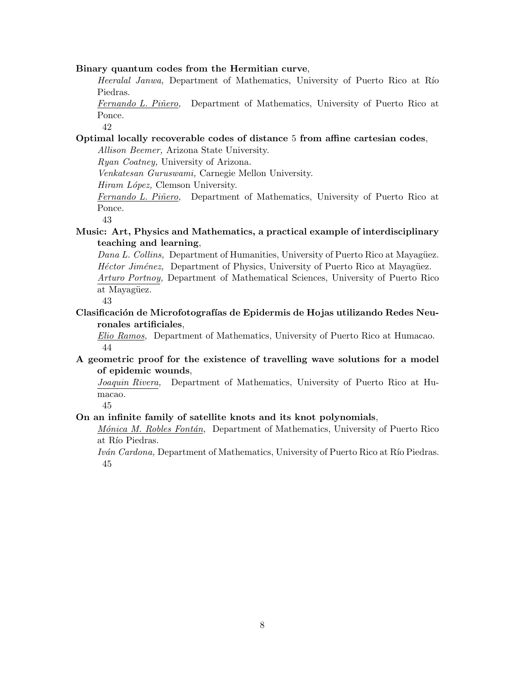#### **Binary quantum codes from the Hermitian curve**,

*Heeralal Janwa*, Department of Mathematics, University of Puerto Rico at Río Piedras.

*Fernando L. Piñero,* Department of Mathematics, University of Puerto Rico at Ponce.

42

## **Optimal locally recoverable codes of distance** 5 **from affine cartesian codes**,

*Allison Beemer,* Arizona State University.

*Ryan Coatney,* University of Arizona.

*Venkatesan Guruswami,* Carnegie Mellon University.

*Hiram L´opez,* Clemson University.

*Fernando L. Piñero,* Department of Mathematics, University of Puerto Rico at Ponce.

43

**Music: Art, Physics and Mathematics, a practical example of interdisciplinary teaching and learning**,

*Dana L. Collins,* Department of Humanities, University of Puerto Rico at Mayagüez. *Héctor Jiménez*, Department of Physics, University of Puerto Rico at Mayagüez. *Arturo Portnoy,* Department of Mathematical Sciences, University of Puerto Rico at Mayagüez.

43

**Clasificaci´on de Microfotograf´ıas de Epidermis de Hojas utilizando Redes Neuronales artificiales**,

*Elio Ramos,* Department of Mathematics, University of Puerto Rico at Humacao. 44

**A geometric proof for the existence of travelling wave solutions for a model of epidemic wounds**,

*Joaquin Rivera,* Department of Mathematics, University of Puerto Rico at Humacao.

45

#### **On an infinite family of satellite knots and its knot polynomials**,

*M´onica M. Robles Font´an,* Department of Mathematics, University of Puerto Rico at Río Piedras.

*Iván Cardona,* Department of Mathematics, University of Puerto Rico at Río Piedras. 45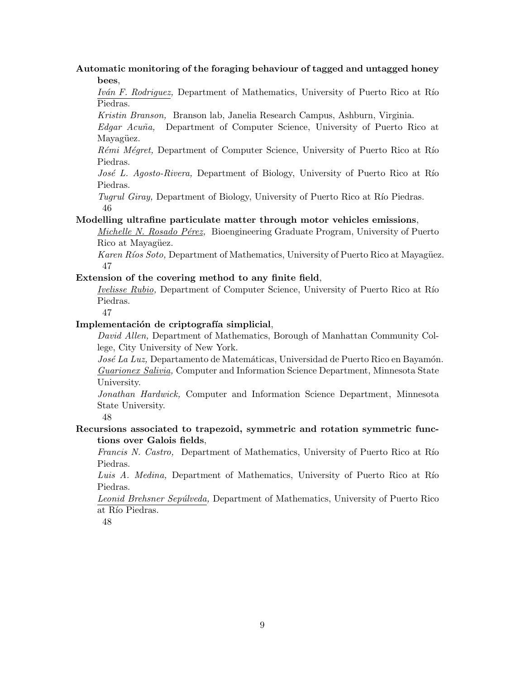#### **Automatic monitoring of the foraging behaviour of tagged and untagged honey bees**,

*Iván F. Rodriguez,* Department of Mathematics, University of Puerto Rico at Río Piedras.

*Kristin Branson,* Branson lab, Janelia Research Campus, Ashburn, Virginia.

*Edgar Acu˜na,* Department of Computer Science, University of Puerto Rico at Mayagüez.

*Rémi Mégret,* Department of Computer Science, University of Puerto Rico at Río Piedras.

*José L. Agosto-Rivera, Department of Biology, University of Puerto Rico at Río* Piedras.

*Tugrul Giray,* Department of Biology, University of Puerto Rico at Río Piedras. 46

#### **Modelling ultrafine particulate matter through motor vehicles emissions**,

*Michelle N. Rosado P´erez,* Bioengineering Graduate Program, University of Puerto Rico at Mayagüez.

*Karen Ríos Soto,* Department of Mathematics, University of Puerto Rico at Mayagüez. 47

#### **Extension of the covering method to any finite field**,

*Ivelisse Rubio,* Department of Computer Science, University of Puerto Rico at Río Piedras.

47

#### Implementación de criptografía simplicial,

*David Allen,* Department of Mathematics, Borough of Manhattan Community College, City University of New York.

*José La Luz*, Departamento de Matemáticas, Universidad de Puerto Rico en Bayamón. *Guarionex Salivia,* Computer and Information Science Department, Minnesota State University.

*Jonathan Hardwick,* Computer and Information Science Department, Minnesota State University.

48

## **Recursions associated to trapezoid, symmetric and rotation symmetric functions over Galois fields**,

*Francis N. Castro,* Department of Mathematics, University of Puerto Rico at Río Piedras.

Luis A. Medina, Department of Mathematics, University of Puerto Rico at Río Piedras.

*Leonid Brehsner Sep´ulveda,* Department of Mathematics, University of Puerto Rico at Río Piedras.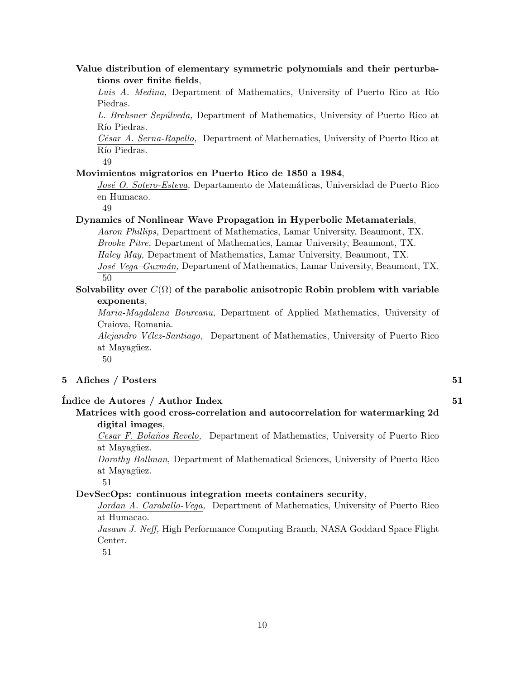#### **Value distribution of elementary symmetric polynomials and their perturbations over finite fields**,

Luis A. Medina, Department of Mathematics, University of Puerto Rico at Río Piedras.

*L. Brehsner Sep´ulveda,* Department of Mathematics, University of Puerto Rico at Río Piedras.

*C´esar A. Serna-Rapello,* Department of Mathematics, University of Puerto Rico at Río Piedras.

49

#### **Movimientos migratorios en Puerto Rico de 1850 a 1984**,

*Jos´e O. Sotero-Esteva,* Departamento de Matem´aticas, Universidad de Puerto Rico en Humacao.

49

#### **Dynamics of Nonlinear Wave Propagation in Hyperbolic Metamaterials**,

*Aaron Phillips,* Department of Mathematics, Lamar University, Beaumont, TX. *Brooke Pitre,* Department of Mathematics, Lamar University, Beaumont, TX. *Haley May,* Department of Mathematics, Lamar University, Beaumont, TX. *Jos´e Vega–Guzm´an,* Department of Mathematics, Lamar University, Beaumont, TX.

50

#### **Solvability over**  $C(\overline{\Omega})$  of the parabolic anisotropic Robin problem with variable **exponents**,

*Maria-Magdalena Boureanu,* Department of Applied Mathematics, University of Craiova, Romania.

*Alejandro V´elez-Santiago,* Department of Mathematics, University of Puerto Rico at Mayagüez.

50

#### **5 Afiches / Posters 51**

#### **´Indice de Autores / Author Index 51**

**Matrices with good cross-correlation and autocorrelation for watermarking 2d digital images**,

*Cesar F. Bola˜nos Revelo,* Department of Mathematics, University of Puerto Rico at Mayagüez.

*Dorothy Bollman,* Department of Mathematical Sciences, University of Puerto Rico at Mayagüez.

51

#### **DevSecOps: continuous integration meets containers security**,

*Jordan A. Caraballo-Vega,* Department of Mathematics, University of Puerto Rico at Humacao.

*Jasaun J. Neff,* High Performance Computing Branch, NASA Goddard Space Flight Center.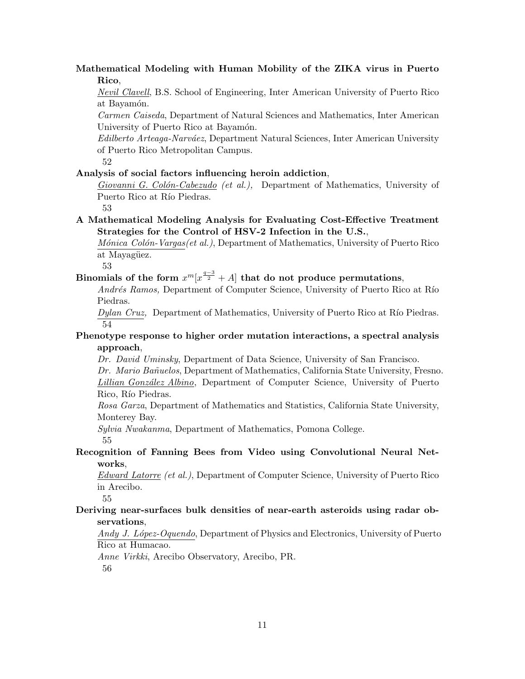## **Mathematical Modeling with Human Mobility of the ZIKA virus in Puerto Rico**,

*Nevil Clavell*, B.S. School of Engineering, Inter American University of Puerto Rico at Bayamón.

*Carmen Caiseda*, Department of Natural Sciences and Mathematics, Inter American University of Puerto Rico at Bayamón.

*Edilberto Arteaga-Narv´aez*, Department Natural Sciences, Inter American University of Puerto Rico Metropolitan Campus.

52

#### **Analysis of social factors influencing heroin addiction**,

*Giovanni G. Col´on-Cabezudo (et al.),* Department of Mathematics, University of Puerto Rico at Río Piedras.

53

#### **A Mathematical Modeling Analysis for Evaluating Cost-Effective Treatment Strategies for the Control of HSV-2 Infection in the U.S.**,

*Mónica Colón-Vargas(et al.)*, Department of Mathematics, University of Puerto Rico at Mayagüez.

53

## Binomials of the form  $x^m[x^{\frac{q-3}{2}}+A]$  that do not produce permutations,

*Andrés Ramos,* Department of Computer Science, University of Puerto Rico at Río Piedras.

*Dylan Cruz*, Department of Mathematics, University of Puerto Rico at Río Piedras. 54

#### **Phenotype response to higher order mutation interactions, a spectral analysis approach**,

*Dr. David Uminsky*, Department of Data Science, University of San Francisco.

*Dr. Mario Ba˜nuelos*, Department of Mathematics, California State University, Fresno. *Lillian Gonz´alez Albino*, Department of Computer Science, University of Puerto Rico, Río Piedras.

*Rosa Garza*, Department of Mathematics and Statistics, California State University, Monterey Bay.

*Sylvia Nwakanma*, Department of Mathematics, Pomona College.

55

## **Recognition of Fanning Bees from Video using Convolutional Neural Networks**,

*Edward Latorre (et al.)*, Department of Computer Science, University of Puerto Rico in Arecibo.

55

#### **Deriving near-surfaces bulk densities of near-earth asteroids using radar observations**,

*Andy J. L´opez-Oquendo*, Department of Physics and Electronics, University of Puerto Rico at Humacao.

*Anne Virkki*, Arecibo Observatory, Arecibo, PR.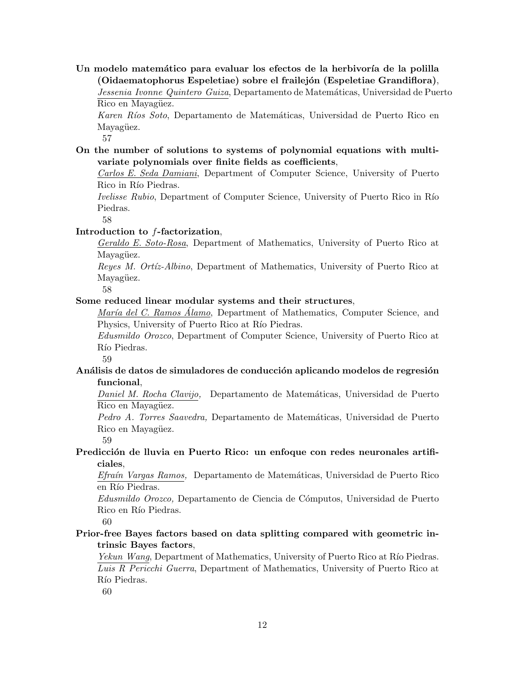Un modelo matemático para evaluar los efectos de la herbivoría de la polilla **(Oidaematophorus Espeletiae) sobre el frailej´on (Espeletiae Grandiflora)**, *Jessenia Ivonne Quintero Guiza*, Departamento de Matem´aticas, Universidad de Puerto Rico en Mayagüez.

*Karen R´ıos Soto*, Departamento de Matem´aticas, Universidad de Puerto Rico en Mayagüez.

57

**On the number of solutions to systems of polynomial equations with multivariate polynomials over finite fields as coefficients**,

*Carlos E. Seda Damiani*, Department of Computer Science, University of Puerto Rico in Río Piedras.

*Ivelisse Rubio*, Department of Computer Science, University of Puerto Rico in Río Piedras.

58

#### **Introduction to** *f***-factorization**,

*Geraldo E. Soto-Rosa*, Department of Mathematics, University of Puerto Rico at Mayagüez.

*Reyes M. Ort´ız-Albino*, Department of Mathematics, University of Puerto Rico at Mayagüez.

58

#### **Some reduced linear modular systems and their structures**,

*María del C. Ramos Álamo*, Department of Mathematics, Computer Science, and Physics, University of Puerto Rico at Río Piedras.

*Edusmildo Orozco*, Department of Computer Science, University of Puerto Rico at Río Piedras.

59

#### Análisis de datos de simuladores de conducción aplicando modelos de regresión **funcional**,

*Daniel M. Rocha Clavijo,* Departamento de Matemáticas, Universidad de Puerto Rico en Mayagüez.

*Pedro A. Torres Saavedra,* Departamento de Matem´aticas, Universidad de Puerto Rico en Mayagüez.

59

#### Predicción de lluvia en Puerto Rico: un enfoque con redes neuronales artifi**ciales**,

*Efra´ın Vargas Ramos,* Departamento de Matem´aticas, Universidad de Puerto Rico en Río Piedras.

*Edusmildo Orozco,* Departamento de Ciencia de C´omputos, Universidad de Puerto Rico en Río Piedras.

60

## **Prior-free Bayes factors based on data splitting compared with geometric intrinsic Bayes factors**,

*Yekun Wang*, Department of Mathematics, University of Puerto Rico at Río Piedras. *Luis R Pericchi Guerra*, Department of Mathematics, University of Puerto Rico at Río Piedras.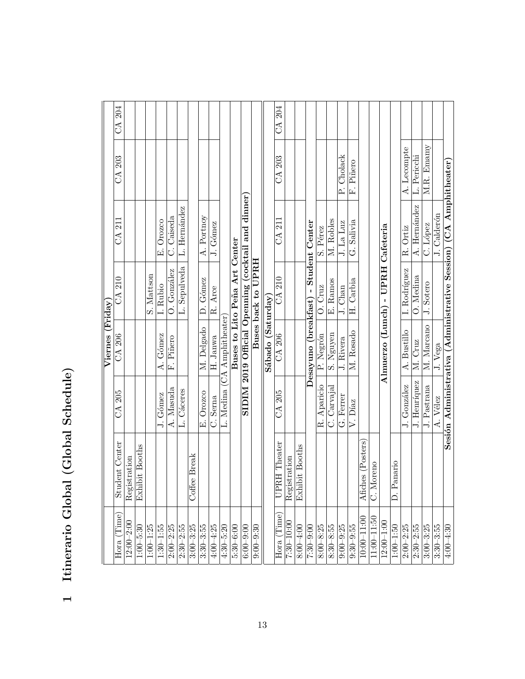| ۱<br>ا                            |
|-----------------------------------|
| $\frac{1}{2}$                     |
| $\overline{O}$                    |
| $\sim$ $\sim$ $\sim$<br>יי היה הי |
| I                                 |

|                  | CA 204                       |                |                                     |               |               |               |               |                |               |               |                             |                               |                                                    |                    |                   | CA 204                 |                |                       |                                       |               |               |               |                       |                   |                  |                                   |                     |               |               |               |                       |               |             |                                                                  |
|------------------|------------------------------|----------------|-------------------------------------|---------------|---------------|---------------|---------------|----------------|---------------|---------------|-----------------------------|-------------------------------|----------------------------------------------------|--------------------|-------------------|------------------------|----------------|-----------------------|---------------------------------------|---------------|---------------|---------------|-----------------------|-------------------|------------------|-----------------------------------|---------------------|---------------|---------------|---------------|-----------------------|---------------|-------------|------------------------------------------------------------------|
|                  | CA 203                       |                |                                     |               |               |               |               |                |               |               |                             |                               |                                                    |                    |                   | CA 203                 |                |                       |                                       |               |               | P. Cholack    | F. Piñero             |                   |                  |                                   |                     | A. Lecompte   | L. Pericchi   | M.R. Emamy    |                       |               |             |                                                                  |
|                  | CA 211                       |                |                                     |               | E. Orozco     | C. Caiseda    | L. Hernández  |                | A. Portnoy    | J. Gómez      |                             |                               | SIDIM 2019 Official Openning (cocktail and dinner) |                    |                   |                        |                | CA 211                |                                       |               |               | S. Pérez      | M. Robles             | J. La Luz         | G. Salivia       |                                   |                     |               |               | R. Ortiz      | A. Hernández          | C. López      | J. Calderón | Sesión Administrativa (Administrative Session) (CA Amphitheater) |
|                  | CA 210                       |                |                                     | S. Mattson    | I. Rubio      | O. González   | L. Sepulveda  |                | D. Gómez      | R. Arce       |                             | Buses to Lito Peña Art Center |                                                    | Buses back to UPRH |                   | <b>CA 210</b>          |                |                       | Desayuno (breakfast) - Student Center | O. Cruz       | E. Ramos      | J. Chan       | H. Carbia             |                   |                  | Almuerzo (Lunch) - UPRH Cafeteria |                     | I. Rodríguez  | O. Medina     | J. Sotero     |                       |               |             |                                                                  |
| Viernes (Friday) | $CA$ 206                     |                |                                     |               | A. Gómez      | F. Piñero     |               |                | M. Delgado    | H. Janwa      | L. Medina (CA Amphitheater) |                               |                                                    |                    | Sábado (Saturday) | CA 206                 |                |                       |                                       | P. Negrón     | S. Nguyen     | J. Rivera     | M. Rosado             |                   |                  |                                   |                     | A. Bustillo   | M. Cruz       | M. Marcano    | $\overline{J}$ . Vega |               |             |                                                                  |
|                  | CA 205                       |                |                                     |               | J. Gómez      | A. Masuda     | L. Cáceres    |                | E. Orozco     | C. Serna      |                             |                               |                                                    |                    |                   | CA 205                 |                |                       |                                       | R. Aparicio   | C. Carvajal   | G. Ferrer     | $\overline{V}$ . Díaz |                   |                  |                                   |                     | J. González   | J. Henríquez  | J. Pastrana   | A. Vélez              |               |             |                                                                  |
|                  | ident Center<br>$_{\rm stu}$ | Registration   | ibit Booths<br>$\bar{\mathrm{Exh}}$ |               |               |               |               | fee Break<br>5 |               |               |                             |                               |                                                    |                    |                   | <b>RH</b> Theater<br>B | Registration   | <b>Exhibit Booths</b> |                                       |               |               |               |                       | Afiches (Posters) | Moreno<br>ದ<br>ಲ |                                   | Panario<br>$\Delta$ |               |               |               |                       |               |             |                                                                  |
|                  | (Time)<br>Hora (             | $12:00 - 2:00$ | $1:00 - 5:30$                       | $1:00 - 1:25$ | $1:30 - 1:55$ | $2:00 - 2:25$ | $2:30 - 2:55$ | $3:00 - 3:25$  | $3:30 - 3:55$ | $4.00 - 4.25$ | $4:30 - 5:20$               | $5:30 - 6:00$                 | $6:00 - 9:00$                                      | $0.00 - 9.30$      |                   | $Hora$ (Time)          | $7:30 - 10:00$ | $8:00 - 4:00$         | $7:30 - 9:00$                         | $8:00 - 8:25$ | $8:30 - 8:55$ | $9:00 - 9:25$ | $9:30 - 9:55$         | $10:00 - 11:00$   | $11:00 - 11:50$  | $12:00 - 1:00$                    | $1:00 - 1:50$       | $2:00 - 2:25$ | $2:30 - 2:55$ | $3:00 - 3:25$ | $3:30 - 3:55$         | $4.00 - 4.30$ |             |                                                                  |

−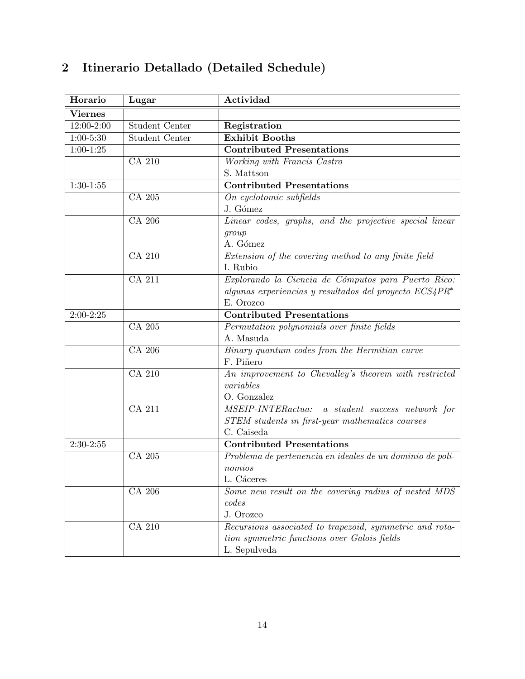| Horario        | Lugar                 | Actividad                                                  |
|----------------|-----------------------|------------------------------------------------------------|
| <b>Viernes</b> |                       |                                                            |
| 12:00-2:00     | <b>Student Center</b> | Registration                                               |
| $1:00-5:30$    | <b>Student Center</b> | <b>Exhibit Booths</b>                                      |
| $1:00-1:25$    |                       | <b>Contributed Presentations</b>                           |
|                | <b>CA 210</b>         | Working with Francis Castro                                |
|                |                       | S. Mattson                                                 |
| $1:30-1:55$    |                       | <b>Contributed Presentations</b>                           |
|                | CA 205                | On cyclotomic subfields                                    |
|                |                       | J. Gómez                                                   |
|                | CA 206                | Linear codes, graphs, and the projective special linear    |
|                |                       | group                                                      |
|                |                       | A. Gómez                                                   |
|                | CA 210                | Extension of the covering method to any finite field       |
|                |                       | I. Rubio                                                   |
|                | <b>CA 211</b>         | Explorando la Ciencia de Cómputos para Puerto Rico:        |
|                |                       | algunas experiencias y resultados del proyecto $ECS_4PR^*$ |
|                |                       | E. Orozco                                                  |
| $2:00-2:25$    |                       | <b>Contributed Presentations</b>                           |
|                | CA 205                | Permutation polynomials over finite fields                 |
|                |                       | A. Masuda                                                  |
|                | CA 206                | Binary quantum codes from the Hermitian curve              |
|                |                       | F. Piñero                                                  |
|                | <b>CA 210</b>         | An improvement to Chevalley's theorem with restricted      |
|                |                       | variables                                                  |
|                |                       | O. Gonzalez                                                |
|                | <b>CA 211</b>         | MSEIP-INTERactua: a student success network for            |
|                |                       | STEM students in first-year mathematics courses            |
|                |                       | C. Caiseda                                                 |
| $2:30-2:55$    |                       | <b>Contributed Presentations</b>                           |
|                | CA 205                | Problema de pertenencia en ideales de un dominio de poli-  |
|                |                       | nomios                                                     |
|                |                       | L. Cáceres                                                 |
|                | CA 206                | Some new result on the covering radius of nested MDS       |
|                |                       | codes                                                      |
|                |                       | J. Orozco                                                  |
|                | <b>CA 210</b>         | Recursions associated to trapezoid, symmetric and rota-    |
|                |                       | tion symmetric functions over Galois fields                |
|                |                       | L. Sepulveda                                               |

# **2 Itinerario Detallado (Detailed Schedule)**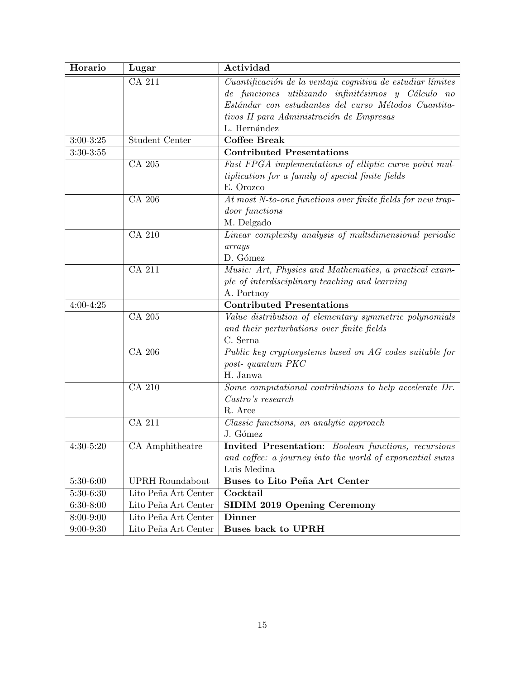| Horario       | Lugar                       | Actividad                                                   |
|---------------|-----------------------------|-------------------------------------------------------------|
|               | CA 211                      | Cuantificación de la ventaja cognitiva de estudiar límites  |
|               |                             | de funciones utilizando infinitésimos y Cálculo no          |
|               |                             | Estándar con estudiantes del curso Métodos Cuantita-        |
|               |                             | tivos II para Administración de Empresas                    |
|               |                             | L. Hernández                                                |
| $3:00 - 3:25$ | <b>Student Center</b>       | <b>Coffee Break</b>                                         |
| $3:30-3:55$   |                             | <b>Contributed Presentations</b>                            |
|               | CA 205                      | Fast FPGA implementations of elliptic curve point mul-      |
|               |                             | tiplication for a family of special finite fields           |
|               |                             | E. Orozco                                                   |
|               | CA 206                      | At most N-to-one functions over finite fields for new trap- |
|               |                             | <i>door functions</i>                                       |
|               |                             | M. Delgado                                                  |
|               | CA 210                      | Linear complexity analysis of multidimensional periodic     |
|               |                             | arrays                                                      |
|               |                             | D. Gómez                                                    |
|               | <b>CA 211</b>               | Music: Art, Physics and Mathematics, a practical exam-      |
|               |                             | ple of interdisciplinary teaching and learning              |
|               |                             | A. Portnoy                                                  |
| $4:00 - 4:25$ |                             | <b>Contributed Presentations</b>                            |
|               | <b>CA 205</b>               | Value distribution of elementary symmetric polynomials      |
|               |                             | and their perturbations over finite fields                  |
|               |                             | C. Serna                                                    |
|               | <b>CA 206</b>               | Public key cryptosystems based on AG codes suitable for     |
|               |                             | post-quantum PKC                                            |
|               |                             | H. Janwa                                                    |
|               | $\overline{\text{CA } 210}$ | Some computational contributions to help accelerate Dr.     |
|               |                             | Castro's research                                           |
|               |                             | R. Arce                                                     |
|               | <b>CA 211</b>               | Classic functions, an analytic approach                     |
|               |                             | J. Gómez                                                    |
| $4:30 - 5:20$ | CA Amphitheatre             | <b>Invited Presentation:</b> Boolean functions, recursions  |
|               |                             | and coffee: a journey into the world of exponential sums    |
|               |                             | Luis Medina                                                 |
| $5:30-6:00$   | <b>UPRH</b> Roundabout      | Buses to Lito Peña Art Center                               |
| $5:30-6:30$   | Lito Peña Art Center        | Cocktail                                                    |
| $6:30-8:00$   | Lito Peña Art Center        | <b>SIDIM 2019 Opening Ceremony</b>                          |
| $8:00 - 9:00$ | Lito Peña Art Center        | <b>Dinner</b>                                               |
| $9:00-9:30$   | Lito Peña Art Center        | <b>Buses back to UPRH</b>                                   |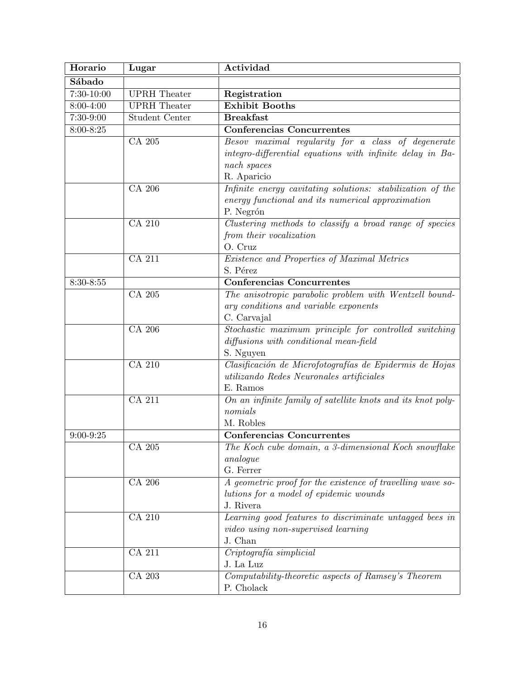| Horario       | Lugar               | Actividad                                                                                      |
|---------------|---------------------|------------------------------------------------------------------------------------------------|
| Sábado        |                     |                                                                                                |
| $7:30-10:00$  | <b>UPRH</b> Theater | Registration                                                                                   |
| 8:00-4:00     | <b>UPRH</b> Theater | <b>Exhibit Booths</b>                                                                          |
| 7:30-9:00     | Student Center      | <b>Breakfast</b>                                                                               |
| $8:00 - 8:25$ |                     | Conferencias Concurrentes                                                                      |
|               | CA 205              | Besov maximal regularity for a class of degenerate                                             |
|               |                     | integro-differential equations with infinite delay in Ba-                                      |
|               |                     | nach spaces                                                                                    |
|               |                     | R. Aparicio                                                                                    |
|               | CA 206              | Infinite energy cavitating solutions: stabilization of the                                     |
|               |                     | energy functional and its numerical approximation                                              |
|               |                     | P. Negrón                                                                                      |
|               | CA 210              | Clustering methods to classify a broad range of species                                        |
|               |                     | from their vocalization                                                                        |
|               |                     | O. Cruz                                                                                        |
|               | <b>CA 211</b>       | Existence and Properties of Maximal Metrics                                                    |
|               |                     | S. Pérez                                                                                       |
| $8:30 - 8:55$ |                     | <b>Conferencias Concurrentes</b>                                                               |
|               | CA 205              | The anisotropic parabolic problem with Wentzell bound-                                         |
|               |                     | ary conditions and variable exponents                                                          |
|               |                     | C. Carvajal                                                                                    |
|               | CA 206              | Stochastic maximum principle for controlled switching                                          |
|               |                     | diffusions with conditional mean-field                                                         |
|               |                     | S. Nguyen                                                                                      |
|               | CA 210              | Clasificación de Microfotografías de Epidermis de Hojas                                        |
|               |                     | utilizando Redes Neuronales artificiales                                                       |
|               |                     | E. Ramos                                                                                       |
|               | <b>CA 211</b>       | On an infinite family of satellite knots and its knot poly-                                    |
|               |                     | nomials                                                                                        |
|               |                     | M. Robles                                                                                      |
| $9:00 - 9:25$ |                     | <b>Conferencias Concurrentes</b>                                                               |
|               | ${\rm CA}$ 205      | The Koch cube domain, a 3-dimensional Koch snowflake                                           |
|               |                     | analogue                                                                                       |
|               |                     | G. Ferrer                                                                                      |
|               | CA 206              | A geometric proof for the existence of travelling wave so-                                     |
|               |                     | lutions for a model of epidemic wounds<br>J. Rivera                                            |
|               | <b>CA 210</b>       |                                                                                                |
|               |                     | Learning good features to discriminate untagged bees in<br>video using non-supervised learning |
|               |                     | J. Chan                                                                                        |
|               | CA 211              | Criptografía simplicial                                                                        |
|               |                     | J. La Luz                                                                                      |
|               | CA 203              | Computability-theoretic aspects of Ramsey's Theorem                                            |
|               |                     | P. Cholack                                                                                     |
|               |                     |                                                                                                |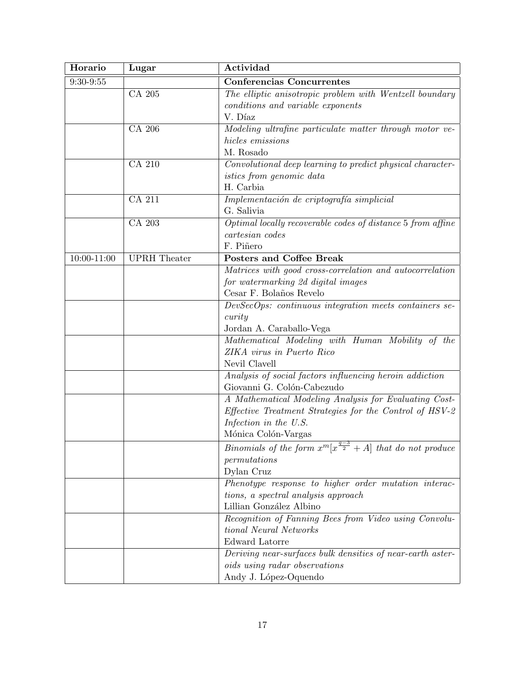| Horario     | Lugar               | Actividad                                                                     |
|-------------|---------------------|-------------------------------------------------------------------------------|
| $9:30-9:55$ |                     | <b>Conferencias Concurrentes</b>                                              |
|             | CA 205              | The elliptic anisotropic problem with Wentzell boundary                       |
|             |                     | conditions and variable exponents                                             |
|             |                     | V. Díaz                                                                       |
|             | CA 206              | Modeling ultrafine particulate matter through motor ve-                       |
|             |                     | hicles emissions                                                              |
|             |                     | M. Rosado                                                                     |
|             | CA 210              | Convolutional deep learning to predict physical character-                    |
|             |                     | <i>istics from genomic data</i>                                               |
|             |                     | H. Carbia                                                                     |
|             | CA 211              | Implementación de criptografía simplicial                                     |
|             |                     | G. Salivia                                                                    |
|             | CA 203              | Optimal locally recoverable codes of distance 5 from affine                   |
|             |                     | cartesian codes                                                               |
|             |                     | F. Piñero                                                                     |
| 10:00-11:00 | <b>UPRH</b> Theater | Posters and Coffee Break                                                      |
|             |                     | Matrices with good cross-correlation and autocorrelation                      |
|             |                     | for watermarking 2d digital images                                            |
|             |                     | Cesar F. Bolaños Revelo                                                       |
|             |                     | DevSecOps: continuous integration meets containers se-                        |
|             |                     | curity                                                                        |
|             |                     | Jordan A. Caraballo-Vega                                                      |
|             |                     | Mathematical Modeling with Human Mobility of the                              |
|             |                     | ZIKA virus in Puerto Rico                                                     |
|             |                     | Nevil Clavell                                                                 |
|             |                     | Analysis of social factors influencing heroin addiction                       |
|             |                     | Giovanni G. Colón-Cabezudo                                                    |
|             |                     | A Mathematical Modeling Analysis for Evaluating Cost-                         |
|             |                     | Effective Treatment Strategies for the Control of HSV-2                       |
|             |                     | Infection in the U.S.                                                         |
|             |                     | Mónica Colón-Vargas                                                           |
|             |                     | <i>Binomials of the form</i> $x^m[x^{\frac{q-3}{2}} + A]$ that do not produce |
|             |                     | permutations                                                                  |
|             |                     | Dylan Cruz                                                                    |
|             |                     | Phenotype response to higher order mutation interac-                          |
|             |                     | tions, a spectral analysis approach                                           |
|             |                     | Lillian González Albino                                                       |
|             |                     | Recognition of Fanning Bees from Video using Convolu-                         |
|             |                     | tional Neural Networks                                                        |
|             |                     | Edward Latorre                                                                |
|             |                     | Deriving near-surfaces bulk densities of near-earth aster-                    |
|             |                     | oids using radar observations                                                 |
|             |                     | Andy J. López-Oquendo                                                         |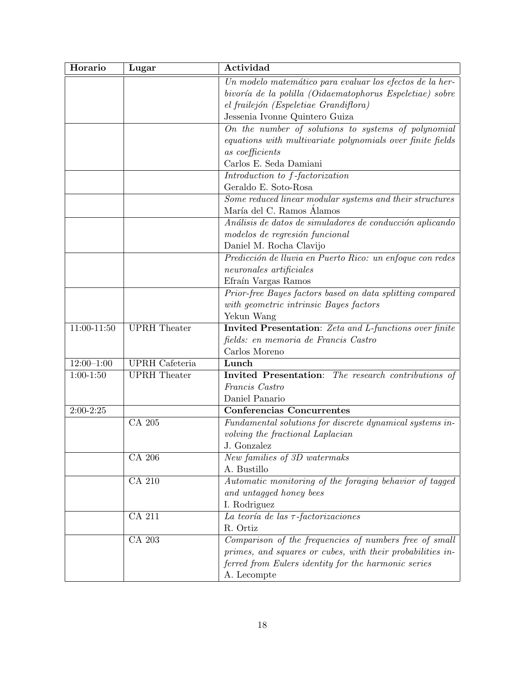| Horario        | Lugar                 | Actividad                                                             |
|----------------|-----------------------|-----------------------------------------------------------------------|
|                |                       | Un modelo matemático para evaluar los efectos de la her-              |
|                |                       | bivoría de la polilla (Oidaematophorus Espeletiae) sobre              |
|                |                       | el frailejón (Espeletiae Grandiflora)                                 |
|                |                       | Jessenia Ivonne Quintero Guiza                                        |
|                |                       | On the number of solutions to systems of polynomial                   |
|                |                       | equations with multivariate polynomials over finite fields            |
|                |                       | as coefficients                                                       |
|                |                       | Carlos E. Seda Damiani                                                |
|                |                       | Introduction to f-factorization                                       |
|                |                       | Geraldo E. Soto-Rosa                                                  |
|                |                       | $\overline{Some~reduced~linear~modular~systems~and~their~structures}$ |
|                |                       | María del C. Ramos Álamos                                             |
|                |                       | Análisis de datos de simuladores de conducción aplicando              |
|                |                       | modelos de regresión funcional                                        |
|                |                       | Daniel M. Rocha Clavijo                                               |
|                |                       | Predicción de lluvia en Puerto Rico: un enfoque con redes             |
|                |                       | $neurons$ artificiales                                                |
|                |                       | Efraín Vargas Ramos                                                   |
|                |                       | Prior-free Bayes factors based on data splitting compared             |
|                |                       | with geometric intrinsic Bayes factors                                |
|                |                       | Yekun Wang                                                            |
| 11:00-11:50    | <b>UPRH</b> Theater   | <b>Invited Presentation:</b> Zeta and L-functions over finite         |
|                |                       | fields: en memoria de Francis Castro                                  |
|                |                       | Carlos Moreno                                                         |
| $12:00 - 1:00$ | <b>UPRH</b> Cafeteria | Lunch                                                                 |
| $1:00-1:50$    | <b>UPRH</b> Theater   | Invited Presentation: The research contributions of                   |
|                |                       | Francis Castro                                                        |
|                |                       | Daniel Panario                                                        |
| $2:00-2:25$    |                       | <b>Conferencias Concurrentes</b>                                      |
|                | CA 205                | Fundamental solutions for discrete dynamical systems in-              |
|                |                       | volving the fractional Laplacian                                      |
|                |                       | J. Gonzalez                                                           |
|                | CA 206                | New families of 3D watermaks                                          |
|                |                       | A. Bustillo                                                           |
|                | <b>CA 210</b>         | Automatic monitoring of the foraging behavior of tagged               |
|                |                       | and untagged honey bees                                               |
|                |                       | I. Rodriguez                                                          |
|                | CA 211                | La teoría de las $\tau$ -factorizaciones                              |
|                |                       | R. Ortiz                                                              |
|                | CA 203                | Comparison of the frequencies of numbers free of small                |
|                |                       | primes, and squares or cubes, with their probabilities in-            |
|                |                       | ferred from Eulers identity for the harmonic series                   |
|                |                       | A. Lecompte                                                           |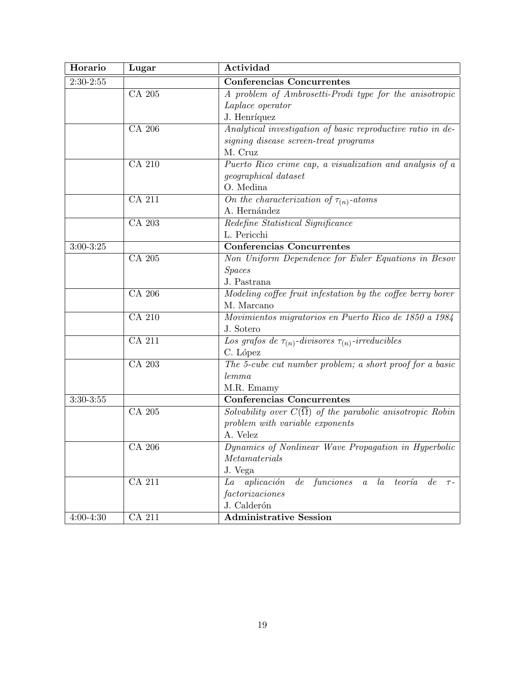| Horario       | Lugar         | Actividad                                                                  |
|---------------|---------------|----------------------------------------------------------------------------|
| $2:30-2:55$   |               | Conferencias Concurrentes                                                  |
|               | CA 205        | A problem of Ambrosetti-Prodi type for the anisotropic                     |
|               |               | Laplace operator                                                           |
|               |               | J. Henríquez                                                               |
|               | CA 206        | Analytical investigation of basic reproductive ratio in de-                |
|               |               | signing disease screen-treat programs                                      |
|               |               | M. Cruz                                                                    |
|               | CA 210        | Puerto Rico crime cap, a visualization and analysis of a                   |
|               |               | <i>geographical dataset</i>                                                |
|               |               | O. Medina                                                                  |
|               | CA 211        | $\overline{On}$ the characterization of $\tau_{(n)}$ -atoms                |
|               |               | A. Hernández                                                               |
|               | CA 203        | Redefine Statistical Significance                                          |
|               |               | L. Pericchi                                                                |
| $3:00-3:25$   |               | <b>Conferencias Concurrentes</b>                                           |
|               | CA 205        | Non Uniform Dependence for Euler Equations in Besov                        |
|               |               | <b>Spaces</b>                                                              |
|               |               | J. Pastrana                                                                |
|               | CA 206        | Modeling coffee fruit infestation by the coffee berry borer                |
|               |               | M. Marcano                                                                 |
|               | <b>CA 210</b> | Movimientos migratorios en Puerto Rico de 1850 a 1984                      |
|               |               | J. Sotero                                                                  |
|               | CA 211        | Los grafos de $\tau_{(n)}$ -divisores $\tau_{(n)}$ -irreducibles           |
|               |               | C. López                                                                   |
|               | CA 203        | The 5-cube cut number problem; a short proof for a basic                   |
|               |               | lemma                                                                      |
|               |               | M.R. Emamy                                                                 |
| $3:30-3:55$   |               | Conferencias Concurrentes                                                  |
|               | CA 205        | Solvability over $C(\overline{\Omega})$ of the parabolic anisotropic Robin |
|               |               | $problem$ with variable exponents                                          |
|               |               | A. Velez                                                                   |
|               | CA 206        | Dynamics of Nonlinear Wave Propagation in Hyperbolic                       |
|               |               | Metamaterials                                                              |
|               |               | J. Vega                                                                    |
|               | <b>CA 211</b> | aplicación<br>de<br>funciones a la<br>teoría<br>La<br>de<br>$\tau$ -       |
|               |               | factorizaciones                                                            |
|               |               | J. Calderón                                                                |
| $4:00 - 4:30$ | $CA$ 211      | <b>Administrative Session</b>                                              |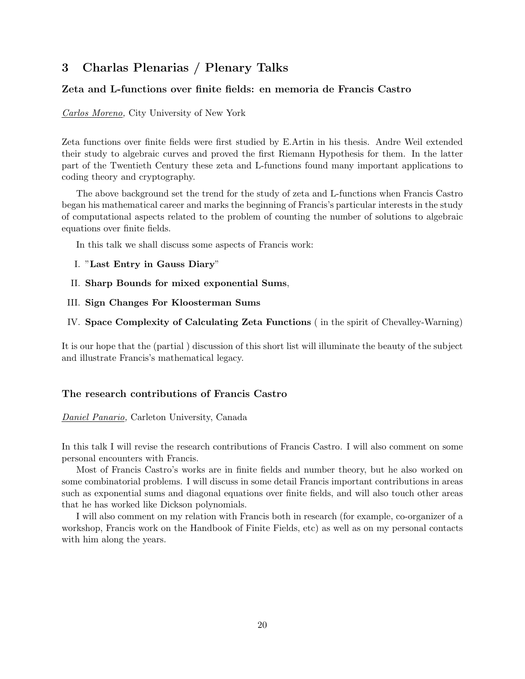## **3 Charlas Plenarias / Plenary Talks**

### **Zeta and L-functions over finite fields: en memoria de Francis Castro**

*Carlos Moreno,* City University of New York

Zeta functions over finite fields were first studied by E.Artin in his thesis. Andre Weil extended their study to algebraic curves and proved the first Riemann Hypothesis for them. In the latter part of the Twentieth Century these zeta and L-functions found many important applications to coding theory and cryptography.

The above background set the trend for the study of zeta and L-functions when Francis Castro began his mathematical career and marks the beginning of Francis's particular interests in the study of computational aspects related to the problem of counting the number of solutions to algebraic equations over finite fields.

In this talk we shall discuss some aspects of Francis work:

- I. "**Last Entry in Gauss Diary**"
- II. **Sharp Bounds for mixed exponential Sums**,
- III. **Sign Changes For Kloosterman Sums**

IV. **Space Complexity of Calculating Zeta Functions** ( in the spirit of Chevalley-Warning)

It is our hope that the (partial ) discussion of this short list will illuminate the beauty of the subject and illustrate Francis's mathematical legacy.

#### **The research contributions of Francis Castro**

#### *Daniel Panario,* Carleton University, Canada

In this talk I will revise the research contributions of Francis Castro. I will also comment on some personal encounters with Francis.

Most of Francis Castro's works are in finite fields and number theory, but he also worked on some combinatorial problems. I will discuss in some detail Francis important contributions in areas such as exponential sums and diagonal equations over finite fields, and will also touch other areas that he has worked like Dickson polynomials.

I will also comment on my relation with Francis both in research (for example, co-organizer of a workshop, Francis work on the Handbook of Finite Fields, etc) as well as on my personal contacts with him along the years.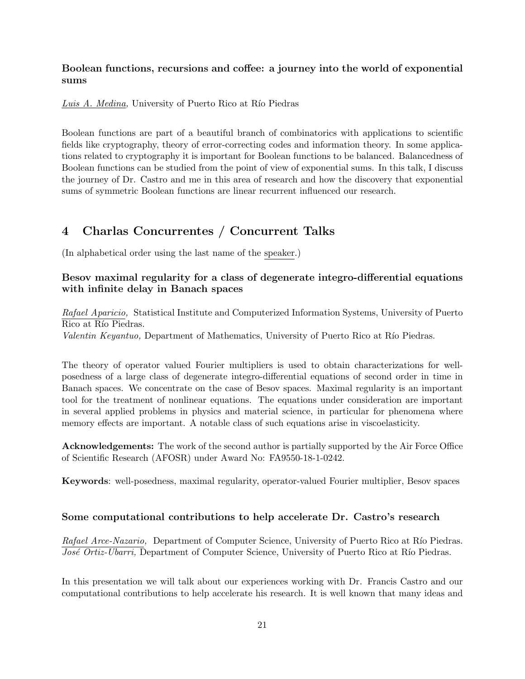## **Boolean functions, recursions and coffee: a journey into the world of exponential sums**

*Luis A. Medina*, University of Puerto Rico at Río Piedras

Boolean functions are part of a beautiful branch of combinatorics with applications to scientific fields like cryptography, theory of error-correcting codes and information theory. In some applications related to cryptography it is important for Boolean functions to be balanced. Balancedness of Boolean functions can be studied from the point of view of exponential sums. In this talk, I discuss the journey of Dr. Castro and me in this area of research and how the discovery that exponential sums of symmetric Boolean functions are linear recurrent influenced our research.

## **4 Charlas Concurrentes / Concurrent Talks**

(In alphabetical order using the last name of the speaker.)

## **Besov maximal regularity for a class of degenerate integro-differential equations with infinite delay in Banach spaces**

*Rafael Aparicio,* Statistical Institute and Computerized Information Systems, University of Puerto Rico at Río Piedras. *Valentin Keyantuo,* Department of Mathematics, University of Puerto Rico at Río Piedras.

The theory of operator valued Fourier multipliers is used to obtain characterizations for wellposedness of a large class of degenerate integro-differential equations of second order in time in Banach spaces. We concentrate on the case of Besov spaces. Maximal regularity is an important tool for the treatment of nonlinear equations. The equations under consideration are important in several applied problems in physics and material science, in particular for phenomena where memory effects are important. A notable class of such equations arise in viscoelasticity.

**Acknowledgements:** The work of the second author is partially supported by the Air Force Office of Scientific Research (AFOSR) under Award No: FA9550-18-1-0242.

**Keywords**: well-posedness, maximal regularity, operator-valued Fourier multiplier, Besov spaces

## **Some computational contributions to help accelerate Dr. Castro's research**

*Rafael Arce-Nazario,* Department of Computer Science, University of Puerto Rico at Río Piedras. *José Ortiz-Ubarri*, Department of Computer Science, University of Puerto Rico at Río Piedras.

In this presentation we will talk about our experiences working with Dr. Francis Castro and our computational contributions to help accelerate his research. It is well known that many ideas and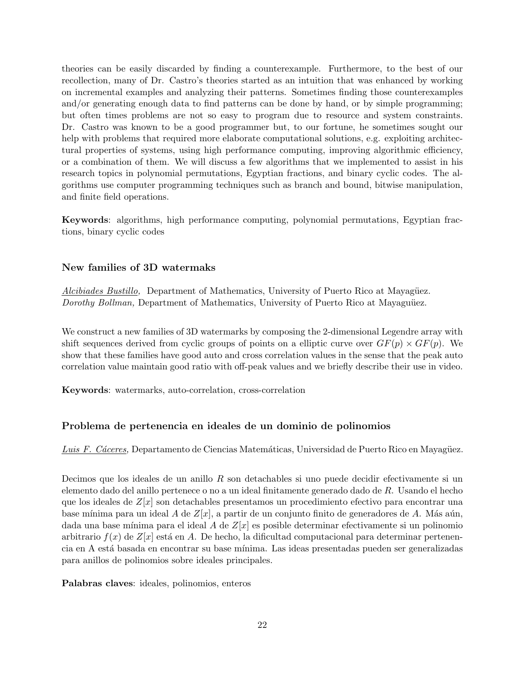theories can be easily discarded by finding a counterexample. Furthermore, to the best of our recollection, many of Dr. Castro's theories started as an intuition that was enhanced by working on incremental examples and analyzing their patterns. Sometimes finding those counterexamples and/or generating enough data to find patterns can be done by hand, or by simple programming; but often times problems are not so easy to program due to resource and system constraints. Dr. Castro was known to be a good programmer but, to our fortune, he sometimes sought our help with problems that required more elaborate computational solutions, e.g. exploiting architectural properties of systems, using high performance computing, improving algorithmic efficiency, or a combination of them. We will discuss a few algorithms that we implemented to assist in his research topics in polynomial permutations, Egyptian fractions, and binary cyclic codes. The algorithms use computer programming techniques such as branch and bound, bitwise manipulation, and finite field operations.

**Keywords**: algorithms, high performance computing, polynomial permutations, Egyptian fractions, binary cyclic codes

#### **New families of 3D watermaks**

*Alcibiades Bustillo,* Department of Mathematics, University of Puerto Rico at Mayagüez. *Dorothy Bollman,* Department of Mathematics, University of Puerto Rico at Mayaguüez.

We construct a new families of 3D watermarks by composing the 2-dimensional Legendre array with shift sequences derived from cyclic groups of points on a elliptic curve over  $GF(p) \times GF(p)$ . We show that these families have good auto and cross correlation values in the sense that the peak auto correlation value maintain good ratio with off-peak values and we briefly describe their use in video.

**Keywords**: watermarks, auto-correlation, cross-correlation

#### **Problema de pertenencia en ideales de un dominio de polinomios**

Luis F. Cáceres, Departamento de Ciencias Matemáticas, Universidad de Puerto Rico en Mayagüez.

Decimos que los ideales de un anillo *R* son detachables si uno puede decidir efectivamente si un elemento dado del anillo pertenece o no a un ideal finitamente generado dado de *R*. Usando el hecho que los ideales de *Z*[*x*] son detachables presentamos un procedimiento efectivo para encontrar una base mínima para un ideal *A* de  $Z[x]$ , a partir de un conjunto finito de generadores de *A*. Más aún, dada una base mínima para el ideal A de  $Z[x]$  es posible determinar efectivamente si un polinomio arbitrario  $f(x)$  de  $Z[x]$  está en A. De hecho, la dificultad computacional para determinar pertenencia en A est´a basada en encontrar su base m´ınima. Las ideas presentadas pueden ser generalizadas para anillos de polinomios sobre ideales principales.

**Palabras claves**: ideales, polinomios, enteros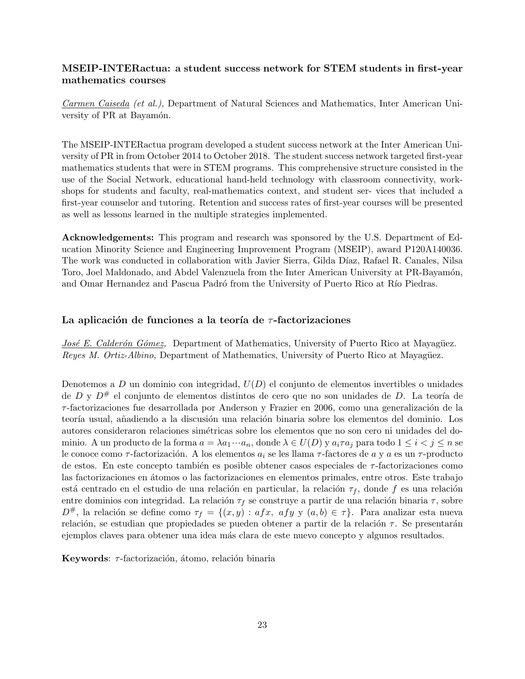## **MSEIP-INTERactua: a student success network for STEM students in first-year mathematics courses**

*Carmen Caiseda (et al.),* Department of Natural Sciences and Mathematics, Inter American University of PR at Bayamón.

The MSEIP-INTERactua program developed a student success network at the Inter American University of PR in from October 2014 to October 2018. The student success network targeted first-year mathematics students that were in STEM programs. This comprehensive structure consisted in the use of the Social Network, educational hand-held technology with classroom connectivity, workshops for students and faculty, real-mathematics context, and student ser- vices that included a first-year counselor and tutoring. Retention and success rates of first-year courses will be presented as well as lessons learned in the multiple strategies implemented.

**Acknowledgements:** This program and research was sponsored by the U.S. Department of Education Minority Science and Engineering Improvement Program (MSEIP), award P120A140036. The work was conducted in collaboration with Javier Sierra, Gilda D´ıaz, Rafael R. Canales, Nilsa Toro, Joel Maldonado, and Abdel Valenzuela from the Inter American University at PR-Bayamón, and Omar Hernandez and Pascua Padró from the University of Puerto Rico at Río Piedras.

#### La aplicación de funciones a la teoría de *τ*-factorizaciones

*José E. Calderón Gómez*, Department of Mathematics, University of Puerto Rico at Mayagüez. *Reyes M. Ortiz-Albino, Department of Mathematics, University of Puerto Rico at Mayagüez.* 

Denotemos a *D* un dominio con integridad, *U*(*D*) el conjunto de elementos invertibles o unidades de *D* y  $D^{\#}$  el conjunto de elementos distintos de cero que no son unidades de *D*. La teoría de *τ*-factorizaciones fue desarrollada por Anderson y Frazier en 2006, como una generalización de la teoría usual, añadiendo a la discusión una relación binaria sobre los elementos del dominio. Los autores consideraron relaciones simétricas sobre los elementos que no son cero ni unidades del dominio. A un producto de la forma  $a = \lambda a_1 \cdots a_n$ , donde  $\lambda \in U(D)$  y  $a_i \tau a_j$  para todo  $1 \leq i < j \leq n$  se le conoce como *τ*-factorización. A los elementos  $a_i$  se les llama *τ*-factores de *a* y *a* es un *τ*-producto de estos. En este concepto también es posible obtener casos especiales de *τ*-factorizaciones como las factorizaciones en átomos o las factorizaciones en elementos primales, entre otros. Este trabajo está centrado en el estudio de una relación en particular, la relación  $\tau_f$ , donde *f* es una relación entre dominios con integridad. La relación  $\tau_f$  se construye a partir de una relación binaria  $\tau$ , sobre *D*<sup>#</sup>, la relación se define como *τf* = {(*x, y*) : *afx, afy* y (*a, b*)  $\in$  *τ*}. Para analizar esta nueva relación, se estudian que propiedades se pueden obtener a partir de la relación *τ*. Se presentarán ejemplos claves para obtener una idea más clara de este nuevo concepto y algunos resultados.

**Keywords**: *τ*-factorización, átomo, relación binaria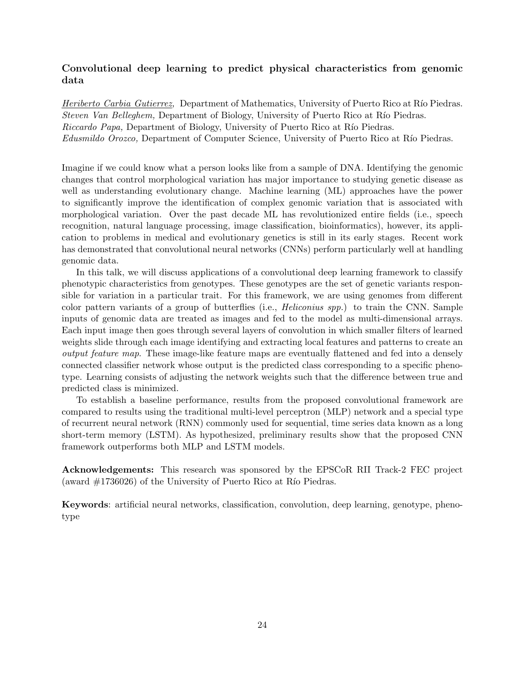## **Convolutional deep learning to predict physical characteristics from genomic data**

*Heriberto Carbia Gutierrez*, Department of Mathematics, University of Puerto Rico at Río Piedras. *Steven Van Belleghem,* Department of Biology, University of Puerto Rico at Río Piedras. *Riccardo Papa,* Department of Biology, University of Puerto Rico at Río Piedras. *Edusmildo Orozco,* Department of Computer Science, University of Puerto Rico at Río Piedras.

Imagine if we could know what a person looks like from a sample of DNA. Identifying the genomic changes that control morphological variation has major importance to studying genetic disease as well as understanding evolutionary change. Machine learning (ML) approaches have the power to significantly improve the identification of complex genomic variation that is associated with morphological variation. Over the past decade ML has revolutionized entire fields (i.e., speech recognition, natural language processing, image classification, bioinformatics), however, its application to problems in medical and evolutionary genetics is still in its early stages. Recent work has demonstrated that convolutional neural networks (CNNs) perform particularly well at handling genomic data.

In this talk, we will discuss applications of a convolutional deep learning framework to classify phenotypic characteristics from genotypes. These genotypes are the set of genetic variants responsible for variation in a particular trait. For this framework, we are using genomes from different color pattern variants of a group of butterflies (i.e., *Heliconius spp.*) to train the CNN. Sample inputs of genomic data are treated as images and fed to the model as multi-dimensional arrays. Each input image then goes through several layers of convolution in which smaller filters of learned weights slide through each image identifying and extracting local features and patterns to create an *output feature map*. These image-like feature maps are eventually flattened and fed into a densely connected classifier network whose output is the predicted class corresponding to a specific phenotype. Learning consists of adjusting the network weights such that the difference between true and predicted class is minimized.

To establish a baseline performance, results from the proposed convolutional framework are compared to results using the traditional multi-level perceptron (MLP) network and a special type of recurrent neural network (RNN) commonly used for sequential, time series data known as a long short-term memory (LSTM). As hypothesized, preliminary results show that the proposed CNN framework outperforms both MLP and LSTM models.

**Acknowledgements:** This research was sponsored by the EPSCoR RII Track-2 FEC project (award  $\#1736026$ ) of the University of Puerto Rico at Río Piedras.

**Keywords**: artificial neural networks, classification, convolution, deep learning, genotype, phenotype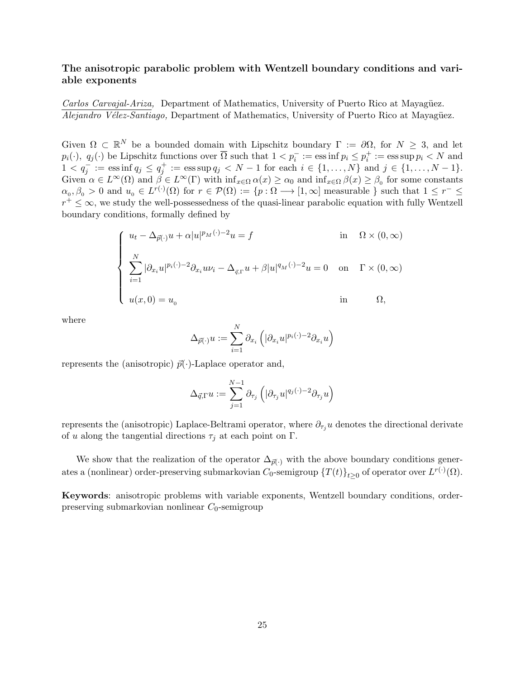#### **The anisotropic parabolic problem with Wentzell boundary conditions and variable exponents**

*Carlos Carvajal-Ariza,* Department of Mathematics, University of Puerto Rico at Mayagüez. *Alejandro Vélez-Santiago,* Department of Mathematics, University of Puerto Rico at Mayagüez.

Given  $\Omega \subset \mathbb{R}^N$  be a bounded domain with Lipschitz boundary  $\Gamma := \partial \Omega$ , for  $N \geq 3$ , and let  $p_i(\cdot), q_j(\cdot)$  be Lipschitz functions over  $\overline{\Omega}$  such that  $1 < p_i^- := \text{ess inf } p_i \leq p_i^+ := \text{ess sup } p_i < N$  and  $1 < q_j^- := \text{ess}\inf q_j \le q_j^+ := \text{ess}\sup q_j < N - 1$  for each  $i \in \{1, ..., N\}$  and  $j \in \{1, ..., N - 1\}.$ Given  $\alpha \in L^{\infty}(\Omega)$  and  $\beta \in L^{\infty}(\Gamma)$  with  $\inf_{x \in \Omega} \alpha(x) \ge \alpha_0$  and  $\inf_{x \in \Omega} \beta(x) \ge \beta_0$  for some constants  $\alpha_0, \beta_0 > 0$  and  $u_0 \in L^{r(\cdot)}(\Omega)$  for  $r \in \mathcal{P}(\Omega) := \{p : \Omega \longrightarrow [1, \infty] \text{ measurable } \}$  such that  $1 \leq r^- \leq$ *r*<sup>+</sup> ≤ ∞, we study the well-possessedness of the quasi-linear parabolic equation with fully Wentzell boundary conditions, formally defined by

$$
\begin{cases}\n u_t - \Delta_{\vec{p}(\cdot)} u + \alpha |u|^{p_M(\cdot)-2} u = f & \text{in} \quad \Omega \times (0, \infty) \\
\sum_{i=1}^N |\partial_{x_i} u|^{p_i(\cdot)-2} \partial_{x_i} u v_i - \Delta_{\vec{q},\Gamma} u + \beta |u|^{q_M(\cdot)-2} u = 0 & \text{on} \quad \Gamma \times (0, \infty) \\
u(x, 0) = u_0 & \text{in} \quad \Omega,\n\end{cases}
$$

where

$$
\Delta_{\vec{p}(\cdot)} u := \sum_{i=1}^N \partial_{x_i} \left( |\partial_{x_i} u|^{p_i(\cdot)-2} \partial_{x_i} u \right)
$$

represents the (anisotropic)  $\vec{p}(\cdot)$ -Laplace operator and,

$$
\Delta_{\vec{q},\Gamma} u := \sum_{j=1}^{N-1} \partial_{\tau_j} \left( |\partial_{\tau_j} u|^{q_j(\cdot)-2} \partial_{\tau_j} u \right)
$$

represents the (anisotropic) Laplace-Beltrami operator, where  $\partial_{\tau_i} u$  denotes the directional derivate of *u* along the tangential directions  $\tau_j$  at each point on Γ.

We show that the realization of the operator  $\Delta_{\vec{p}(\cdot)}$  with the above boundary conditions generates a (nonlinear) order-preserving submarkovian  $C_0$ -semigroup  $\{T(t)\}_{t\geq 0}$  of operator over  $L^{r(\cdot)}(\Omega)$ *.* 

**Keywords**: anisotropic problems with variable exponents, Wentzell boundary conditions, orderpreserving submarkovian nonlinear  $C_0$ -semigroup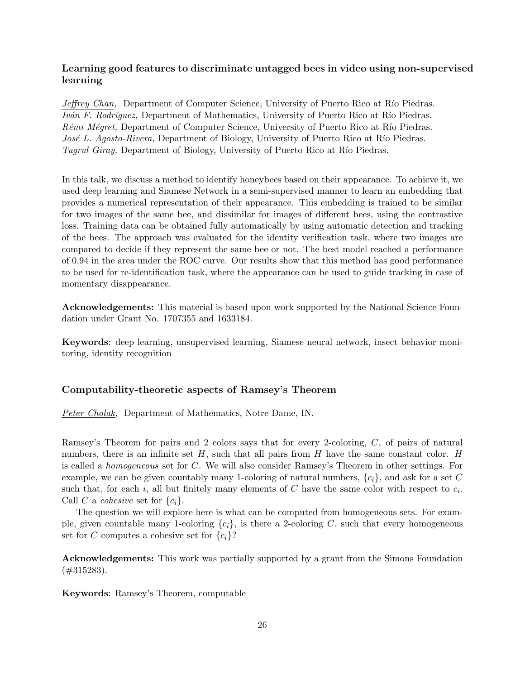## **Learning good features to discriminate untagged bees in video using non-supervised learning**

*Jeffrey Chan,* Department of Computer Science, University of Puerto Rico at Río Piedras. *Iván F. Rodríquez*, Department of Mathematics, University of Puerto Rico at Río Piedras. *Rémi Mégret,* Department of Computer Science, University of Puerto Rico at Río Piedras. *José L. Agosto-Rivera, Department of Biology, University of Puerto Rico at Río Piedras. Tugrul Giray,* Department of Biology, University of Puerto Rico at Río Piedras.

In this talk, we discuss a method to identify honeybees based on their appearance. To achieve it, we used deep learning and Siamese Network in a semi-supervised manner to learn an embedding that provides a numerical representation of their appearance. This embedding is trained to be similar for two images of the same bee, and dissimilar for images of different bees, using the contrastive loss. Training data can be obtained fully automatically by using automatic detection and tracking of the bees. The approach was evaluated for the identity verification task, where two images are compared to decide if they represent the same bee or not. The best model reached a performance of 0.94 in the area under the ROC curve. Our results show that this method has good performance to be used for re-identification task, where the appearance can be used to guide tracking in case of momentary disappearance.

**Acknowledgements:** This material is based upon work supported by the National Science Foundation under Grant No. 1707355 and 1633184.

**Keywords**: deep learning, unsupervised learning, Siamese neural network, insect behavior monitoring, identity recognition

### **Computability-theoretic aspects of Ramsey's Theorem**

*Peter Cholak,* Department of Mathematics, Notre Dame, IN.

Ramsey's Theorem for pairs and 2 colors says that for every 2-coloring, *C*, of pairs of natural numbers, there is an infinite set *H*, such that all pairs from *H* have the same constant color. *H* is called a *homogeneous* set for *C*. We will also consider Ramsey's Theorem in other settings. For example, we can be given countably many 1-coloring of natural numbers, *{ci}*, and ask for a set *C* such that, for each *i*, all but finitely many elements of  $C$  have the same color with respect to  $c_i$ . Call *C* a *cohesive* set for  $\{c_i\}$ .

The question we will explore here is what can be computed from homogeneous sets. For example, given countable many 1-coloring  $\{c_i\}$ , is there a 2-coloring *C*, such that every homogeneous set for *C* computes a cohesive set for  ${c_i}$ ?

**Acknowledgements:** This work was partially supported by a grant from the Simons Foundation (#315283).

**Keywords**: Ramsey's Theorem, computable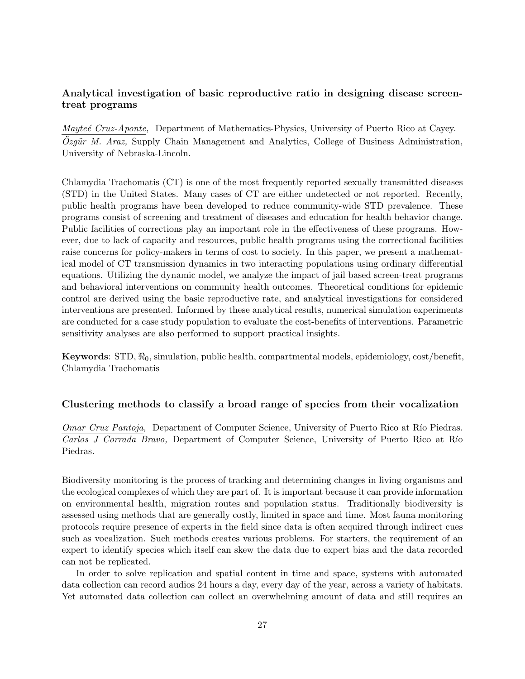## **Analytical investigation of basic reproductive ratio in designing disease screentreat programs**

*Mayteé Cruz-Aponte*, Department of Mathematics-Physics, University of Puerto Rico at Cayey. *Ozgür M. Araz*, Supply Chain Management and Analytics, College of Business Administration, University of Nebraska-Lincoln.

Chlamydia Trachomatis (CT) is one of the most frequently reported sexually transmitted diseases (STD) in the United States. Many cases of CT are either undetected or not reported. Recently, public health programs have been developed to reduce community-wide STD prevalence. These programs consist of screening and treatment of diseases and education for health behavior change. Public facilities of corrections play an important role in the effectiveness of these programs. However, due to lack of capacity and resources, public health programs using the correctional facilities raise concerns for policy-makers in terms of cost to society. In this paper, we present a mathematical model of CT transmission dynamics in two interacting populations using ordinary differential equations. Utilizing the dynamic model, we analyze the impact of jail based screen-treat programs and behavioral interventions on community health outcomes. Theoretical conditions for epidemic control are derived using the basic reproductive rate, and analytical investigations for considered interventions are presented. Informed by these analytical results, numerical simulation experiments are conducted for a case study population to evaluate the cost-benefits of interventions. Parametric sensitivity analyses are also performed to support practical insights.

**Keywords**: STD, *ℜ*0, simulation, public health, compartmental models, epidemiology, cost/benefit, Chlamydia Trachomatis

#### **Clustering methods to classify a broad range of species from their vocalization**

*Omar Cruz Pantoja,* Department of Computer Science, University of Puerto Rico at Río Piedras. *Carlos J Corrada Bravo,* Department of Computer Science, University of Puerto Rico at R´ıo Piedras.

Biodiversity monitoring is the process of tracking and determining changes in living organisms and the ecological complexes of which they are part of. It is important because it can provide information on environmental health, migration routes and population status. Traditionally biodiversity is assessed using methods that are generally costly, limited in space and time. Most fauna monitoring protocols require presence of experts in the field since data is often acquired through indirect cues such as vocalization. Such methods creates various problems. For starters, the requirement of an expert to identify species which itself can skew the data due to expert bias and the data recorded can not be replicated.

In order to solve replication and spatial content in time and space, systems with automated data collection can record audios 24 hours a day, every day of the year, across a variety of habitats. Yet automated data collection can collect an overwhelming amount of data and still requires an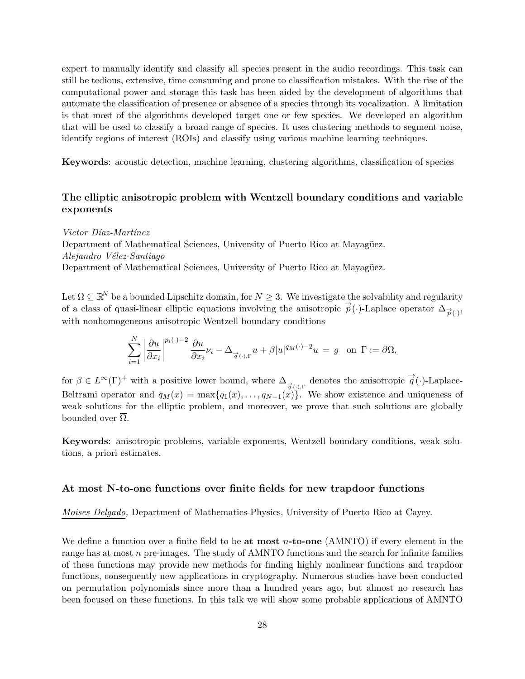expert to manually identify and classify all species present in the audio recordings. This task can still be tedious, extensive, time consuming and prone to classification mistakes. With the rise of the computational power and storage this task has been aided by the development of algorithms that automate the classification of presence or absence of a species through its vocalization. A limitation is that most of the algorithms developed target one or few species. We developed an algorithm that will be used to classify a broad range of species. It uses clustering methods to segment noise, identify regions of interest (ROIs) and classify using various machine learning techniques.

**Keywords**: acoustic detection, machine learning, clustering algorithms, classification of species

## **The elliptic anisotropic problem with Wentzell boundary conditions and variable exponents**

*Victor D´ıaz-Mart´ınez*

Department of Mathematical Sciences, University of Puerto Rico at Mayagüez. *Alejandro V´elez-Santiago* Department of Mathematical Sciences, University of Puerto Rico at Mayagüez.

Let  $\Omega \subseteq \mathbb{R}^N$  be a bounded Lipschitz domain, for  $N \geq 3$ . We investigate the solvability and regularity of a class of quasi-linear elliptic equations involving the anisotropic  $\vec{p}(\cdot)$ -Laplace operator  $\Delta_{\vec{p}(\cdot)}$ , with nonhomogeneous anisotropic Wentzell boundary conditions

$$
\sum_{i=1}^N \left| \frac{\partial u}{\partial x_i} \right|^{p_i(\cdot)-2} \frac{\partial u}{\partial x_i} \nu_i - \Delta_{\overrightarrow{q}(\cdot),\Gamma} u + \beta |u|^{q_M(\cdot)-2} u = g \text{ on } \Gamma := \partial \Omega,
$$

for  $\beta \in L^{\infty}(\Gamma)^+$  with a positive lower bound, where  $\Delta_{\overrightarrow{q}(\cdot),\Gamma}$  denotes the anisotropic  $\overrightarrow{q}(\cdot)$ -Laplace-Beltrami operator and  $q_M(x) = \max\{q_1(x), \ldots, q_{N-1}(x)\}$ . We show existence and uniqueness of weak solutions for the elliptic problem, and moreover, we prove that such solutions are globally bounded over  $Ω$ .

**Keywords**: anisotropic problems, variable exponents, Wentzell boundary conditions, weak solutions, a priori estimates.

#### **At most N-to-one functions over finite fields for new trapdoor functions**

*Moises Delgado,* Department of Mathematics-Physics, University of Puerto Rico at Cayey.

We define a function over a finite field to be **at most** *n***-to-one** (AMNTO) if every element in the range has at most *n* pre-images. The study of AMNTO functions and the search for infinite families of these functions may provide new methods for finding highly nonlinear functions and trapdoor functions, consequently new applications in cryptography. Numerous studies have been conducted on permutation polynomials since more than a hundred years ago, but almost no research has been focused on these functions. In this talk we will show some probable applications of AMNTO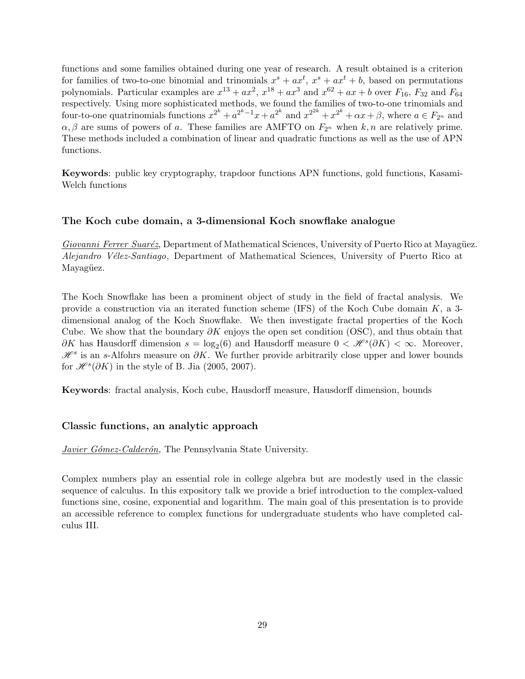functions and some families obtained during one year of research. A result obtained is a criterion for families of two-to-one binomial and trinomials  $x^s + ax^t$ ,  $x^s + ax^t + b$ , based on permutations polynomials. Particular examples are  $x^{13} + ax^2$ ,  $x^{18} + ax^3$  and  $x^{62} + ax + b$  over  $F_{16}$ ,  $F_{32}$  and  $F_{64}$ respectively. Using more sophisticated methods, we found the families of two-to-one trinomials and four-to-one quatrinomials functions  $x^{2^k} + a^{2^k-1}x + a^{2^k}$  and  $x^{2^{2k}} + x^{2^k} + \alpha x + \beta$ , where  $a \in F_{2^n}$  and  $\alpha, \beta$  are sums of powers of *a*. These families are AMFTO on  $F_{2^n}$  when  $k, n$  are relatively prime. These methods included a combination of linear and quadratic functions as well as the use of APN functions.

**Keywords**: public key cryptography, trapdoor functions APN functions, gold functions, Kasami-Welch functions

#### **The Koch cube domain, a 3-dimensional Koch snowflake analogue**

*Giovanni Ferrer Suaréz*, Department of Mathematical Sciences, University of Puerto Rico at Mayagüez. *Alejandro V´elez-Santiago*, Department of Mathematical Sciences, University of Puerto Rico at Mayagüez.

The Koch Snowflake has been a prominent object of study in the field of fractal analysis. We provide a construction via an iterated function scheme (IFS) of the Koch Cube domain *K*, a 3 dimensional analog of the Koch Snowflake. We then investigate fractal properties of the Koch Cube. We show that the boundary *∂K* enjoys the open set condition (OSC), and thus obtain that *∂K* has Hausdorff dimension  $s = \log_2(6)$  and Hausdorff measure  $0 < \mathcal{H}^s(\partial K) < \infty$ . Moreover, *H*<sup>s</sup> is an *s*-Alfohrs measure on *∂K*. We further provide arbitrarily close upper and lower bounds for  $\mathcal{H}^s(\partial K)$  in the style of B. Jia (2005, 2007).

**Keywords**: fractal analysis, Koch cube, Hausdorff measure, Hausdorff dimension, bounds

#### **Classic functions, an analytic approach**

*Javier Gómez-Calderón*, The Pennsylvania State University.

Complex numbers play an essential role in college algebra but are modestly used in the classic sequence of calculus. In this expository talk we provide a brief introduction to the complex-valued functions sine, cosine, exponential and logarithm. The main goal of this presentation is to provide an accessible reference to complex functions for undergraduate students who have completed calculus III.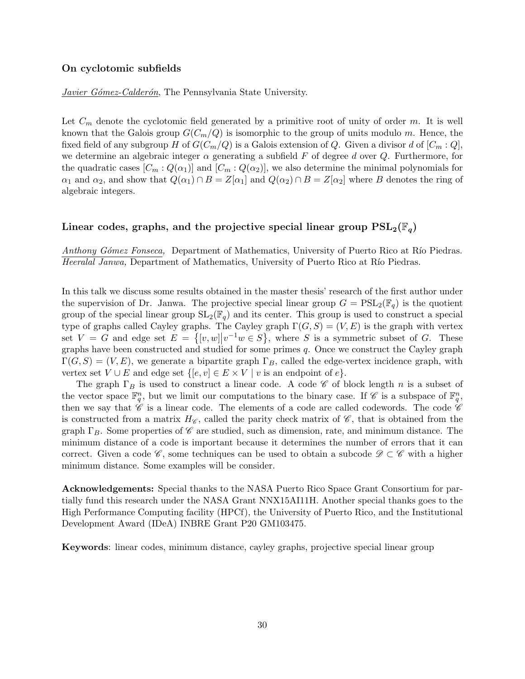#### **On cyclotomic subfields**

*Javier Gómez-Calderón*, The Pennsylvania State University.

Let *C<sup>m</sup>* denote the cyclotomic field generated by a primitive root of unity of order *m*. It is well known that the Galois group  $G(C_m/Q)$  is isomorphic to the group of units modulo *m*. Hence, the fixed field of any subgroup *H* of  $G(C_m/Q)$  is a Galois extension of *Q*. Given a divisor *d* of  $[C_m:Q]$ , we determine an algebraic integer  $\alpha$  generating a subfield  $F$  of degree  $d$  over  $Q$ . Furthermore, for the quadratic cases  $[C_m: Q(\alpha_1)]$  and  $[C_m: Q(\alpha_2)]$ , we also determine the minimal polynomials for *α*<sub>1</sub> and *α*<sub>2</sub>, and show that  $Q(\alpha_1) \cap B = Z[\alpha_1]$  and  $Q(\alpha_2) \cap B = Z[\alpha_2]$  where *B* denotes the ring of algebraic integers.

### Linear codes, graphs, and the projective special linear group  $PSL_2(\mathbb{F}_q)$

*Anthony Gómez Fonseca,* Department of Mathematics, University of Puerto Rico at Río Piedras. *Heeralal Janwa,* Department of Mathematics, University of Puerto Rico at Río Piedras.

In this talk we discuss some results obtained in the master thesis' research of the first author under the supervision of Dr. Janwa. The projective special linear group  $G = \text{PSL}_2(\mathbb{F}_q)$  is the quotient group of the special linear group  $SL_2(\mathbb{F}_q)$  and its center. This group is used to construct a special type of graphs called Cayley graphs. The Cayley graph  $\Gamma(G, S) = (V, E)$  is the graph with vertex set  $V = G$  and edge set  $E = \{ [v, w] | v^{-1}w \in S \}$ , where *S* is a symmetric subset of *G*. These graphs have been constructed and studied for some primes *q*. Once we construct the Cayley graph  $\Gamma(G, S) = (V, E)$ , we generate a bipartite graph  $\Gamma_B$ , called the edge-vertex incidence graph, with vertex set  $V \cup E$  and edge set  $\{[e, v] \in E \times V \mid v \text{ is an endpoint of } e\}.$ 

The graph Γ*<sup>B</sup>* is used to construct a linear code. A code *C* of block length *n* is a subset of the vector space  $\mathbb{F}_q^n$ , but we limit our computations to the binary case. If  $\mathscr{C}$  is a subspace of  $\mathbb{F}_q^n$ , then we say that  $\mathscr C$  is a linear code. The elements of a code are called codewords. The code  $\mathscr C$ is constructed from a matrix  $H_{\mathscr{C}}$ , called the parity check matrix of  $\mathscr{C}$ , that is obtained from the graph Γ*B*. Some properties of *C* are studied, such as dimension, rate, and minimum distance. The minimum distance of a code is important because it determines the number of errors that it can correct. Given a code  $\mathscr{C}$ , some techniques can be used to obtain a subcode  $\mathscr{D} \subset \mathscr{C}$  with a higher minimum distance. Some examples will be consider.

**Acknowledgements:** Special thanks to the NASA Puerto Rico Space Grant Consortium for partially fund this research under the NASA Grant NNX15AI11H. Another special thanks goes to the High Performance Computing facility (HPCf), the University of Puerto Rico, and the Institutional Development Award (IDeA) INBRE Grant P20 GM103475.

**Keywords**: linear codes, minimum distance, cayley graphs, projective special linear group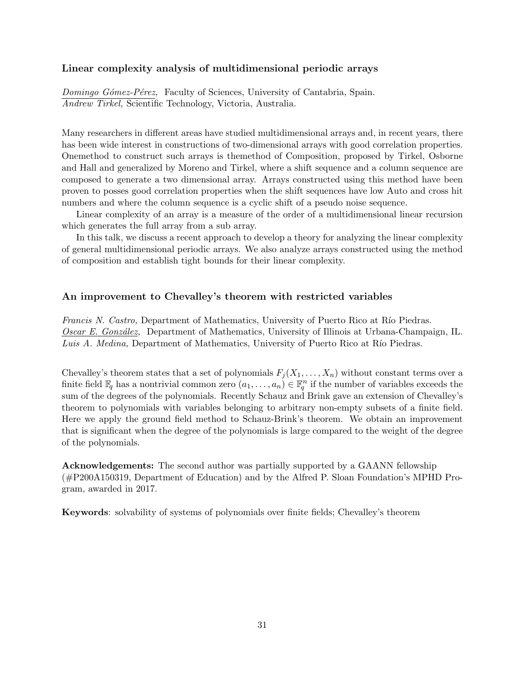#### **Linear complexity analysis of multidimensional periodic arrays**

*Domingo G´omez-P´erez,* Faculty of Sciences, University of Cantabria, Spain. *Andrew Tirkel,* Scientific Technology, Victoria, Australia.

Many researchers in different areas have studied multidimensional arrays and, in recent years, there has been wide interest in constructions of two-dimensional arrays with good correlation properties. Onemethod to construct such arrays is themethod of Composition, proposed by Tirkel, Osborne and Hall and generalized by Moreno and Tirkel, where a shift sequence and a column sequence are composed to generate a two dimensional array. Arrays constructed using this method have been proven to posses good correlation properties when the shift sequences have low Auto and cross hit numbers and where the column sequence is a cyclic shift of a pseudo noise sequence.

Linear complexity of an array is a measure of the order of a multidimensional linear recursion which generates the full array from a sub array.

In this talk, we discuss a recent approach to develop a theory for analyzing the linear complexity of general multidimensional periodic arrays. We also analyze arrays constructed using the method of composition and establish tight bounds for their linear complexity.

#### **An improvement to Chevalley's theorem with restricted variables**

*Francis N. Castro,* Department of Mathematics, University of Puerto Rico at Río Piedras. *Oscar E. Gonz´alez,* Department of Mathematics, University of Illinois at Urbana-Champaign, IL. *Luis A. Medina, Department of Mathematics, University of Puerto Rico at Río Piedras.* 

Chevalley's theorem states that a set of polynomials  $F_i(X_1, \ldots, X_n)$  without constant terms over a finite field  $\mathbb{F}_q$  has a nontrivial common zero  $(a_1, \ldots, a_n) \in \mathbb{F}_q^n$  if the number of variables exceeds the sum of the degrees of the polynomials. Recently Schauz and Brink gave an extension of Chevalley's theorem to polynomials with variables belonging to arbitrary non-empty subsets of a finite field. Here we apply the ground field method to Schauz-Brink's theorem. We obtain an improvement that is significant when the degree of the polynomials is large compared to the weight of the degree of the polynomials.

**Acknowledgements:** The second author was partially supported by a GAANN fellowship (#P200A150319, Department of Education) and by the Alfred P. Sloan Foundation's MPHD Program, awarded in 2017.

**Keywords**: solvability of systems of polynomials over finite fields; Chevalley's theorem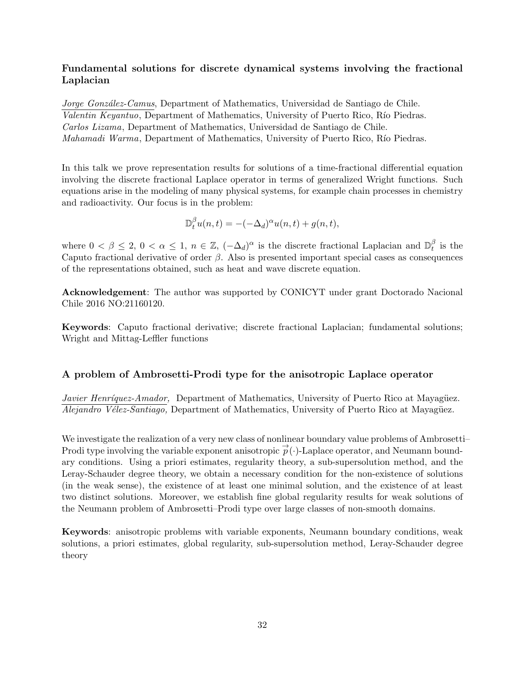## **Fundamental solutions for discrete dynamical systems involving the fractional Laplacian**

*Jorge Gonz´alez-Camus*, Department of Mathematics, Universidad de Santiago de Chile. *Valentin Keyantuo*, Department of Mathematics, University of Puerto Rico, Río Piedras. *Carlos Lizama*, Department of Mathematics, Universidad de Santiago de Chile. *Mahamadi Warma*, Department of Mathematics, University of Puerto Rico, Río Piedras.

In this talk we prove representation results for solutions of a time-fractional differential equation involving the discrete fractional Laplace operator in terms of generalized Wright functions. Such equations arise in the modeling of many physical systems, for example chain processes in chemistry and radioactivity. Our focus is in the problem:

$$
\mathbb{D}_t^{\beta} u(n,t) = -(-\Delta_d)^{\alpha} u(n,t) + g(n,t),
$$

where  $0 < \beta \leq 2$ ,  $0 < \alpha \leq 1$ ,  $n \in \mathbb{Z}$ ,  $(-\Delta_d)^{\alpha}$  is the discrete fractional Laplacian and  $\mathbb{D}_t^{\beta}$  $t$ <sup>b</sup> is the Caputo fractional derivative of order *β*. Also is presented important special cases as consequences of the representations obtained, such as heat and wave discrete equation.

**Acknowledgement**: The author was supported by CONICYT under grant Doctorado Nacional Chile 2016 NO:21160120.

**Keywords**: Caputo fractional derivative; discrete fractional Laplacian; fundamental solutions; Wright and Mittag-Leffler functions

## **A problem of Ambrosetti-Prodi type for the anisotropic Laplace operator**

*Javier Henríquez-Amador,* Department of Mathematics, University of Puerto Rico at Mayagüez. *Alejandro Vélez-Santiago,* Department of Mathematics, University of Puerto Rico at Mayagüez.

We investigate the realization of a very new class of nonlinear boundary value problems of Ambrosetti– Prodi type involving the variable exponent anisotropic  $\vec{p}(\cdot)$ -Laplace operator, and Neumann boundary conditions. Using a priori estimates, regularity theory, a sub-supersolution method, and the Leray-Schauder degree theory, we obtain a necessary condition for the non-existence of solutions (in the weak sense), the existence of at least one minimal solution, and the existence of at least two distinct solutions. Moreover, we establish fine global regularity results for weak solutions of the Neumann problem of Ambrosetti–Prodi type over large classes of non-smooth domains.

**Keywords**: anisotropic problems with variable exponents, Neumann boundary conditions, weak solutions, a priori estimates, global regularity, sub-supersolution method, Leray-Schauder degree theory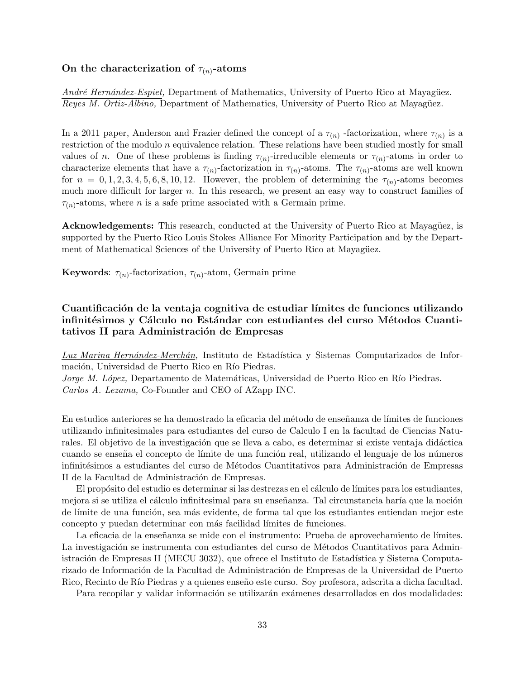#### On the characterization of  $\tau_{(n)}$ -atoms

*André Hernández-Espiet,* Department of Mathematics, University of Puerto Rico at Mayagüez. *Reyes M. Ortiz-Albino, Department of Mathematics, University of Puerto Rico at Mayagüez.* 

In a 2011 paper, Anderson and Frazier defined the concept of a  $\tau_{(n)}$ -factorization, where  $\tau_{(n)}$  is a restriction of the modulo *n* equivalence relation. These relations have been studied mostly for small values of *n*. One of these problems is finding  $\tau_{(n)}$ -irreducible elements or  $\tau_{(n)}$ -atoms in order to characterize elements that have a  $\tau_{(n)}$ -factorization in  $\tau_{(n)}$ -atoms. The  $\tau_{(n)}$ -atoms are well known for  $n = 0, 1, 2, 3, 4, 5, 6, 8, 10, 12$ . However, the problem of determining the  $\tau_{(n)}$ -atoms becomes much more difficult for larger *n*. In this research, we present an easy way to construct families of  $\tau_{(n)}$ -atoms, where *n* is a safe prime associated with a Germain prime.

**Acknowledgements:** This research, conducted at the University of Puerto Rico at Mayagüez, is supported by the Puerto Rico Louis Stokes Alliance For Minority Participation and by the Department of Mathematical Sciences of the University of Puerto Rico at Mayagüez.

**Keywords**:  $\tau_{(n)}$ -factorization,  $\tau_{(n)}$ -atom, Germain prime

## **Cuantificaci´on de la ventaja cognitiva de estudiar l´ımites de funciones utilizando** infinitésimos y Cálculo no Estándar con estudiantes del curso Métodos Cuantitativos II para Administración de Empresas

Luz Marina Hernández-Merchán, Instituto de Estadística y Sistemas Computarizados de Información, Universidad de Puerto Rico en Río Piedras.

*Jorge M. López, Departamento de Matemáticas, Universidad de Puerto Rico en Río Piedras. Carlos A. Lezama,* Co-Founder and CEO of AZapp INC.

En estudios anteriores se ha demostrado la eficacia del método de enseñanza de límites de funciones utilizando infinitesimales para estudiantes del curso de Calculo I en la facultad de Ciencias Naturales. El objetivo de la investigación que se lleva a cabo, es determinar si existe ventaja didáctica cuando se enseña el concepto de límite de una función real, utilizando el lenguaje de los números infinitésimos a estudiantes del curso de Métodos Cuantitativos para Administración de Empresas II de la Facultad de Administración de Empresas.

El propósito del estudio es determinar si las destrezas en el cálculo de límites para los estudiantes, mejora si se utiliza el cálculo infinitesimal para su enseñanza. Tal circunstancia haría que la noción de límite de una función, sea más evidente, de forma tal que los estudiantes entiendan mejor este concepto y puedan determinar con más facilidad límites de funciones.

La eficacia de la enseñanza se mide con el instrumento: Prueba de aprovechamiento de límites. La investigación se instrumenta con estudiantes del curso de Métodos Cuantitativos para Administración de Empresas II (MECU 3032), que ofrece el Instituto de Estadística y Sistema Computarizado de Información de la Facultad de Administración de Empresas de la Universidad de Puerto Rico, Recinto de Río Piedras y a quienes enseño este curso. Soy profesora, adscrita a dicha facultad.

Para recopilar y validar información se utilizarán exámenes desarrollados en dos modalidades: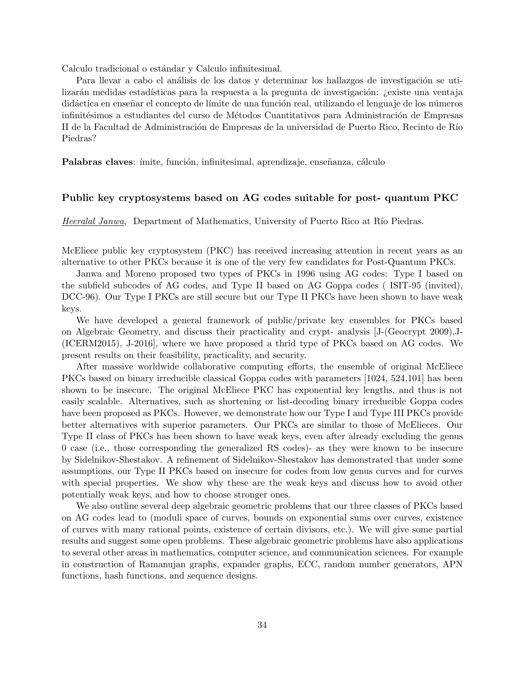Calculo tradicional o estándar y Calculo infinitesimal.

Para llevar a cabo el análisis de los datos y determinar los hallazgos de investigación se utilizarán medidas estadísticas para la respuesta a la pregunta de investigación: ¿existe una ventaja didáctica en enseñar el concepto de límite de una función real, utilizando el lenguaje de los números infinitésimos a estudiantes del curso de Métodos Cuantitativos para Administración de Empresas II de la Facultad de Administración de Empresas de la universidad de Puerto Rico, Recinto de Río Piedras?

**Palabras claves**: ímite, función, infinitesimal, aprendizaje, enseñanza, cálculo

#### **Public key cryptosystems based on AG codes suitable for post- quantum PKC**

*Heeralal Janwa*, Department of Mathematics, University of Puerto Rico at Río Piedras.

McEliece public key cryptosystem (PKC) has received increasing attention in recent years as an alternative to other PKCs because it is one of the very few candidates for Post-Quantum PKCs.

Janwa and Moreno proposed two types of PKCs in 1996 using AG codes: Type I based on the subfield subcodes of AG codes, and Type II based on AG Goppa codes ( ISIT-95 (invited), DCC-96). Our Type I PKCs are still secure but our Type II PKCs have been shown to have weak keys.

We have developed a general framework of public/private key ensembles for PKCs based on Algebraic Geometry, and discuss their practicality and crypt- analysis [J-(Geocrypt 2009),J- (ICERM2015), J-2016], where we have proposed a thrid type of PKCs based on AG codes. We present results on their feasibility, practicality, and security.

After massive worldwide collaborative computing efforts, the ensemble of original McEliece PKCs based on binary irreducible classical Goppa codes with parameters [1024, 524,101] has been shown to be insecure. The original McEliece PKC has exponential key lengths, and thus is not easily scalable. Alternatives, such as shortening or list-decoding binary irreducible Goppa codes have been proposed as PKCs. However, we demonstrate how our Type I and Type III PKCs provide better alternatives with superior parameters. Our PKCs are similar to those of McElieces. Our Type II class of PKCs has been shown to have weak keys, even after already excluding the genus 0 case (i.e., those corresponding the generalized RS codes)- as they were known to be insecure by Sidelnikov-Shestakov. A refinement of Sidelnikov-Shestakov has demonstrated that under some assumptions, our Type II PKCs based on insecure for codes from low genus curves and for curves with special properties. We show why these are the weak keys and discuss how to avoid other potentially weak keys, and how to choose stronger ones.

We also outline several deep algebraic geometric problems that our three classes of PKCs based on AG codes lead to (moduli space of curves, bounds on exponential sums over curves, existence of curves with many rational points, existence of certain divisors, etc.). We will give some partial results and suggest some open problems. These algebraic geometric problems have also applications to several other areas in mathematics, computer science, and communication sciences. For example in construction of Ramanujan graphs, expander graphs, ECC, random number generators, APN functions, hash functions, and sequence designs.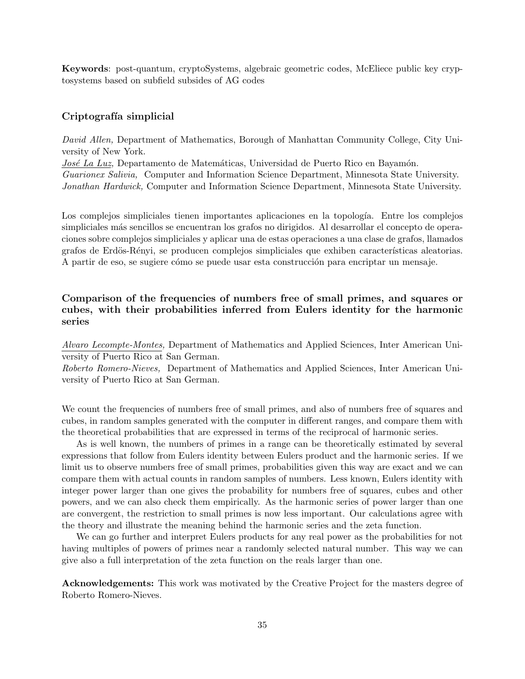**Keywords**: post-quantum, cryptoSystems, algebraic geometric codes, McEliece public key cryptosystems based on subfield subsides of AG codes

#### Criptografía simplicial

*David Allen,* Department of Mathematics, Borough of Manhattan Community College, City University of New York. *José La Luz*, Departamento de Matemáticas, Universidad de Puerto Rico en Bayamón. *Guarionex Salivia,* Computer and Information Science Department, Minnesota State University. *Jonathan Hardwick,* Computer and Information Science Department, Minnesota State University.

Los complejos simpliciales tienen importantes aplicaciones en la topología. Entre los complejos simpliciales más sencillos se encuentran los grafos no dirigidos. Al desarrollar el concepto de operaciones sobre complejos simpliciales y aplicar una de estas operaciones a una clase de grafos, llamados grafos de Erdös-Rényi, se producen complejos simpliciales que exhiben características aleatorias. A partir de eso, se sugiere cómo se puede usar esta construcción para encriptar un mensaje.

## **Comparison of the frequencies of numbers free of small primes, and squares or cubes, with their probabilities inferred from Eulers identity for the harmonic series**

*Alvaro Lecompte-Montes,* Department of Mathematics and Applied Sciences, Inter American University of Puerto Rico at San German.

*Roberto Romero-Nieves,* Department of Mathematics and Applied Sciences, Inter American University of Puerto Rico at San German.

We count the frequencies of numbers free of small primes, and also of numbers free of squares and cubes, in random samples generated with the computer in different ranges, and compare them with the theoretical probabilities that are expressed in terms of the reciprocal of harmonic series.

As is well known, the numbers of primes in a range can be theoretically estimated by several expressions that follow from Eulers identity between Eulers product and the harmonic series. If we limit us to observe numbers free of small primes, probabilities given this way are exact and we can compare them with actual counts in random samples of numbers. Less known, Eulers identity with integer power larger than one gives the probability for numbers free of squares, cubes and other powers, and we can also check them empirically. As the harmonic series of power larger than one are convergent, the restriction to small primes is now less important. Our calculations agree with the theory and illustrate the meaning behind the harmonic series and the zeta function.

We can go further and interpret Eulers products for any real power as the probabilities for not having multiples of powers of primes near a randomly selected natural number. This way we can give also a full interpretation of the zeta function on the reals larger than one.

**Acknowledgements:** This work was motivated by the Creative Project for the masters degree of Roberto Romero-Nieves.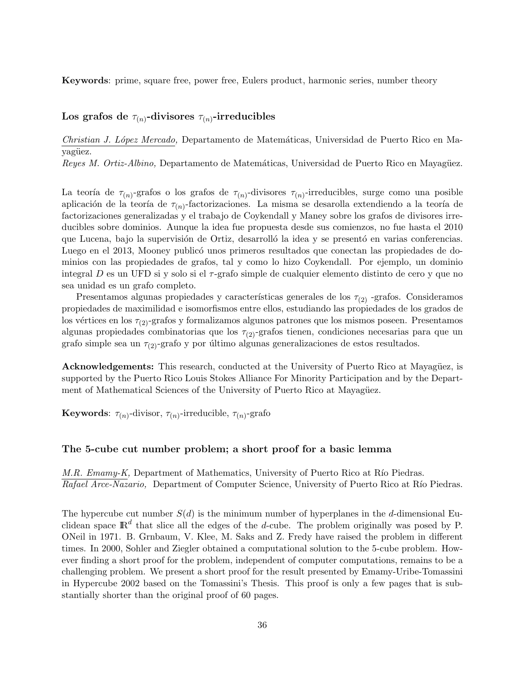**Keywords**: prime, square free, power free, Eulers product, harmonic series, number theory

#### Los grafos de  $\tau_{(n)}$ -divisores  $\tau_{(n)}$ -irreducibles

*Christian J. L´opez Mercado,* Departamento de Matem´aticas, Universidad de Puerto Rico en Mayagüez.

*Reyes M. Ortiz-Albino,* Departamento de Matemáticas, Universidad de Puerto Rico en Mayagüez.

La teoría de  $\tau_{(n)}$ -grafos o los grafos de  $\tau_{(n)}$ -divisores  $\tau_{(n)}$ -irreducibles, surge como una posible aplicación de la teoría de  $\tau_{(n)}$ -factorizaciones. La misma se desarolla extendiendo a la teoría de factorizaciones generalizadas y el trabajo de Coykendall y Maney sobre los grafos de divisores irreducibles sobre dominios. Aunque la idea fue propuesta desde sus comienzos, no fue hasta el 2010 que Lucena, bajo la supervisión de Ortiz, desarrolló la idea y se presentó en varias conferencias. Luego en el 2013, Mooney publicó unos primeros resultados que conectan las propiedades de dominios con las propiedades de grafos, tal y como lo hizo Coykendall. Por ejemplo, un dominio integral *D* es un UFD si y solo si el *τ* -grafo simple de cualquier elemento distinto de cero y que no sea unidad es un grafo completo.

Presentamos algunas propiedades y características generales de los  $\tau_{(2)}$  -grafos. Consideramos propiedades de maximilidad e isomorfismos entre ellos, estudiando las propiedades de los grados de los vértices en los  $\tau_{(2)}$ -grafos y formalizamos algunos patrones que los mismos poseen. Presentamos algunas propiedades combinatorias que los *τ*(2)-grafos tienen, condiciones necesarias para que un grafo simple sea un  $\tau_{(2)}$ -grafo y por último algunas generalizaciones de estos resultados.

**Acknowledgements:** This research, conducted at the University of Puerto Rico at Mayagüez, is supported by the Puerto Rico Louis Stokes Alliance For Minority Participation and by the Department of Mathematical Sciences of the University of Puerto Rico at Mayagüez.

**Keywords**:  $\tau_{(n)}$ -divisor,  $\tau_{(n)}$ -irreducible,  $\tau_{(n)}$ -grafo

#### **The 5-cube cut number problem; a short proof for a basic lemma**

*M.R. Emamy-K,* Department of Mathematics, University of Puerto Rico at Río Piedras. *Rafael Arce-Nazario,* Department of Computer Science, University of Puerto Rico at Río Piedras.

The hypercube cut number  $S(d)$  is the minimum number of hyperplanes in the *d*-dimensional Euclidean space IR*<sup>d</sup>* that slice all the edges of the *d*-cube. The problem originally was posed by P. ONeil in 1971. B. Grnbaum, V. Klee, M. Saks and Z. Fredy have raised the problem in different times. In 2000, Sohler and Ziegler obtained a computational solution to the 5-cube problem. However finding a short proof for the problem, independent of computer computations, remains to be a challenging problem. We present a short proof for the result presented by Emamy-Uribe-Tomassini in Hypercube 2002 based on the Tomassini's Thesis. This proof is only a few pages that is substantially shorter than the original proof of 60 pages.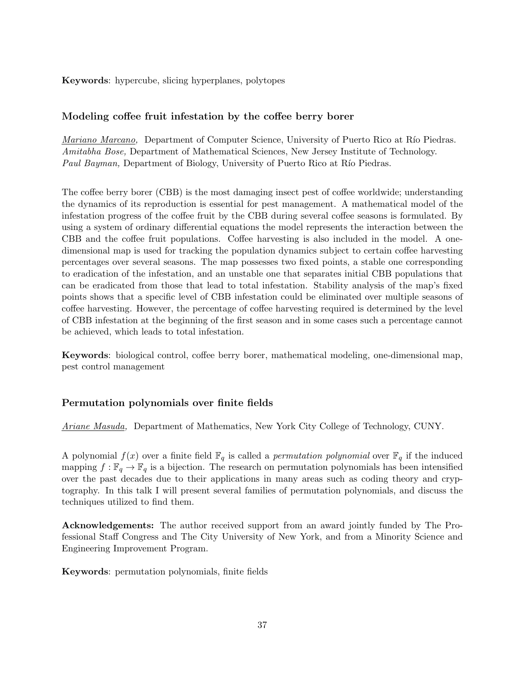**Keywords**: hypercube, slicing hyperplanes, polytopes

## **Modeling coffee fruit infestation by the coffee berry borer**

*Mariano Marcano,* Department of Computer Science, University of Puerto Rico at Río Piedras. *Amitabha Bose,* Department of Mathematical Sciences, New Jersey Institute of Technology. *Paul Bayman,* Department of Biology, University of Puerto Rico at Río Piedras.

The coffee berry borer (CBB) is the most damaging insect pest of coffee worldwide; understanding the dynamics of its reproduction is essential for pest management. A mathematical model of the infestation progress of the coffee fruit by the CBB during several coffee seasons is formulated. By using a system of ordinary differential equations the model represents the interaction between the CBB and the coffee fruit populations. Coffee harvesting is also included in the model. A onedimensional map is used for tracking the population dynamics subject to certain coffee harvesting percentages over several seasons. The map possesses two fixed points, a stable one corresponding to eradication of the infestation, and an unstable one that separates initial CBB populations that can be eradicated from those that lead to total infestation. Stability analysis of the map's fixed points shows that a specific level of CBB infestation could be eliminated over multiple seasons of coffee harvesting. However, the percentage of coffee harvesting required is determined by the level of CBB infestation at the beginning of the first season and in some cases such a percentage cannot be achieved, which leads to total infestation.

**Keywords**: biological control, coffee berry borer, mathematical modeling, one-dimensional map, pest control management

### **Permutation polynomials over finite fields**

*Ariane Masuda,* Department of Mathematics, New York City College of Technology, CUNY.

A polynomial  $f(x)$  over a finite field  $\mathbb{F}_q$  is called a *permutation polynomial* over  $\mathbb{F}_q$  if the induced mapping  $f : \mathbb{F}_q \to \mathbb{F}_q$  is a bijection. The research on permutation polynomials has been intensified over the past decades due to their applications in many areas such as coding theory and cryptography. In this talk I will present several families of permutation polynomials, and discuss the techniques utilized to find them.

**Acknowledgements:** The author received support from an award jointly funded by The Professional Staff Congress and The City University of New York, and from a Minority Science and Engineering Improvement Program.

**Keywords**: permutation polynomials, finite fields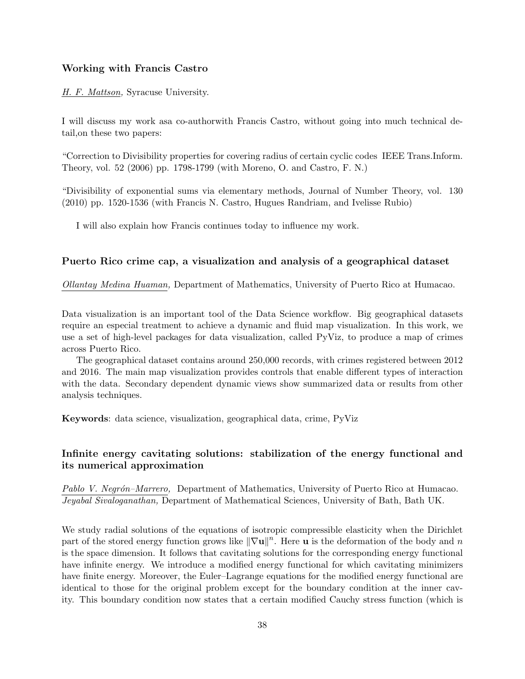#### **Working with Francis Castro**

*H. F. Mattson,* Syracuse University.

I will discuss my work asa co-authorwith Francis Castro, without going into much technical detail,on these two papers:

"Correction to Divisibility properties for covering radius of certain cyclic codes IEEE Trans.Inform. Theory, vol. 52 (2006) pp. 1798-1799 (with Moreno, O. and Castro, F. N.)

"Divisibility of exponential sums via elementary methods, Journal of Number Theory, vol. 130 (2010) pp. 1520-1536 (with Francis N. Castro, Hugues Randriam, and Ivelisse Rubio)

I will also explain how Francis continues today to influence my work.

#### **Puerto Rico crime cap, a visualization and analysis of a geographical dataset**

*Ollantay Medina Huaman,* Department of Mathematics, University of Puerto Rico at Humacao.

Data visualization is an important tool of the Data Science workflow. Big geographical datasets require an especial treatment to achieve a dynamic and fluid map visualization. In this work, we use a set of high-level packages for data visualization, called PyViz, to produce a map of crimes across Puerto Rico.

The geographical dataset contains around 250,000 records, with crimes registered between 2012 and 2016. The main map visualization provides controls that enable different types of interaction with the data. Secondary dependent dynamic views show summarized data or results from other analysis techniques.

**Keywords**: data science, visualization, geographical data, crime, PyViz

## **Infinite energy cavitating solutions: stabilization of the energy functional and its numerical approximation**

*Pablo V. Negr´on–Marrero,* Department of Mathematics, University of Puerto Rico at Humacao. *Jeyabal Sivaloganathan,* Department of Mathematical Sciences, University of Bath, Bath UK.

We study radial solutions of the equations of isotropic compressible elasticity when the Dirichlet part of the stored energy function grows like *∥∇***u***∥ n* . Here **u** is the deformation of the body and *n* is the space dimension. It follows that cavitating solutions for the corresponding energy functional have infinite energy. We introduce a modified energy functional for which cavitating minimizers have finite energy. Moreover, the Euler–Lagrange equations for the modified energy functional are identical to those for the original problem except for the boundary condition at the inner cavity. This boundary condition now states that a certain modified Cauchy stress function (which is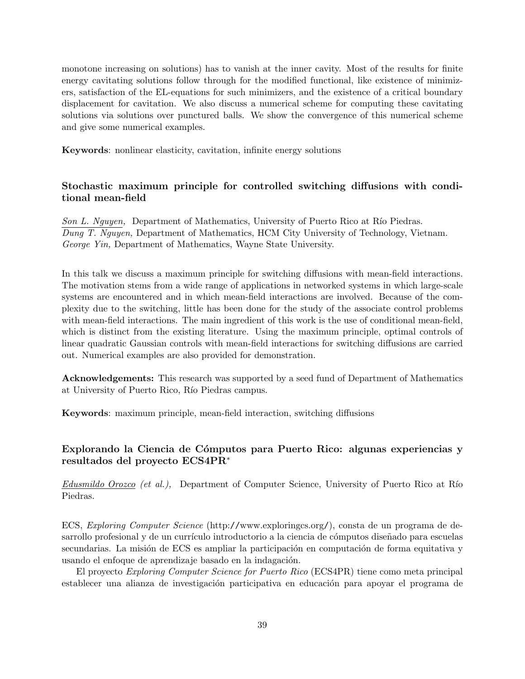monotone increasing on solutions) has to vanish at the inner cavity. Most of the results for finite energy cavitating solutions follow through for the modified functional, like existence of minimizers, satisfaction of the EL-equations for such minimizers, and the existence of a critical boundary displacement for cavitation. We also discuss a numerical scheme for computing these cavitating solutions via solutions over punctured balls. We show the convergence of this numerical scheme and give some numerical examples.

**Keywords**: nonlinear elasticity, cavitation, infinite energy solutions

## **Stochastic maximum principle for controlled switching diffusions with conditional mean-field**

*Son L. Nguyen,* Department of Mathematics, University of Puerto Rico at Río Piedras. *Dung T. Nguyen,* Department of Mathematics, HCM City University of Technology, Vietnam. *George Yin,* Department of Mathematics, Wayne State University.

In this talk we discuss a maximum principle for switching diffusions with mean-field interactions. The motivation stems from a wide range of applications in networked systems in which large-scale systems are encountered and in which mean-field interactions are involved. Because of the complexity due to the switching, little has been done for the study of the associate control problems with mean-field interactions. The main ingredient of this work is the use of conditional mean-field, which is distinct from the existing literature. Using the maximum principle, optimal controls of linear quadratic Gaussian controls with mean-field interactions for switching diffusions are carried out. Numerical examples are also provided for demonstration.

**Acknowledgements:** This research was supported by a seed fund of Department of Mathematics at University of Puerto Rico, Río Piedras campus.

**Keywords**: maximum principle, mean-field interaction, switching diffusions

## **Explorando la Ciencia de C´omputos para Puerto Rico: algunas experiencias y resultados del proyecto ECS4PR***<sup>∗</sup>*

*Edusmildo Orozco (et al.),* Department of Computer Science, University of Puerto Rico at R´ıo Piedras.

ECS, *Exploring Computer Science* (http://www.exploringcs.org/), consta de un programa de desarrollo profesional y de un currículo introductorio a la ciencia de cómputos diseñado para escuelas secundarias. La misión de ECS es ampliar la participación en computación de forma equitativa y usando el enfoque de aprendizaje basado en la indagación.

El proyecto *Exploring Computer Science for Puerto Rico* (ECS4PR) tiene como meta principal establecer una alianza de investigación participativa en educación para apoyar el programa de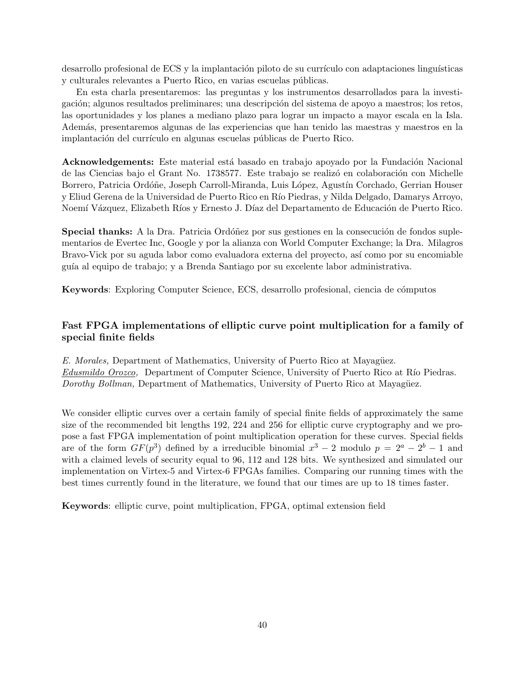desarrollo profesional de ECS y la implantación piloto de su currículo con adaptaciones linguísticas y culturales relevantes a Puerto Rico, en varias escuelas públicas.

En esta charla presentaremos: las preguntas y los instrumentos desarrollados para la investigación; algunos resultados preliminares; una descripción del sistema de apoyo a maestros; los retos, las oportunidades y los planes a mediano plazo para lograr un impacto a mayor escala en la Isla. Adem´as, presentaremos algunas de las experiencias que han tenido las maestras y maestros en la implantación del currículo en algunas escuelas públicas de Puerto Rico.

**Acknowledgements:** Este material está basado en trabajo apoyado por la Fundación Nacional de las Ciencias bajo el Grant No. 1738577. Este trabajo se realizó en colaboración con Michelle Borrero, Patricia Ordóñe, Joseph Carroll-Miranda, Luis López, Agustín Corchado, Gerrian Houser y Eliud Gerena de la Universidad de Puerto Rico en Río Piedras, y Nilda Delgado, Damarys Arroyo, Noemí Vázquez, Elizabeth Ríos y Ernesto J. Díaz del Departamento de Educación de Puerto Rico.

**Special thanks:** A la Dra. Patricia Ordóñez por sus gestiones en la consecución de fondos suplementarios de Evertec Inc, Google y por la alianza con World Computer Exchange; la Dra. Milagros Bravo-Vick por su aguda labor como evaluadora externa del proyecto, así como por su encomiable gu´ıa al equipo de trabajo; y a Brenda Santiago por su excelente labor administrativa.

**Keywords**: Exploring Computer Science, ECS, desarrollo profesional, ciencia de cómputos

## **Fast FPGA implementations of elliptic curve point multiplication for a family of special finite fields**

*E. Morales,* Department of Mathematics, University of Puerto Rico at Mayagüez. *Edusmildo Orozco*, Department of Computer Science, University of Puerto Rico at Río Piedras. *Dorothy Bollman,* Department of Mathematics, University of Puerto Rico at Mayagüez.

We consider elliptic curves over a certain family of special finite fields of approximately the same size of the recommended bit lengths 192, 224 and 256 for elliptic curve cryptography and we propose a fast FPGA implementation of point multiplication operation for these curves. Special fields are of the form  $GF(p^3)$  defined by a irreducible binomial  $x^3 - 2$  modulo  $p = 2^a - 2^b - 1$  and with a claimed levels of security equal to 96, 112 and 128 bits. We synthesized and simulated our implementation on Virtex-5 and Virtex-6 FPGAs families. Comparing our running times with the best times currently found in the literature, we found that our times are up to 18 times faster.

**Keywords**: elliptic curve, point multiplication, FPGA, optimal extension field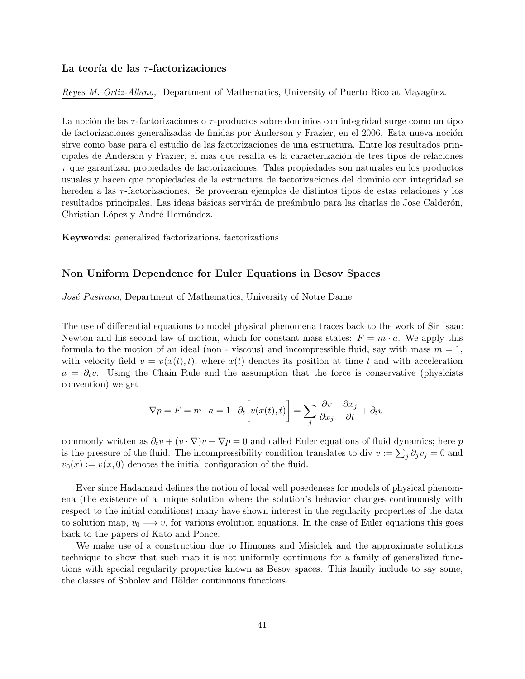#### **La teor´ıa de las** *τ* **-factorizaciones**

*Reyes M. Ortiz-Albino,* Department of Mathematics, University of Puerto Rico at Mayagüez.

La noción de las *τ*-factorizaciones o *τ*-productos sobre dominios con integridad surge como un tipo de factorizaciones generalizadas de finidas por Anderson y Frazier, en el 2006. Esta nueva noción sirve como base para el estudio de las factorizaciones de una estructura. Entre los resultados principales de Anderson y Frazier, el mas que resalta es la caracterización de tres tipos de relaciones *τ* que garantizan propiedades de factorizaciones. Tales propiedades son naturales en los productos usuales y hacen que propiedades de la estructura de factorizaciones del dominio con integridad se hereden a las *τ* -factorizaciones. Se proveeran ejemplos de distintos tipos de estas relaciones y los resultados principales. Las ideas básicas servirán de preámbulo para las charlas de Jose Calderón, Christian López y André Hernández.

**Keywords**: generalized factorizations, factorizations

#### **Non Uniform Dependence for Euler Equations in Besov Spaces**

*José Pastrana*, Department of Mathematics, University of Notre Dame.

The use of differential equations to model physical phenomena traces back to the work of Sir Isaac Newton and his second law of motion, which for constant mass states:  $F = m \cdot a$ . We apply this formula to the motion of an ideal (non - viscous) and incompressible fluid, say with mass  $m = 1$ , with velocity field  $v = v(x(t), t)$ , where  $x(t)$  denotes its position at time t and with acceleration  $a = \partial_t v$ . Using the Chain Rule and the assumption that the force is conservative (physicists convention) we get

$$
-\nabla p = F = m \cdot a = 1 \cdot \partial_t \left[ v(x(t), t) \right] = \sum_j \frac{\partial v}{\partial x_j} \cdot \frac{\partial x_j}{\partial t} + \partial_t v
$$

commonly written as  $\partial_t v + (v \cdot \nabla)v + \nabla p = 0$  and called Euler equations of fluid dynamics; here *p* is the pressure of the fluid. The incompressibility condition translates to div  $v := \sum_j \partial_j v_j = 0$  and  $v_0(x) := v(x,0)$  denotes the initial configuration of the fluid.

Ever since Hadamard defines the notion of local well posedeness for models of physical phenomena (the existence of a unique solution where the solution's behavior changes continuously with respect to the initial conditions) many have shown interest in the regularity properties of the data to solution map,  $v_0 \rightarrow v$ , for various evolution equations. In the case of Euler equations this goes back to the papers of Kato and Ponce.

We make use of a construction due to Himonas and Misiolek and the approximate solutions technique to show that such map it is not uniformly continuous for a family of generalized functions with special regularity properties known as Besov spaces. This family include to say some, the classes of Sobolev and Hölder continuous functions.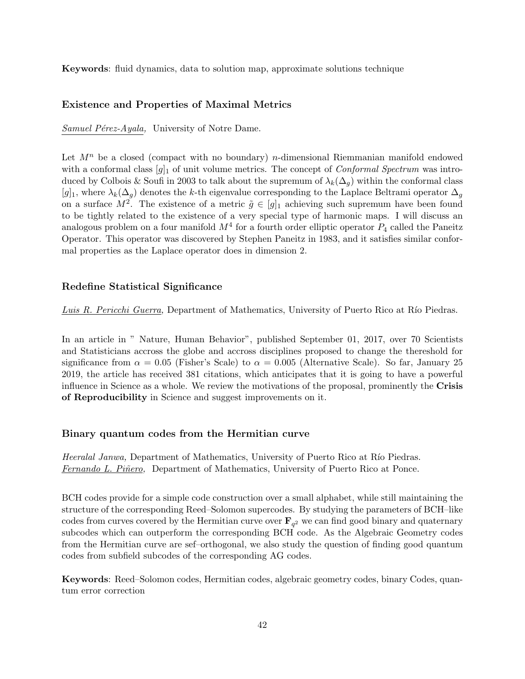**Keywords**: fluid dynamics, data to solution map, approximate solutions technique

#### **Existence and Properties of Maximal Metrics**

*Samuel Pérez-Ayala,* University of Notre Dame.

Let  $M^n$  be a closed (compact with no boundary) *n*-dimensional Riemmanian manifold endowed with a conformal class  $[g]_1$  of unit volume metrics. The concept of *Conformal Spectrum* was introduced by Colbois & Soufi in 2003 to talk about the supremum of  $\lambda_k(\Delta_q)$  within the conformal class  $[g]_1$ , where  $\lambda_k(\Delta_q)$  denotes the *k*-th eigenvalue corresponding to the Laplace Beltrami operator  $\Delta_q$ on a surface  $M^2$ . The existence of a metric  $\tilde{g} \in [g]_1$  achieving such supremum have been found to be tightly related to the existence of a very special type of harmonic maps. I will discuss an analogous problem on a four manifold  $M^4$  for a fourth order elliptic operator  $P_4$  called the Paneitz Operator. This operator was discovered by Stephen Paneitz in 1983, and it satisfies similar conformal properties as the Laplace operator does in dimension 2.

#### **Redefine Statistical Significance**

*Luis R. Pericchi Guerra*, Department of Mathematics, University of Puerto Rico at Río Piedras.

In an article in " Nature, Human Behavior", published September 01, 2017, over 70 Scientists and Statisticians accross the globe and accross disciplines proposed to change the thereshold for significance from  $\alpha = 0.05$  (Fisher's Scale) to  $\alpha = 0.005$  (Alternative Scale). So far, January 25 2019, the article has received 381 citations, which anticipates that it is going to have a powerful influence in Science as a whole. We review the motivations of the proposal, prominently the **Crisis of Reproducibility** in Science and suggest improvements on it.

#### **Binary quantum codes from the Hermitian curve**

*Heeralal Janwa,* Department of Mathematics, University of Puerto Rico at Río Piedras. *Fernando L. Pi˜nero,* Department of Mathematics, University of Puerto Rico at Ponce.

BCH codes provide for a simple code construction over a small alphabet, while still maintaining the structure of the corresponding Reed–Solomon supercodes. By studying the parameters of BCH–like codes from curves covered by the Hermitian curve over  $\mathbf{F}_{q^2}$  we can find good binary and quaternary subcodes which can outperform the corresponding BCH code. As the Algebraic Geometry codes from the Hermitian curve are sef–orthogonal, we also study the question of finding good quantum codes from subfield subcodes of the corresponding AG codes.

**Keywords**: Reed–Solomon codes, Hermitian codes, algebraic geometry codes, binary Codes, quantum error correction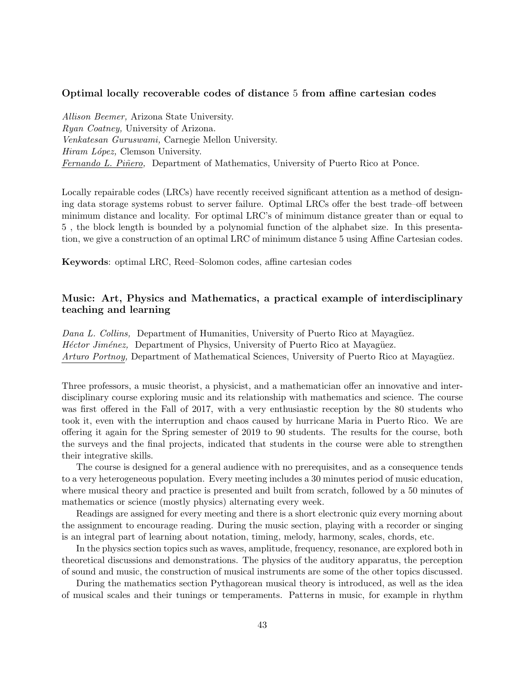#### **Optimal locally recoverable codes of distance** 5 **from affine cartesian codes**

*Allison Beemer,* Arizona State University. *Ryan Coatney,* University of Arizona. *Venkatesan Guruswami,* Carnegie Mellon University. *Hiram L´opez,* Clemson University. *Fernando L. Pi˜nero,* Department of Mathematics, University of Puerto Rico at Ponce.

Locally repairable codes (LRCs) have recently received significant attention as a method of designing data storage systems robust to server failure. Optimal LRCs offer the best trade–off between minimum distance and locality. For optimal LRC's of minimum distance greater than or equal to 5 , the block length is bounded by a polynomial function of the alphabet size. In this presentation, we give a construction of an optimal LRC of minimum distance 5 using Affine Cartesian codes.

**Keywords**: optimal LRC, Reed–Solomon codes, affine cartesian codes

## **Music: Art, Physics and Mathematics, a practical example of interdisciplinary teaching and learning**

*Dana L. Collins,* Department of Humanities, University of Puerto Rico at Mayagüez. *Héctor Jiménez*, Department of Physics, University of Puerto Rico at Mayagüez. *Arturo Portnoy,* Department of Mathematical Sciences, University of Puerto Rico at Mayagüez.

Three professors, a music theorist, a physicist, and a mathematician offer an innovative and interdisciplinary course exploring music and its relationship with mathematics and science. The course was first offered in the Fall of 2017, with a very enthusiastic reception by the 80 students who took it, even with the interruption and chaos caused by hurricane Maria in Puerto Rico. We are offering it again for the Spring semester of 2019 to 90 students. The results for the course, both the surveys and the final projects, indicated that students in the course were able to strengthen their integrative skills.

The course is designed for a general audience with no prerequisites, and as a consequence tends to a very heterogeneous population. Every meeting includes a 30 minutes period of music education, where musical theory and practice is presented and built from scratch, followed by a 50 minutes of mathematics or science (mostly physics) alternating every week.

Readings are assigned for every meeting and there is a short electronic quiz every morning about the assignment to encourage reading. During the music section, playing with a recorder or singing is an integral part of learning about notation, timing, melody, harmony, scales, chords, etc.

In the physics section topics such as waves, amplitude, frequency, resonance, are explored both in theoretical discussions and demonstrations. The physics of the auditory apparatus, the perception of sound and music, the construction of musical instruments are some of the other topics discussed.

During the mathematics section Pythagorean musical theory is introduced, as well as the idea of musical scales and their tunings or temperaments. Patterns in music, for example in rhythm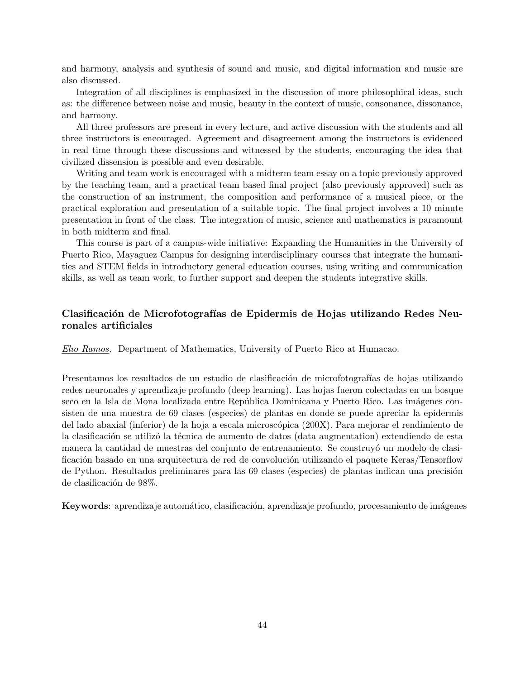and harmony, analysis and synthesis of sound and music, and digital information and music are also discussed.

Integration of all disciplines is emphasized in the discussion of more philosophical ideas, such as: the difference between noise and music, beauty in the context of music, consonance, dissonance, and harmony.

All three professors are present in every lecture, and active discussion with the students and all three instructors is encouraged. Agreement and disagreement among the instructors is evidenced in real time through these discussions and witnessed by the students, encouraging the idea that civilized dissension is possible and even desirable.

Writing and team work is encouraged with a midterm team essay on a topic previously approved by the teaching team, and a practical team based final project (also previously approved) such as the construction of an instrument, the composition and performance of a musical piece, or the practical exploration and presentation of a suitable topic. The final project involves a 10 minute presentation in front of the class. The integration of music, science and mathematics is paramount in both midterm and final.

This course is part of a campus-wide initiative: Expanding the Humanities in the University of Puerto Rico, Mayaguez Campus for designing interdisciplinary courses that integrate the humanities and STEM fields in introductory general education courses, using writing and communication skills, as well as team work, to further support and deepen the students integrative skills.

## Clasificación de Microfotografías de Epidermis de Hojas utilizando Redes Neu**ronales artificiales**

*Elio Ramos,* Department of Mathematics, University of Puerto Rico at Humacao.

Presentamos los resultados de un estudio de clasificación de microfotografías de hojas utilizando redes neuronales y aprendizaje profundo (deep learning). Las hojas fueron colectadas en un bosque seco en la Isla de Mona localizada entre República Dominicana y Puerto Rico. Las imágenes consisten de una muestra de 69 clases (especies) de plantas en donde se puede apreciar la epidermis del lado abaxial (inferior) de la hoja a escala microscópica (200X). Para mejorar el rendimiento de la clasificación se utilizó la técnica de aumento de datos (data augmentation) extendiendo de esta manera la cantidad de muestras del conjunto de entrenamiento. Se construyó un modelo de clasificación basado en una arquitectura de red de convolución utilizando el paquete Keras/Tensorflow de Python. Resultados preliminares para las 69 clases (especies) de plantas indican una precisión de clasificación de 98%.

**Keywords**: aprendizaje automático, clasificación, aprendizaje profundo, procesamiento de imágenes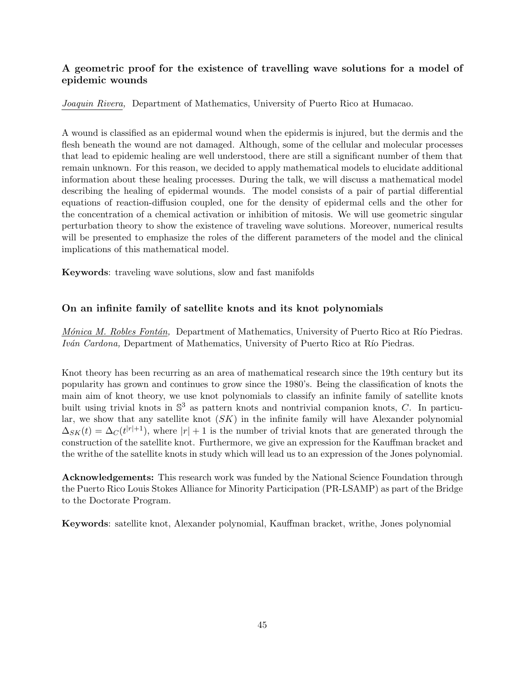## **A geometric proof for the existence of travelling wave solutions for a model of epidemic wounds**

*Joaquin Rivera,* Department of Mathematics, University of Puerto Rico at Humacao.

A wound is classified as an epidermal wound when the epidermis is injured, but the dermis and the flesh beneath the wound are not damaged. Although, some of the cellular and molecular processes that lead to epidemic healing are well understood, there are still a significant number of them that remain unknown. For this reason, we decided to apply mathematical models to elucidate additional information about these healing processes. During the talk, we will discuss a mathematical model describing the healing of epidermal wounds. The model consists of a pair of partial differential equations of reaction-diffusion coupled, one for the density of epidermal cells and the other for the concentration of a chemical activation or inhibition of mitosis. We will use geometric singular perturbation theory to show the existence of traveling wave solutions. Moreover, numerical results will be presented to emphasize the roles of the different parameters of the model and the clinical implications of this mathematical model.

**Keywords**: traveling wave solutions, slow and fast manifolds

## **On an infinite family of satellite knots and its knot polynomials**

*Mónica M. Robles Fontán, Department of Mathematics, University of Puerto Rico at Río Piedras. Iván Cardona*, Department of Mathematics, University of Puerto Rico at Río Piedras.

Knot theory has been recurring as an area of mathematical research since the 19th century but its popularity has grown and continues to grow since the 1980's. Being the classification of knots the main aim of knot theory, we use knot polynomials to classify an infinite family of satellite knots built using trivial knots in S <sup>3</sup> as pattern knots and nontrivial companion knots, *C*. In particular, we show that any satellite knot (*SK*) in the infinite family will have Alexander polynomial  $\Delta_{SK}(t) = \Delta_C(t^{|r|+1})$ , where  $|r| + 1$  is the number of trivial knots that are generated through the construction of the satellite knot. Furthermore, we give an expression for the Kauffman bracket and the writhe of the satellite knots in study which will lead us to an expression of the Jones polynomial.

**Acknowledgements:** This research work was funded by the National Science Foundation through the Puerto Rico Louis Stokes Alliance for Minority Participation (PR-LSAMP) as part of the Bridge to the Doctorate Program.

**Keywords**: satellite knot, Alexander polynomial, Kauffman bracket, writhe, Jones polynomial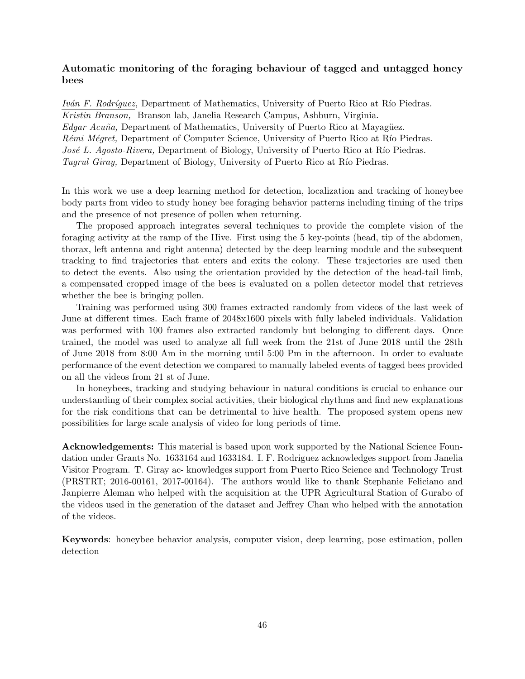## **Automatic monitoring of the foraging behaviour of tagged and untagged honey bees**

*Iván F. Rodríguez,* Department of Mathematics, University of Puerto Rico at Río Piedras. *Kristin Branson,* Branson lab, Janelia Research Campus, Ashburn, Virginia. *Edgar Acuña*, Department of Mathematics, University of Puerto Rico at Mayagüez. *Rémi Mégret,* Department of Computer Science, University of Puerto Rico at Río Piedras. *José L. Agosto-Rivera, Department of Biology, University of Puerto Rico at Río Piedras. Tugrul Giray,* Department of Biology, University of Puerto Rico at Río Piedras.

In this work we use a deep learning method for detection, localization and tracking of honeybee body parts from video to study honey bee foraging behavior patterns including timing of the trips and the presence of not presence of pollen when returning.

The proposed approach integrates several techniques to provide the complete vision of the foraging activity at the ramp of the Hive. First using the 5 key-points (head, tip of the abdomen, thorax, left antenna and right antenna) detected by the deep learning module and the subsequent tracking to find trajectories that enters and exits the colony. These trajectories are used then to detect the events. Also using the orientation provided by the detection of the head-tail limb, a compensated cropped image of the bees is evaluated on a pollen detector model that retrieves whether the bee is bringing pollen.

Training was performed using 300 frames extracted randomly from videos of the last week of June at different times. Each frame of 2048x1600 pixels with fully labeled individuals. Validation was performed with 100 frames also extracted randomly but belonging to different days. Once trained, the model was used to analyze all full week from the 21st of June 2018 until the 28th of June 2018 from 8:00 Am in the morning until 5:00 Pm in the afternoon. In order to evaluate performance of the event detection we compared to manually labeled events of tagged bees provided on all the videos from 21 st of June.

In honeybees, tracking and studying behaviour in natural conditions is crucial to enhance our understanding of their complex social activities, their biological rhythms and find new explanations for the risk conditions that can be detrimental to hive health. The proposed system opens new possibilities for large scale analysis of video for long periods of time.

**Acknowledgements:** This material is based upon work supported by the National Science Foundation under Grants No. 1633164 and 1633184. I. F. Rodriguez acknowledges support from Janelia Visitor Program. T. Giray ac- knowledges support from Puerto Rico Science and Technology Trust (PRSTRT; 2016-00161, 2017-00164). The authors would like to thank Stephanie Feliciano and Janpierre Aleman who helped with the acquisition at the UPR Agricultural Station of Gurabo of the videos used in the generation of the dataset and Jeffrey Chan who helped with the annotation of the videos.

**Keywords**: honeybee behavior analysis, computer vision, deep learning, pose estimation, pollen detection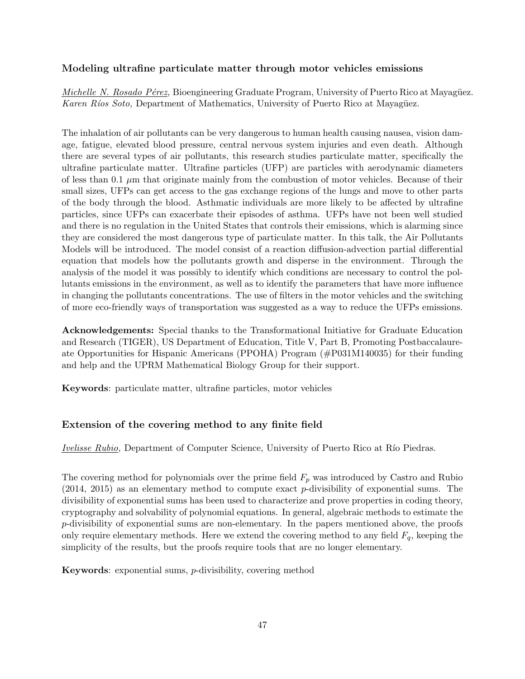## **Modeling ultrafine particulate matter through motor vehicles emissions**

*Michelle N. Rosado Pérez,* Bioengineering Graduate Program, University of Puerto Rico at Mayagüez. *Karen Ríos Soto,* Department of Mathematics, University of Puerto Rico at Mayagüez.

The inhalation of air pollutants can be very dangerous to human health causing nausea, vision damage, fatigue, elevated blood pressure, central nervous system injuries and even death. Although there are several types of air pollutants, this research studies particulate matter, specifically the ultrafine particulate matter. Ultrafine particles (UFP) are particles with aerodynamic diameters of less than 0.1 *µ*m that originate mainly from the combustion of motor vehicles. Because of their small sizes, UFPs can get access to the gas exchange regions of the lungs and move to other parts of the body through the blood. Asthmatic individuals are more likely to be affected by ultrafine particles, since UFPs can exacerbate their episodes of asthma. UFPs have not been well studied and there is no regulation in the United States that controls their emissions, which is alarming since they are considered the most dangerous type of particulate matter. In this talk, the Air Pollutants Models will be introduced. The model consist of a reaction diffusion-advection partial differential equation that models how the pollutants growth and disperse in the environment. Through the analysis of the model it was possibly to identify which conditions are necessary to control the pollutants emissions in the environment, as well as to identify the parameters that have more influence in changing the pollutants concentrations. The use of filters in the motor vehicles and the switching of more eco-friendly ways of transportation was suggested as a way to reduce the UFPs emissions.

**Acknowledgements:** Special thanks to the Transformational Initiative for Graduate Education and Research (TIGER), US Department of Education, Title V, Part B, Promoting Postbaccalaureate Opportunities for Hispanic Americans (PPOHA) Program (#P031M140035) for their funding and help and the UPRM Mathematical Biology Group for their support.

**Keywords**: particulate matter, ultrafine particles, motor vehicles

## **Extension of the covering method to any finite field**

*Ivelisse Rubio*, Department of Computer Science, University of Puerto Rico at Río Piedras.

The covering method for polynomials over the prime field *F<sup>p</sup>* was introduced by Castro and Rubio (2014, 2015) as an elementary method to compute exact *p*-divisibility of exponential sums. The divisibility of exponential sums has been used to characterize and prove properties in coding theory, cryptography and solvability of polynomial equations. In general, algebraic methods to estimate the *p*-divisibility of exponential sums are non-elementary. In the papers mentioned above, the proofs only require elementary methods. Here we extend the covering method to any field  $F_q$ , keeping the simplicity of the results, but the proofs require tools that are no longer elementary.

**Keywords**: exponential sums, *p*-divisibility, covering method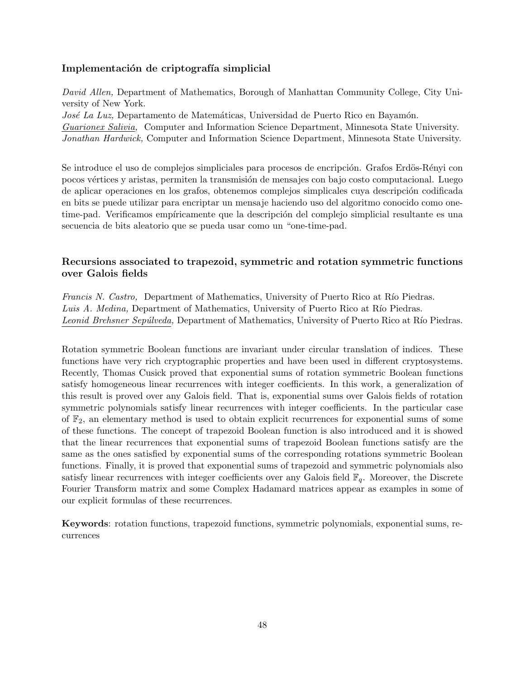## Implementación de criptografía simplicial

*David Allen,* Department of Mathematics, Borough of Manhattan Community College, City University of New York.

*José La Luz*, Departamento de Matemáticas, Universidad de Puerto Rico en Bayamón. *Guarionex Salivia,* Computer and Information Science Department, Minnesota State University. *Jonathan Hardwick,* Computer and Information Science Department, Minnesota State University.

Se introduce el uso de complejos simpliciales para procesos de encripción. Grafos Erdös-Rényi con pocos vértices y aristas, permiten la transmisión de mensajes con bajo costo computacional. Luego de aplicar operaciones en los grafos, obtenemos complejos simplicales cuya descripción codificada en bits se puede utilizar para encriptar un mensaje haciendo uso del algoritmo conocido como onetime-pad. Verificamos empíricamente que la descripción del complejo simplicial resultante es una secuencia de bits aleatorio que se pueda usar como un "one-time-pad.

## **Recursions associated to trapezoid, symmetric and rotation symmetric functions over Galois fields**

*Francis N. Castro,* Department of Mathematics, University of Puerto Rico at Río Piedras. *Luis A. Medina, Department of Mathematics, University of Puerto Rico at Río Piedras.* Leonid Brehsner Sepúlveda, Department of Mathematics, University of Puerto Rico at Río Piedras.

Rotation symmetric Boolean functions are invariant under circular translation of indices. These functions have very rich cryptographic properties and have been used in different cryptosystems. Recently, Thomas Cusick proved that exponential sums of rotation symmetric Boolean functions satisfy homogeneous linear recurrences with integer coefficients. In this work, a generalization of this result is proved over any Galois field. That is, exponential sums over Galois fields of rotation symmetric polynomials satisfy linear recurrences with integer coefficients. In the particular case of  $\mathbb{F}_2$ , an elementary method is used to obtain explicit recurrences for exponential sums of some of these functions. The concept of trapezoid Boolean function is also introduced and it is showed that the linear recurrences that exponential sums of trapezoid Boolean functions satisfy are the same as the ones satisfied by exponential sums of the corresponding rotations symmetric Boolean functions. Finally, it is proved that exponential sums of trapezoid and symmetric polynomials also satisfy linear recurrences with integer coefficients over any Galois field  $\mathbb{F}_q$ . Moreover, the Discrete Fourier Transform matrix and some Complex Hadamard matrices appear as examples in some of our explicit formulas of these recurrences.

**Keywords**: rotation functions, trapezoid functions, symmetric polynomials, exponential sums, recurrences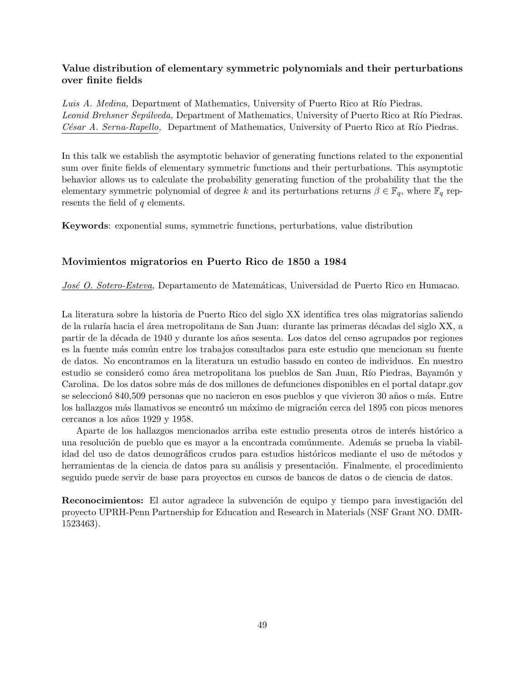## **Value distribution of elementary symmetric polynomials and their perturbations over finite fields**

*Luis A. Medina, Department of Mathematics, University of Puerto Rico at Río Piedras. Leonid Brehsner Sepúlveda,* Department of Mathematics, University of Puerto Rico at Río Piedras. *César A. Serna-Rapello,* Department of Mathematics, University of Puerto Rico at Río Piedras.

In this talk we establish the asymptotic behavior of generating functions related to the exponential sum over finite fields of elementary symmetric functions and their perturbations. This asymptotic behavior allows us to calculate the probability generating function of the probability that the the elementary symmetric polynomial of degree *k* and its perturbations returns  $\beta \in \mathbb{F}_q$ , where  $\mathbb{F}_q$  represents the field of *q* elements.

**Keywords**: exponential sums, symmetric functions, perturbations, value distribution

#### **Movimientos migratorios en Puerto Rico de 1850 a 1984**

*José O. Sotero-Esteva*, Departamento de Matemáticas, Universidad de Puerto Rico en Humacao.

La literatura sobre la historia de Puerto Rico del siglo XX identifica tres olas migratorias saliendo de la rularía hacia el área metropolitana de San Juan: durante las primeras décadas del siglo XX, a partir de la década de 1940 y durante los años sesenta. Los datos del censo agrupados por regiones es la fuente m´as com´un entre los trabajos consultados para este estudio que mencionan su fuente de datos. No encontramos en la literatura un estudio basado en conteo de individuos. En nuestro estudio se consideró como área metropolitana los pueblos de San Juan, Río Piedras, Bayamón y Carolina. De los datos sobre m´as de dos millones de defunciones disponibles en el portal datapr.gov se seleccionó 840,509 personas que no nacieron en esos pueblos y que vivieron 30 años o más. Entre los hallazgos más llamativos se encontró un máximo de migración cerca del 1895 con picos menores cercanos a los a˜nos 1929 y 1958.

Aparte de los hallazgos mencionados arriba este estudio presenta otros de interés histórico a una resolución de pueblo que es mayor a la encontrada comúnmente. Además se prueba la viabilidad del uso de datos demográficos crudos para estudios históricos mediante el uso de métodos y herramientas de la ciencia de datos para su análisis y presentación. Finalmente, el procedimiento seguido puede servir de base para proyectos en cursos de bancos de datos o de ciencia de datos.

**Reconocimientos:** El autor agradece la subvención de equipo y tiempo para investigación del proyecto UPRH-Penn Partnership for Education and Research in Materials (NSF Grant NO. DMR-1523463).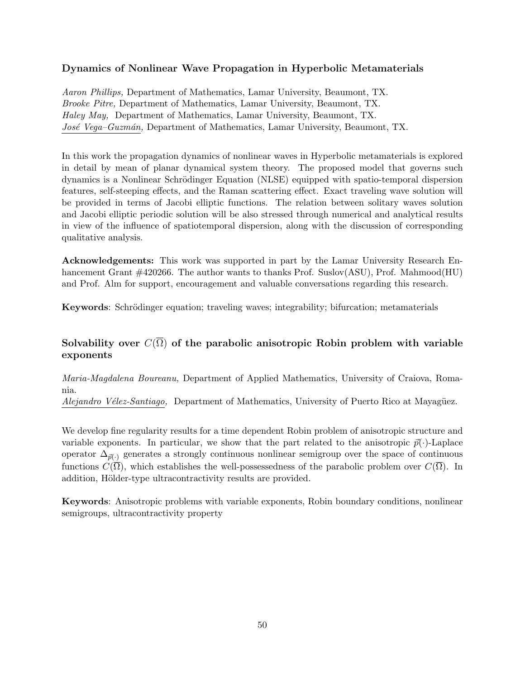## **Dynamics of Nonlinear Wave Propagation in Hyperbolic Metamaterials**

*Aaron Phillips,* Department of Mathematics, Lamar University, Beaumont, TX. *Brooke Pitre,* Department of Mathematics, Lamar University, Beaumont, TX. *Haley May,* Department of Mathematics, Lamar University, Beaumont, TX. *Jos´e Vega–Guzm´an,* Department of Mathematics, Lamar University, Beaumont, TX.

In this work the propagation dynamics of nonlinear waves in Hyperbolic metamaterials is explored in detail by mean of planar dynamical system theory. The proposed model that governs such dynamics is a Nonlinear Schrödinger Equation (NLSE) equipped with spatio-temporal dispersion features, self-steeping effects, and the Raman scattering effect. Exact traveling wave solution will be provided in terms of Jacobi elliptic functions. The relation between solitary waves solution and Jacobi elliptic periodic solution will be also stressed through numerical and analytical results in view of the influence of spatiotemporal dispersion, along with the discussion of corresponding qualitative analysis.

**Acknowledgements:** This work was supported in part by the Lamar University Research Enhancement Grant #420266. The author wants to thanks Prof. Suslov(ASU), Prof. Mahmood(HU) and Prof. Alm for support, encouragement and valuable conversations regarding this research.

**Keywords**: Schrödinger equation; traveling waves; integrability; bifurcation; metamaterials

## **Solvability over**  $C(\overline{\Omega})$  of the parabolic anisotropic Robin problem with variable **exponents**

*Maria-Magdalena Boureanu,* Department of Applied Mathematics, University of Craiova, Romania.

*Alejandro Vélez-Santiago,* Department of Mathematics, University of Puerto Rico at Mayagüez.

We develop fine regularity results for a time dependent Robin problem of anisotropic structure and variable exponents. In particular, we show that the part related to the anisotropic  $\vec{p}(\cdot)$ -Laplace operator  $\Delta_{\vec{p}(\cdot)}$  generates a strongly continuous nonlinear semigroup over the space of continuous functions  $C(\Omega)$ , which establishes the well-possessedness of the parabolic problem over  $C(\overline{\Omega})$ . In addition, Hölder-type ultracontractivity results are provided.

**Keywords**: Anisotropic problems with variable exponents, Robin boundary conditions, nonlinear semigroups, ultracontractivity property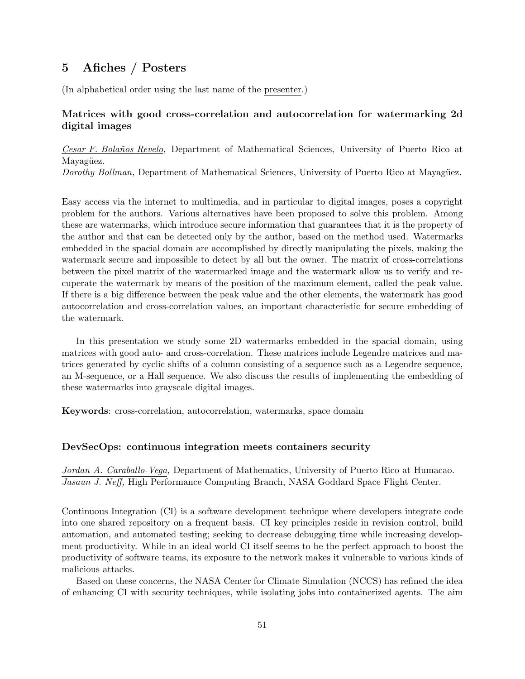## **5 Afiches / Posters**

(In alphabetical order using the last name of the presenter.)

### **Matrices with good cross-correlation and autocorrelation for watermarking 2d digital images**

*Cesar F. Bola˜nos Revelo,* Department of Mathematical Sciences, University of Puerto Rico at Mayagüez.

*Dorothy Bollman,* Department of Mathematical Sciences, University of Puerto Rico at Mayagüez.

Easy access via the internet to multimedia, and in particular to digital images, poses a copyright problem for the authors. Various alternatives have been proposed to solve this problem. Among these are watermarks, which introduce secure information that guarantees that it is the property of the author and that can be detected only by the author, based on the method used. Watermarks embedded in the spacial domain are accomplished by directly manipulating the pixels, making the watermark secure and impossible to detect by all but the owner. The matrix of cross-correlations between the pixel matrix of the watermarked image and the watermark allow us to verify and recuperate the watermark by means of the position of the maximum element, called the peak value. If there is a big difference between the peak value and the other elements, the watermark has good autocorrelation and cross-correlation values, an important characteristic for secure embedding of the watermark.

In this presentation we study some 2D watermarks embedded in the spacial domain, using matrices with good auto- and cross-correlation. These matrices include Legendre matrices and matrices generated by cyclic shifts of a column consisting of a sequence such as a Legendre sequence, an M-sequence, or a Hall sequence. We also discuss the results of implementing the embedding of these watermarks into grayscale digital images.

**Keywords**: cross-correlation, autocorrelation, watermarks, space domain

#### **DevSecOps: continuous integration meets containers security**

*Jordan A. Caraballo-Vega,* Department of Mathematics, University of Puerto Rico at Humacao. *Jasaun J. Neff,* High Performance Computing Branch, NASA Goddard Space Flight Center.

Continuous Integration (CI) is a software development technique where developers integrate code into one shared repository on a frequent basis. CI key principles reside in revision control, build automation, and automated testing; seeking to decrease debugging time while increasing development productivity. While in an ideal world CI itself seems to be the perfect approach to boost the productivity of software teams, its exposure to the network makes it vulnerable to various kinds of malicious attacks.

Based on these concerns, the NASA Center for Climate Simulation (NCCS) has refined the idea of enhancing CI with security techniques, while isolating jobs into containerized agents. The aim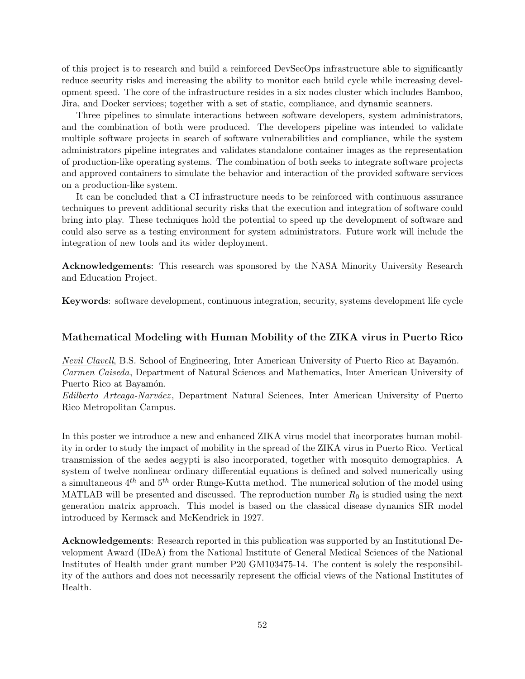of this project is to research and build a reinforced DevSecOps infrastructure able to significantly reduce security risks and increasing the ability to monitor each build cycle while increasing development speed. The core of the infrastructure resides in a six nodes cluster which includes Bamboo, Jira, and Docker services; together with a set of static, compliance, and dynamic scanners.

Three pipelines to simulate interactions between software developers, system administrators, and the combination of both were produced. The developers pipeline was intended to validate multiple software projects in search of software vulnerabilities and compliance, while the system administrators pipeline integrates and validates standalone container images as the representation of production-like operating systems. The combination of both seeks to integrate software projects and approved containers to simulate the behavior and interaction of the provided software services on a production-like system.

It can be concluded that a CI infrastructure needs to be reinforced with continuous assurance techniques to prevent additional security risks that the execution and integration of software could bring into play. These techniques hold the potential to speed up the development of software and could also serve as a testing environment for system administrators. Future work will include the integration of new tools and its wider deployment.

**Acknowledgements**: This research was sponsored by the NASA Minority University Research and Education Project.

**Keywords**: software development, continuous integration, security, systems development life cycle

#### **Mathematical Modeling with Human Mobility of the ZIKA virus in Puerto Rico**

*Nevil Clavell*, B.S. School of Engineering, Inter American University of Puerto Rico at Bayamón. *Carmen Caiseda*, Department of Natural Sciences and Mathematics, Inter American University of Puerto Rico at Bayamón.

*Edilberto Arteaga-Narv´aez* , Department Natural Sciences, Inter American University of Puerto Rico Metropolitan Campus.

In this poster we introduce a new and enhanced ZIKA virus model that incorporates human mobility in order to study the impact of mobility in the spread of the ZIKA virus in Puerto Rico. Vertical transmission of the aedes aegypti is also incorporated, together with mosquito demographics. A system of twelve nonlinear ordinary differential equations is defined and solved numerically using a simultaneous 4*th* and 5*th* order Runge-Kutta method. The numerical solution of the model using MATLAB will be presented and discussed. The reproduction number  $R_0$  is studied using the next generation matrix approach. This model is based on the classical disease dynamics SIR model introduced by Kermack and McKendrick in 1927.

**Acknowledgements**: Research reported in this publication was supported by an Institutional Development Award (IDeA) from the National Institute of General Medical Sciences of the National Institutes of Health under grant number P20 GM103475-14. The content is solely the responsibility of the authors and does not necessarily represent the official views of the National Institutes of Health.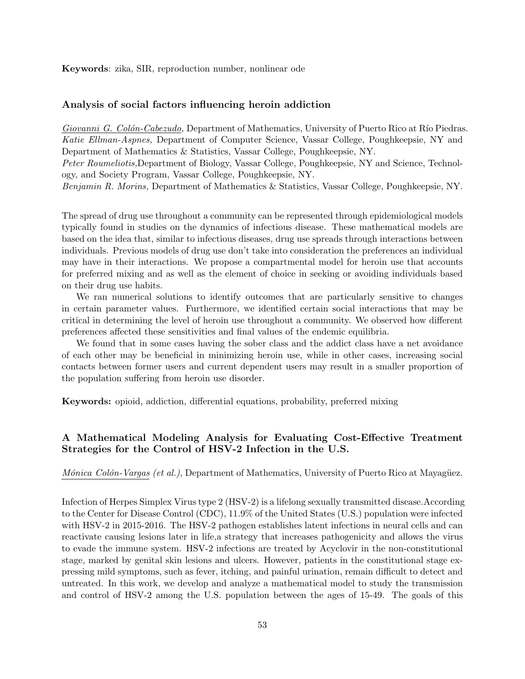**Keywords**: zika, SIR, reproduction number, nonlinear ode

#### **Analysis of social factors influencing heroin addiction**

*Giovanni G. Colón-Cabezudo,* Department of Mathematics, University of Puerto Rico at Río Piedras. *Katie Ellman-Aspnes,* Department of Computer Science, Vassar College, Poughkeepsie, NY and Department of Mathematics & Statistics, Vassar College, Poughkeepsie, NY. *Peter Roumeliotis,*Department of Biology, Vassar College, Poughkeepsie, NY and Science, Technol-

ogy, and Society Program, Vassar College, Poughkeepsie, NY.

*Benjamin R. Morins,* Department of Mathematics & Statistics, Vassar College, Poughkeepsie, NY.

The spread of drug use throughout a community can be represented through epidemiological models typically found in studies on the dynamics of infectious disease. These mathematical models are based on the idea that, similar to infectious diseases, drug use spreads through interactions between individuals. Previous models of drug use don't take into consideration the preferences an individual may have in their interactions. We propose a compartmental model for heroin use that accounts for preferred mixing and as well as the element of choice in seeking or avoiding individuals based on their drug use habits.

We ran numerical solutions to identify outcomes that are particularly sensitive to changes in certain parameter values. Furthermore, we identified certain social interactions that may be critical in determining the level of heroin use throughout a community. We observed how different preferences affected these sensitivities and final values of the endemic equilibria.

We found that in some cases having the sober class and the addict class have a net avoidance of each other may be beneficial in minimizing heroin use, while in other cases, increasing social contacts between former users and current dependent users may result in a smaller proportion of the population suffering from heroin use disorder.

**Keywords:** opioid, addiction, differential equations, probability, preferred mixing

## **A Mathematical Modeling Analysis for Evaluating Cost-Effective Treatment Strategies for the Control of HSV-2 Infection in the U.S.**

*Mónica Colón-Vargas (et al.)*, Department of Mathematics, University of Puerto Rico at Mayagüez.

Infection of Herpes Simplex Virus type 2 (HSV-2) is a lifelong sexually transmitted disease.According to the Center for Disease Control (CDC), 11.9% of the United States (U.S.) population were infected with HSV-2 in 2015-2016. The HSV-2 pathogen establishes latent infections in neural cells and can reactivate causing lesions later in life,a strategy that increases pathogenicity and allows the virus to evade the immune system. HSV-2 infections are treated by Acyclovir in the non-constitutional stage, marked by genital skin lesions and ulcers. However, patients in the constitutional stage expressing mild symptoms, such as fever, itching, and painful urination, remain difficult to detect and untreated. In this work, we develop and analyze a mathematical model to study the transmission and control of HSV-2 among the U.S. population between the ages of 15-49. The goals of this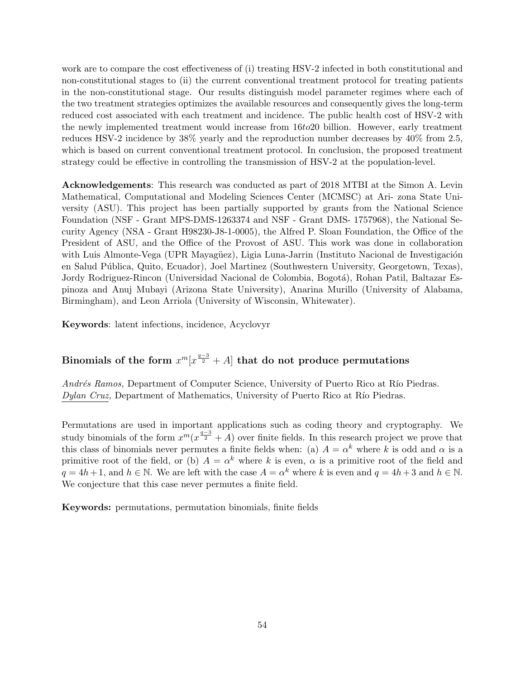work are to compare the cost effectiveness of (i) treating HSV-2 infected in both constitutional and non-constitutional stages to (ii) the current conventional treatment protocol for treating patients in the non-constitutional stage. Our results distinguish model parameter regimes where each of the two treatment strategies optimizes the available resources and consequently gives the long-term reduced cost associated with each treatment and incidence. The public health cost of HSV-2 with the newly implemented treatment would increase from 16*to*20 billion. However, early treatment reduces HSV-2 incidence by 38% yearly and the reproduction number decreases by 40% from 2.5, which is based on current conventional treatment protocol. In conclusion, the proposed treatment strategy could be effective in controlling the transmission of HSV-2 at the population-level.

**Acknowledgements**: This research was conducted as part of 2018 MTBI at the Simon A. Levin Mathematical, Computational and Modeling Sciences Center (MCMSC) at Ari- zona State University (ASU). This project has been partially supported by grants from the National Science Foundation (NSF - Grant MPS-DMS-1263374 and NSF - Grant DMS- 1757968), the National Security Agency (NSA - Grant H98230-J8-1-0005), the Alfred P. Sloan Foundation, the Office of the President of ASU, and the Office of the Provost of ASU. This work was done in collaboration with Luis Almonte-Vega (UPR Mayagüez), Ligia Luna-Jarrin (Instituto Nacional de Investigación en Salud Pública, Quito, Ecuador), Joel Martinez (Southwestern University, Georgetown, Texas), Jordy Rodriguez-Rincon (Universidad Nacional de Colombia, Bogotá), Rohan Patil, Baltazar Espinoza and Anuj Mubayi (Arizona State University), Anarina Murillo (University of Alabama, Birmingham), and Leon Arriola (University of Wisconsin, Whitewater).

**Keywords**: latent infections, incidence, Acyclovyr

## $\mathbf{Binomials\ of\ the\ form\ } x^m[x^{\frac{q-3}{2}}+A] \ \mathbf{that\ do\ not\ produce\ permutations}$

*Andrés Ramos,* Department of Computer Science, University of Puerto Rico at Río Piedras. *Dylan Cruz,* Department of Mathematics, University of Puerto Rico at Río Piedras.

Permutations are used in important applications such as coding theory and cryptography. We study binomials of the form  $x^m(x^{\frac{q-3}{2}}+A)$  over finite fields. In this research project we prove that this class of binomials never permutes a finite fields when: (a)  $A = \alpha^k$  where k is odd and  $\alpha$  is a primitive root of the field, or (b)  $A = \alpha^k$  where k is even,  $\alpha$  is a primitive root of the field and  $q = 4h + 1$ , and  $h \in \mathbb{N}$ . We are left with the case  $A = \alpha^k$  where  $k$  is even and  $q = 4h + 3$  and  $h \in \mathbb{N}$ . We conjecture that this case never permutes a finite field.

**Keywords:** permutations, permutation binomials, finite fields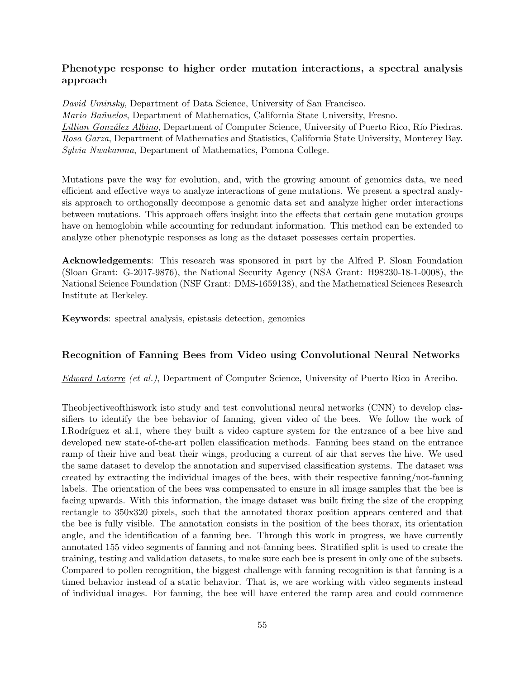## **Phenotype response to higher order mutation interactions, a spectral analysis approach**

*David Uminsky*, Department of Data Science, University of San Francisco. *Mario Ba˜nuelos*, Department of Mathematics, California State University, Fresno. *Lillian González Albino*, Department of Computer Science, University of Puerto Rico, Río Piedras. *Rosa Garza*, Department of Mathematics and Statistics, California State University, Monterey Bay. *Sylvia Nwakanma*, Department of Mathematics, Pomona College.

Mutations pave the way for evolution, and, with the growing amount of genomics data, we need efficient and effective ways to analyze interactions of gene mutations. We present a spectral analysis approach to orthogonally decompose a genomic data set and analyze higher order interactions between mutations. This approach offers insight into the effects that certain gene mutation groups have on hemoglobin while accounting for redundant information. This method can be extended to analyze other phenotypic responses as long as the dataset possesses certain properties.

**Acknowledgements**: This research was sponsored in part by the Alfred P. Sloan Foundation (Sloan Grant: G-2017-9876), the National Security Agency (NSA Grant: H98230-18-1-0008), the National Science Foundation (NSF Grant: DMS-1659138), and the Mathematical Sciences Research Institute at Berkeley.

**Keywords**: spectral analysis, epistasis detection, genomics

## **Recognition of Fanning Bees from Video using Convolutional Neural Networks**

*Edward Latorre (et al.)*, Department of Computer Science, University of Puerto Rico in Arecibo.

Theobjectiveofthiswork isto study and test convolutional neural networks (CNN) to develop classifiers to identify the bee behavior of fanning, given video of the bees. We follow the work of I.Rodríguez et al.1, where they built a video capture system for the entrance of a bee hive and developed new state-of-the-art pollen classification methods. Fanning bees stand on the entrance ramp of their hive and beat their wings, producing a current of air that serves the hive. We used the same dataset to develop the annotation and supervised classification systems. The dataset was created by extracting the individual images of the bees, with their respective fanning/not-fanning labels. The orientation of the bees was compensated to ensure in all image samples that the bee is facing upwards. With this information, the image dataset was built fixing the size of the cropping rectangle to 350x320 pixels, such that the annotated thorax position appears centered and that the bee is fully visible. The annotation consists in the position of the bees thorax, its orientation angle, and the identification of a fanning bee. Through this work in progress, we have currently annotated 155 video segments of fanning and not-fanning bees. Stratified split is used to create the training, testing and validation datasets, to make sure each bee is present in only one of the subsets. Compared to pollen recognition, the biggest challenge with fanning recognition is that fanning is a timed behavior instead of a static behavior. That is, we are working with video segments instead of individual images. For fanning, the bee will have entered the ramp area and could commence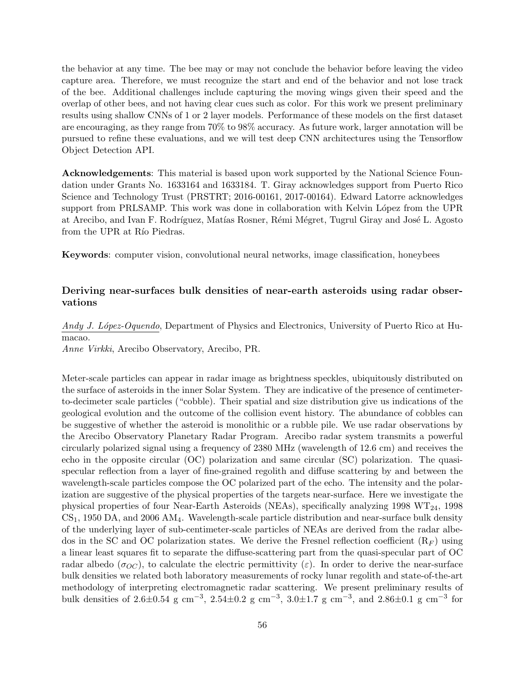the behavior at any time. The bee may or may not conclude the behavior before leaving the video capture area. Therefore, we must recognize the start and end of the behavior and not lose track of the bee. Additional challenges include capturing the moving wings given their speed and the overlap of other bees, and not having clear cues such as color. For this work we present preliminary results using shallow CNNs of 1 or 2 layer models. Performance of these models on the first dataset are encouraging, as they range from 70% to 98% accuracy. As future work, larger annotation will be pursued to refine these evaluations, and we will test deep CNN architectures using the Tensorflow Object Detection API.

**Acknowledgements**: This material is based upon work supported by the National Science Foundation under Grants No. 1633164 and 1633184. T. Giray acknowledges support from Puerto Rico Science and Technology Trust (PRSTRT; 2016-00161, 2017-00164). Edward Latorre acknowledges support from PRLSAMP. This work was done in collaboration with Kelvin López from the UPR at Arecibo, and Ivan F. Rodríguez, Matías Rosner, Rémi Mégret, Tugrul Giray and José L. Agosto from the UPR at R<sub>io</sub> Piedras.

**Keywords**: computer vision, convolutional neural networks, image classification, honeybees

## **Deriving near-surfaces bulk densities of near-earth asteroids using radar observations**

*Andy J. L´opez-Oquendo*, Department of Physics and Electronics, University of Puerto Rico at Humacao.

*Anne Virkki*, Arecibo Observatory, Arecibo, PR.

Meter-scale particles can appear in radar image as brightness speckles, ubiquitously distributed on the surface of asteroids in the inner Solar System. They are indicative of the presence of centimeterto-decimeter scale particles ("cobble). Their spatial and size distribution give us indications of the geological evolution and the outcome of the collision event history. The abundance of cobbles can be suggestive of whether the asteroid is monolithic or a rubble pile. We use radar observations by the Arecibo Observatory Planetary Radar Program. Arecibo radar system transmits a powerful circularly polarized signal using a frequency of 2380 MHz (wavelength of 12.6 cm) and receives the echo in the opposite circular (OC) polarization and same circular (SC) polarization. The quasispecular reflection from a layer of fine-grained regolith and diffuse scattering by and between the wavelength-scale particles compose the OC polarized part of the echo. The intensity and the polarization are suggestive of the physical properties of the targets near-surface. Here we investigate the physical properties of four Near-Earth Asteroids (NEAs), specifically analyzing 1998  $WT_{24}$ , 1998 CS1, 1950 DA, and 2006 AM4. Wavelength-scale particle distribution and near-surface bulk density of the underlying layer of sub-centimeter-scale particles of NEAs are derived from the radar albedos in the SC and OC polarization states. We derive the Fresnel reflection coefficient  $(R_F)$  using a linear least squares fit to separate the diffuse-scattering part from the quasi-specular part of OC radar albedo ( $\sigma_{OC}$ ), to calculate the electric permittivity ( $\varepsilon$ ). In order to derive the near-surface bulk densities we related both laboratory measurements of rocky lunar regolith and state-of-the-art methodology of interpreting electromagnetic radar scattering. We present preliminary results of bulk densities of 2.6*±*0.54 g cm*−*<sup>3</sup> , 2.54*±*0.2 g cm*−*<sup>3</sup> , 3.0*±*1.7 g cm*−*<sup>3</sup> , and 2.86*±*0.1 g cm*−*<sup>3</sup> for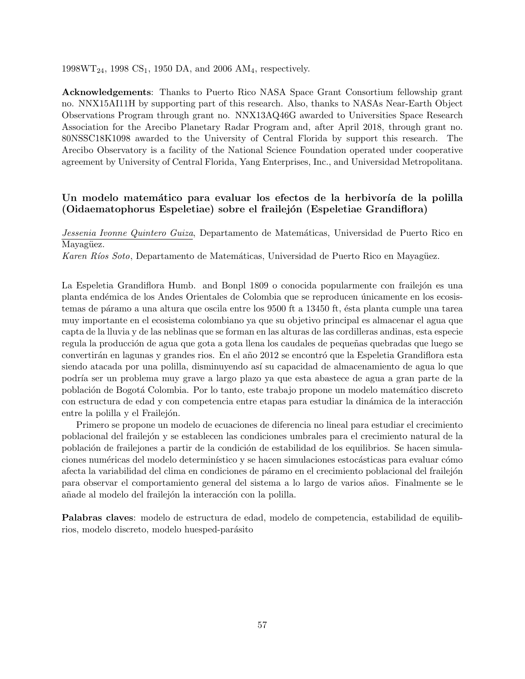$1998WT_{24}$ , 1998 CS<sub>1</sub>, 1950 DA, and 2006 AM<sub>4</sub>, respectively.

**Acknowledgements**: Thanks to Puerto Rico NASA Space Grant Consortium fellowship grant no. NNX15AI11H by supporting part of this research. Also, thanks to NASAs Near-Earth Object Observations Program through grant no. NNX13AQ46G awarded to Universities Space Research Association for the Arecibo Planetary Radar Program and, after April 2018, through grant no. 80NSSC18K1098 awarded to the University of Central Florida by support this research. The Arecibo Observatory is a facility of the National Science Foundation operated under cooperative agreement by University of Central Florida, Yang Enterprises, Inc., and Universidad Metropolitana.

## Un modelo matemático para evaluar los efectos de la herbivoría de la polilla **(Oidaematophorus Espeletiae) sobre el frailej´on (Espeletiae Grandiflora)**

*Jessenia Ivonne Quintero Guiza*, Departamento de Matemáticas, Universidad de Puerto Rico en Mayagüez.

*Karen Ríos Soto*, Departamento de Matemáticas, Universidad de Puerto Rico en Mayagüez.

La Espeletia Grandiflora Humb. and Bonpl 1809 o conocida popularmente con frailejón es una planta endémica de los Andes Orientales de Colombia que se reproducen únicamente en los ecosistemas de páramo a una altura que oscila entre los 9500 ft a 13450 ft, ésta planta cumple una tarea muy importante en el ecosistema colombiano ya que su objetivo principal es almacenar el agua que capta de la lluvia y de las neblinas que se forman en las alturas de las cordilleras andinas, esta especie regula la producción de agua que gota a gota llena los caudales de pequeñas quebradas que luego se convertirán en lagunas y grandes rios. En el año 2012 se encontró que la Espeletia Grandiflora esta siendo atacada por una polilla, disminuyendo así su capacidad de almacenamiento de agua lo que podr´ıa ser un problema muy grave a largo plazo ya que esta abastece de agua a gran parte de la población de Bogotá Colombia. Por lo tanto, este trabajo propone un modelo matemático discreto con estructura de edad y con competencia entre etapas para estudiar la dinámica de la interacción entre la polilla y el Frailejón.

Primero se propone un modelo de ecuaciones de diferencia no lineal para estudiar el crecimiento poblacional del frailej´on y se establecen las condiciones umbrales para el crecimiento natural de la población de frailejones a partir de la condición de estabilidad de los equilibrios. Se hacen simulaciones numéricas del modelo determinístico y se hacen simulaciones estocásticas para evaluar cómo afecta la variabilidad del clima en condiciones de páramo en el crecimiento poblacional del frailejón para observar el comportamiento general del sistema a lo largo de varios a˜nos. Finalmente se le añade al modelo del frailejón la interacción con la polilla.

**Palabras claves**: modelo de estructura de edad, modelo de competencia, estabilidad de equilibrios, modelo discreto, modelo huesped-parásito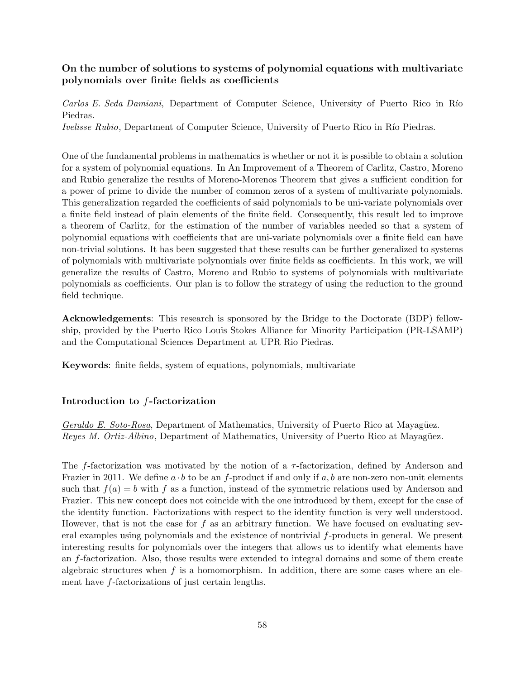## **On the number of solutions to systems of polynomial equations with multivariate polynomials over finite fields as coefficients**

*Carlos E. Seda Damiani*, Department of Computer Science, University of Puerto Rico in Río Piedras. *Ivelisse Rubio*, Department of Computer Science, University of Puerto Rico in Río Piedras.

One of the fundamental problems in mathematics is whether or not it is possible to obtain a solution for a system of polynomial equations. In An Improvement of a Theorem of Carlitz, Castro, Moreno and Rubio generalize the results of Moreno-Morenos Theorem that gives a sufficient condition for a power of prime to divide the number of common zeros of a system of multivariate polynomials. This generalization regarded the coefficients of said polynomials to be uni-variate polynomials over a finite field instead of plain elements of the finite field. Consequently, this result led to improve a theorem of Carlitz, for the estimation of the number of variables needed so that a system of polynomial equations with coefficients that are uni-variate polynomials over a finite field can have non-trivial solutions. It has been suggested that these results can be further generalized to systems of polynomials with multivariate polynomials over finite fields as coefficients. In this work, we will generalize the results of Castro, Moreno and Rubio to systems of polynomials with multivariate polynomials as coefficients. Our plan is to follow the strategy of using the reduction to the ground field technique.

**Acknowledgements**: This research is sponsored by the Bridge to the Doctorate (BDP) fellowship, provided by the Puerto Rico Louis Stokes Alliance for Minority Participation (PR-LSAMP) and the Computational Sciences Department at UPR Rio Piedras.

**Keywords**: finite fields, system of equations, polynomials, multivariate

## **Introduction to** *f***-factorization**

*Geraldo E. Soto-Rosa*, Department of Mathematics, University of Puerto Rico at Mayagüez. *Reyes M. Ortiz-Albino*, Department of Mathematics, University of Puerto Rico at Mayagüez.

The *f*-factorization was motivated by the notion of a *τ* -factorization, defined by Anderson and Frazier in 2011. We define  $a \cdot b$  to be an f-product if and only if  $a, b$  are non-zero non-unit elements such that  $f(a) = b$  with f as a function, instead of the symmetric relations used by Anderson and Frazier. This new concept does not coincide with the one introduced by them, except for the case of the identity function. Factorizations with respect to the identity function is very well understood. However, that is not the case for *f* as an arbitrary function. We have focused on evaluating several examples using polynomials and the existence of nontrivial *f*-products in general. We present interesting results for polynomials over the integers that allows us to identify what elements have an *f*-factorization. Also, those results were extended to integral domains and some of them create algebraic structures when *f* is a homomorphism. In addition, there are some cases where an element have *f*-factorizations of just certain lengths.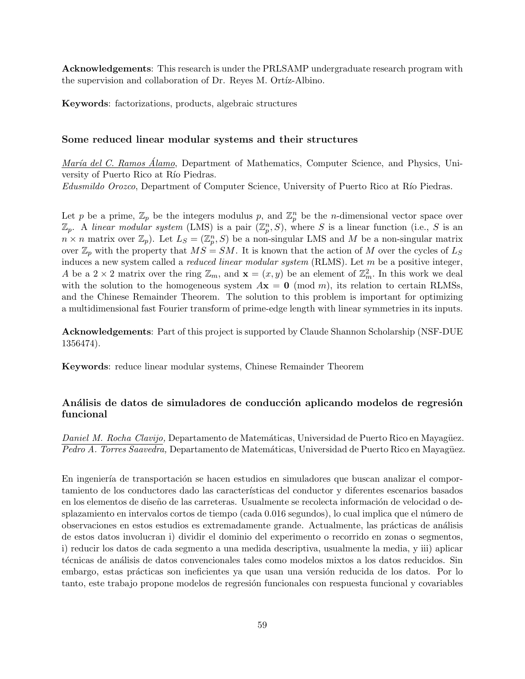**Acknowledgements**: This research is under the PRLSAMP undergraduate research program with the supervision and collaboration of Dr. Reyes M. Ortíz-Albino.

**Keywords**: factorizations, products, algebraic structures

#### **Some reduced linear modular systems and their structures**

*María del C. Ramos Álamo*, Department of Mathematics, Computer Science, and Physics, University of Puerto Rico at Río Piedras.

*Edusmildo Orozco*, Department of Computer Science, University of Puerto Rico at Río Piedras.

Let *p* be a prime,  $\mathbb{Z}_p$  be the integers modulus *p*, and  $\mathbb{Z}_p^n$  be the *n*-dimensional vector space over  $\mathbb{Z}_p$ . A *linear modular system* (LMS) is a pair  $(\mathbb{Z}_p^n, S)$ , where *S* is a linear function (i.e., *S* is an  $n \times n$  matrix over  $\mathbb{Z}_p$ ). Let  $L_S = (\mathbb{Z}_p^n, S)$  be a non-singular LMS and *M* be a non-singular matrix over  $\mathbb{Z}_p$  with the property that  $MS = SM$ . It is known that the action of *M* over the cycles of  $L_S$ induces a new system called a *reduced linear modular system* (RLMS). Let *m* be a positive integer, *A* be a 2  $\times$  2 matrix over the ring  $\mathbb{Z}_m$ , and  $\mathbf{x} = (x, y)$  be an element of  $\mathbb{Z}_m^2$ . In this work we deal with the solution to the homogeneous system  $A\mathbf{x} = \mathbf{0} \pmod{m}$ , its relation to certain RLMSs, and the Chinese Remainder Theorem. The solution to this problem is important for optimizing a multidimensional fast Fourier transform of prime-edge length with linear symmetries in its inputs.

**Acknowledgements**: Part of this project is supported by Claude Shannon Scholarship (NSF-DUE 1356474).

**Keywords**: reduce linear modular systems, Chinese Remainder Theorem

## Análisis de datos de simuladores de conducción aplicando modelos de regresión **funcional**

*Daniel M. Rocha Clavijo, Departamento de Matemáticas, Universidad de Puerto Rico en Mayagüez. Pedro A. Torres Saavedra, Departamento de Matemáticas, Universidad de Puerto Rico en Mayagüez.* 

En ingeniería de transportación se hacen estudios en simuladores que buscan analizar el comportamiento de los conductores dado las características del conductor y diferentes escenarios basados en los elementos de diseño de las carreteras. Usualmente se recolecta información de velocidad o desplazamiento en intervalos cortos de tiempo (cada 0.016 segundos), lo cual implica que el número de observaciones en estos estudios es extremadamente grande. Actualmente, las prácticas de análisis de estos datos involucran i) dividir el dominio del experimento o recorrido en zonas o segmentos, i) reducir los datos de cada segmento a una medida descriptiva, usualmente la media, y iii) aplicar técnicas de análisis de datos convencionales tales como modelos mixtos a los datos reducidos. Sin embargo, estas prácticas son ineficientes ya que usan una versión reducida de los datos. Por lo tanto, este trabajo propone modelos de regresión funcionales con respuesta funcional y covariables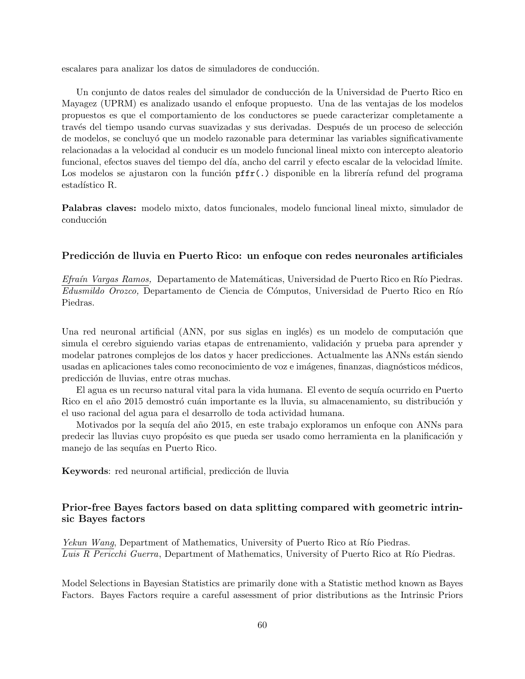escalares para analizar los datos de simuladores de conducción.

Un conjunto de datos reales del simulador de conducción de la Universidad de Puerto Rico en Mayagez (UPRM) es analizado usando el enfoque propuesto. Una de las ventajas de los modelos propuestos es que el comportamiento de los conductores se puede caracterizar completamente a través del tiempo usando curvas suavizadas y sus derivadas. Después de un proceso de selección de modelos, se concluyó que un modelo razonable para determinar las variables significativamente relacionadas a la velocidad al conducir es un modelo funcional lineal mixto con intercepto aleatorio funcional, efectos suaves del tiempo del día, ancho del carril y efecto escalar de la velocidad límite. Los modelos se ajustaron con la función  $pffr(.)$  disponible en la librería refund del programa estadístico R.

**Palabras claves:** modelo mixto, datos funcionales, modelo funcional lineal mixto, simulador de conducción

#### **Predicción de lluvia en Puerto Rico: un enfoque con redes neuronales artificiales**

*Efraín Vargas Ramos,* Departamento de Matemáticas, Universidad de Puerto Rico en Río Piedras. *Edusmildo Orozco*, Departamento de Ciencia de Cómputos, Universidad de Puerto Rico en Río Piedras.

Una red neuronal artificial (ANN, por sus siglas en inglés) es un modelo de computación que simula el cerebro siguiendo varias etapas de entrenamiento, validación y prueba para aprender y modelar patrones complejos de los datos y hacer predicciones. Actualmente las ANNs están siendo usadas en aplicaciones tales como reconocimiento de voz e imágenes, finanzas, diagnósticos médicos, predicción de lluvias, entre otras muchas.

El agua es un recurso natural vital para la vida humana. El evento de sequía ocurrido en Puerto Rico en el año 2015 demostró cuán importante es la lluvia, su almacenamiento, su distribución y el uso racional del agua para el desarrollo de toda actividad humana.

Motivados por la sequía del año 2015, en este trabajo exploramos un enfoque con ANNs para predecir las lluvias cuyo propósito es que pueda ser usado como herramienta en la planificación y manejo de las sequías en Puerto Rico.

**Keywords**: red neuronal artificial, predicción de lluvia

## **Prior-free Bayes factors based on data splitting compared with geometric intrinsic Bayes factors**

*Yekun Wang*, Department of Mathematics, University of Puerto Rico at Río Piedras. Luis R Pericchi Guerra, Department of Mathematics, University of Puerto Rico at Río Piedras.

Model Selections in Bayesian Statistics are primarily done with a Statistic method known as Bayes Factors. Bayes Factors require a careful assessment of prior distributions as the Intrinsic Priors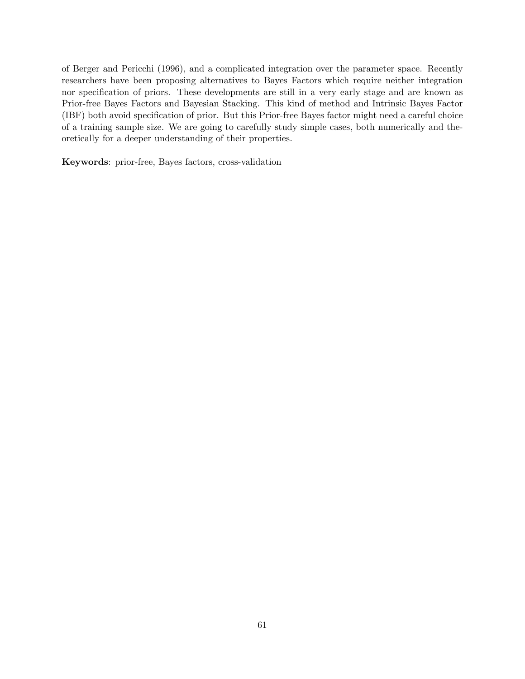of Berger and Pericchi (1996), and a complicated integration over the parameter space. Recently researchers have been proposing alternatives to Bayes Factors which require neither integration nor specification of priors. These developments are still in a very early stage and are known as Prior-free Bayes Factors and Bayesian Stacking. This kind of method and Intrinsic Bayes Factor (IBF) both avoid specification of prior. But this Prior-free Bayes factor might need a careful choice of a training sample size. We are going to carefully study simple cases, both numerically and theoretically for a deeper understanding of their properties.

**Keywords**: prior-free, Bayes factors, cross-validation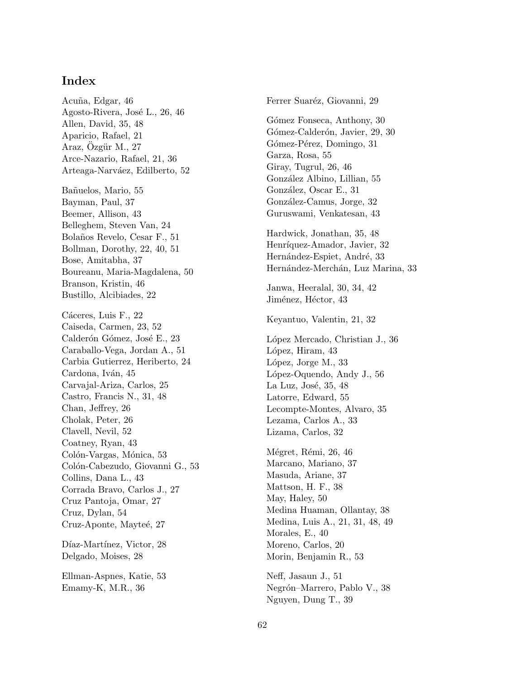## **Index**

Acuña, Edgar, 46 Agosto-Rivera, José L., 26, 46 Allen, David, 35, 48 Aparicio, Rafael, 21 Araz, Ozgür M., 27 Arce-Nazario, Rafael, 21, 36 Arteaga-Narváez, Edilberto, 52 Ba˜nuelos, Mario, 55 Bayman, Paul, 37 Beemer, Allison, 43 Belleghem, Steven Van, 24 Bola˜nos Revelo, Cesar F., 51 Bollman, Dorothy, 22, 40, 51 Bose, Amitabha, 37 Boureanu, Maria-Magdalena, 50 Branson, Kristin, 46 Bustillo, Alcibiades, 22 Cáceres, Luis F., 22 Caiseda, Carmen, 23, 52 Calderón Gómez, José E., 23 Caraballo-Vega, Jordan A., 51 Carbia Gutierrez, Heriberto, 24 Cardona, Iván, 45 Carvajal-Ariza, Carlos, 25 Castro, Francis N., 31, 48 Chan, Jeffrey, 26 Cholak, Peter, 26 Clavell, Nevil, 52 Coatney, Ryan, 43 Colón-Vargas, Mónica, 53 Colón-Cabezudo, Giovanni G., 53 Collins, Dana L., 43 Corrada Bravo, Carlos J., 27 Cruz Pantoja, Omar, 27 Cruz, Dylan, 54 Cruz-Aponte, Mayteé, 27 Díaz-Martínez, Victor, 28 Delgado, Moises, 28 Ellman-Aspnes, Katie, 53

Emamy-K, M.R., 36

Ferrer Suaréz, Giovanni, 29 Gómez Fonseca, Anthony, 30 Gómez-Calderón, Javier, 29, 30 Gómez-Pérez, Domingo, 31 Garza, Rosa, 55 Giray, Tugrul, 26, 46 González Albino, Lillian, 55 González, Oscar E., 31 González-Camus, Jorge, 32 Guruswami, Venkatesan, 43 Hardwick, Jonathan, 35, 48 Henríquez-Amador, Javier, 32 Hernández-Espiet, André, 33 Hernández-Merchán, Luz Marina, 33 Janwa, Heeralal, 30, 34, 42 Jiménez, Héctor, 43 Keyantuo, Valentin, 21, 32 López Mercado, Christian J., 36 López, Hiram, 43 López, Jorge M., 33 López-Oquendo, Andy J., 56 La Luz, José, 35, 48 Latorre, Edward, 55 Lecompte-Montes, Alvaro, 35 Lezama, Carlos A., 33 Lizama, Carlos, 32 Mégret, Rémi, 26, 46 Marcano, Mariano, 37 Masuda, Ariane, 37 Mattson, H. F., 38 May, Haley, 50 Medina Huaman, Ollantay, 38 Medina, Luis A., 21, 31, 48, 49 Morales, E., 40 Moreno, Carlos, 20 Morin, Benjamin R., 53 Neff, Jasaun J., 51 Negrón–Marrero, Pablo V., 38

Nguyen, Dung T., 39